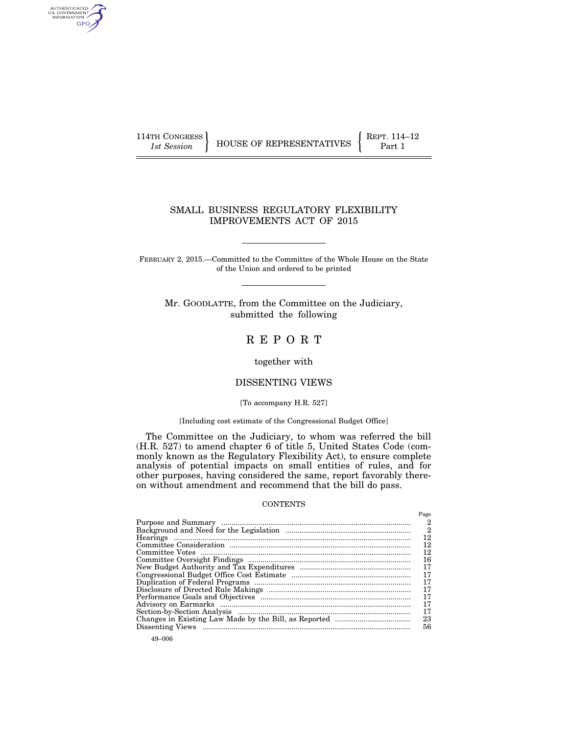AUTHENTICATED<br>U.S. GOVERNMENT<br>INFORMATION GPO

Page

## SMALL BUSINESS REGULATORY FLEXIBILITY IMPROVEMENTS ACT OF 2015

FEBRUARY 2, 2015.—Committed to the Committee of the Whole House on the State of the Union and ordered to be printed

Mr. GOODLATTE, from the Committee on the Judiciary, submitted the following

# R E P O R T

## together with

## DISSENTING VIEWS

#### [To accompany H.R. 527]

#### [Including cost estimate of the Congressional Budget Office]

The Committee on the Judiciary, to whom was referred the bill (H.R. 527) to amend chapter 6 of title 5, United States Code (commonly known as the Regulatory Flexibility Act), to ensure complete analysis of potential impacts on small entities of rules, and for other purposes, having considered the same, report favorably thereon without amendment and recommend that the bill do pass.

#### **CONTENTS**

| 2                         |
|---------------------------|
| $\overline{\phantom{a}2}$ |
| 12                        |
| 12                        |
| 12                        |
| 16                        |
| 17                        |
| 17                        |
| 17                        |
| 17                        |
| 17                        |
| 17                        |
| 17                        |
| 23                        |
| 56                        |
|                           |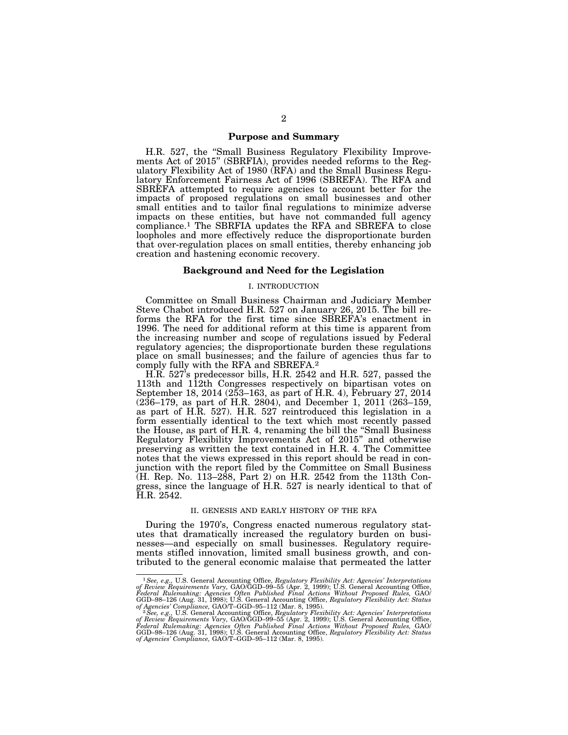#### **Purpose and Summary**

H.R. 527, the ''Small Business Regulatory Flexibility Improvements Act of 2015'' (SBRFIA), provides needed reforms to the Regulatory Flexibility Act of 1980 (RFA) and the Small Business Regulatory Enforcement Fairness Act of 1996 (SBREFA). The RFA and SBREFA attempted to require agencies to account better for the impacts of proposed regulations on small businesses and other small entities and to tailor final regulations to minimize adverse impacts on these entities, but have not commanded full agency compliance.1 The SBRFIA updates the RFA and SBREFA to close loopholes and more effectively reduce the disproportionate burden that over-regulation places on small entities, thereby enhancing job creation and hastening economic recovery.

#### **Background and Need for the Legislation**

#### I. INTRODUCTION

Committee on Small Business Chairman and Judiciary Member Steve Chabot introduced H.R. 527 on January 26, 2015. The bill reforms the RFA for the first time since SBREFA's enactment in 1996. The need for additional reform at this time is apparent from the increasing number and scope of regulations issued by Federal regulatory agencies; the disproportionate burden these regulations place on small businesses; and the failure of agencies thus far to comply fully with the RFA and SBREFA.2

H.R. 527's predecessor bills, H.R. 2542 and H.R. 527, passed the 113th and 112th Congresses respectively on bipartisan votes on September 18, 2014 (253–163, as part of H.R. 4), February 27, 2014 (236–179, as part of H.R. 2804), and December 1, 2011 (263–159, as part of H.R. 527). H.R. 527 reintroduced this legislation in a form essentially identical to the text which most recently passed the House, as part of H.R. 4, renaming the bill the ''Small Business Regulatory Flexibility Improvements Act of 2015'' and otherwise preserving as written the text contained in H.R. 4. The Committee notes that the views expressed in this report should be read in conjunction with the report filed by the Committee on Small Business  $(H.$  Rep. No. 113–288, Part 2) on H.R. 2542 from the 113th Congress, since the language of H.R. 527 is nearly identical to that of H.R. 2542.

#### II. GENESIS AND EARLY HISTORY OF THE RFA

During the 1970's, Congress enacted numerous regulatory statutes that dramatically increased the regulatory burden on businesses—and especially on small businesses. Regulatory requirements stifled innovation, limited small business growth, and contributed to the general economic malaise that permeated the latter

<sup>&</sup>lt;sup>1</sup> See, e.g., U.S. General Accounting Office, Regulatory Flexibility Act: Agencies' Interpretations of Review Requirements Vary, GAO/GGD-99-55 (Apr. 2, 1999); U.S. General Accounting Office, General Rederal Rederal Reader

of Agencies' Compliance, GAO/T-GGD-95-112 (Mar. 8, 1995).<br><sup>2</sup> See, e.g., U.S. General Accounting Office, Regulatory Flexibility Act: Agencies' Interpretations<br>of Review Requirements Vary, GAO/GGD-99-55 (Apr. 2, 1999); U.S.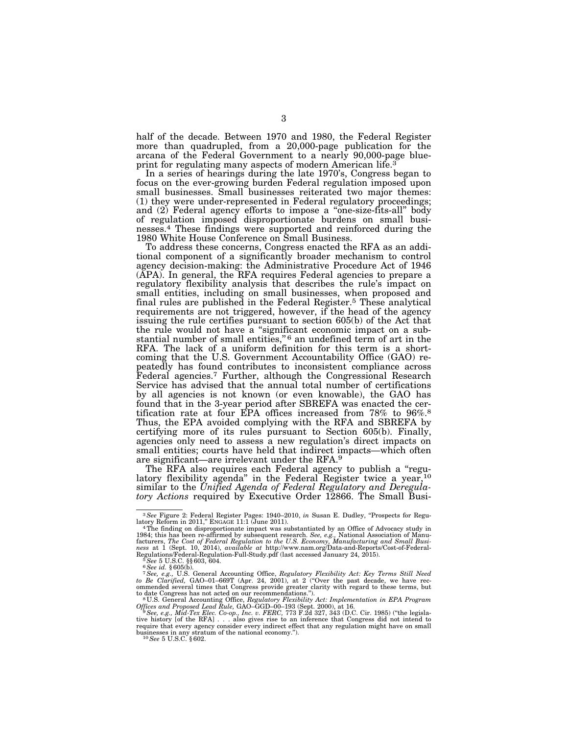half of the decade. Between 1970 and 1980, the Federal Register more than quadrupled, from a 20,000-page publication for the arcana of the Federal Government to a nearly 90,000-page blueprint for regulating many aspects of modern American life.<sup>3</sup>

In a series of hearings during the late 1970's, Congress began to focus on the ever-growing burden Federal regulation imposed upon small businesses. Small businesses reiterated two major themes: (1) they were under-represented in Federal regulatory proceedings; and (2) Federal agency efforts to impose a ''one-size-fits-all'' body of regulation imposed disproportionate burdens on small businesses.4 These findings were supported and reinforced during the 1980 White House Conference on Small Business.

To address these concerns, Congress enacted the RFA as an additional component of a significantly broader mechanism to control agency decision-making: the Administrative Procedure Act of 1946 (APA). In general, the RFA requires Federal agencies to prepare a regulatory flexibility analysis that describes the rule's impact on small entities, including on small businesses, when proposed and final rules are published in the Federal Register.5 These analytical requirements are not triggered, however, if the head of the agency issuing the rule certifies pursuant to section 605(b) of the Act that the rule would not have a ''significant economic impact on a substantial number of small entities,"<sup>6</sup> an undefined term of art in the RFA. The lack of a uniform definition for this term is a shortcoming that the U.S. Government Accountability Office (GAO) repeatedly has found contributes to inconsistent compliance across Federal agencies.<sup>7</sup> Further, although the Congressional Research Service has advised that the annual total number of certifications by all agencies is not known (or even knowable), the GAO has found that in the 3-year period after SBREFA was enacted the certification rate at four EPA offices increased from 78% to 96%.8 Thus, the EPA avoided complying with the RFA and SBREFA by certifying more of its rules pursuant to Section 605(b). Finally, agencies only need to assess a new regulation's direct impacts on small entities; courts have held that indirect impacts—which often are significant—are irrelevant under the RFA.9

The RFA also requires each Federal agency to publish a "regulatory flexibility agenda" in the Federal Register twice a year,  $10$ similar to the *Unified Agenda of Federal Regulatory and Deregulatory Actions* required by Executive Order 12866. The Small Busi-

<sup>&</sup>lt;sup>3</sup> See Figure 2: Federal Register Pages: 1940–2010, *in* Susan E. Dudley, "Prospects for Regulatory Reform in 2011," ENGAGE 11:1 (June 2011).

latory Reform in 2011," ENGAGE 11:1 (June 2011).<br>4 The finding on disproportionate impact was substantiated by an Office of Advocacy study in<br>1984; this has been re-affirmed by subsequent research. *See, e.g.*, National As Facturers, *The Cost of Federal Regulation to the U.S. Economy, Manufacturing and Seports/Cost-of-Federal-Regulation-Federal-Study.pdf (last accessed January 24, 2015).<br><sup>5</sup> See 5 U.S.C. §§ 603, 604.* 

Regulations/Federal-Regulation-Full-Study.pdf (last accessed January 24, 2015).<br>
<sup>5</sup> See 5 U.S.C. §§ 603, 604.<br>
<sup>6</sup> See id. § 605(b).<br>
<sup>7</sup> See, e.g., U.S. General Accounting Office, *Regulatory Flexibility Act: Key Terms S* ommended several times that Congress provide greater clarity with regard to these terms, but<br>to date Congress has not acted on our recommendations.").<br><sup>8</sup> U.S. General Accounting Office, *Regulatory Flexibility Act: Implem* 

*Offices and Proposed Lead Rule,* GAO–GGD–00–193 (Sept. 2000), at 16.<br><sup>9</sup> See, e.g., Mid-Tex Elec. Co-op., Inc. v. FERC, 773 F.2d 327, 343 (D.C. Cir. 1985) ("the legisla-<br>tive history [of the RFA] . . . also gives rise to require that every agency consider every indirect effect that any regulation might have on small businesses in any stratum of the national economy.").<br><sup>10</sup>*See* 5 U.S.C. § 602.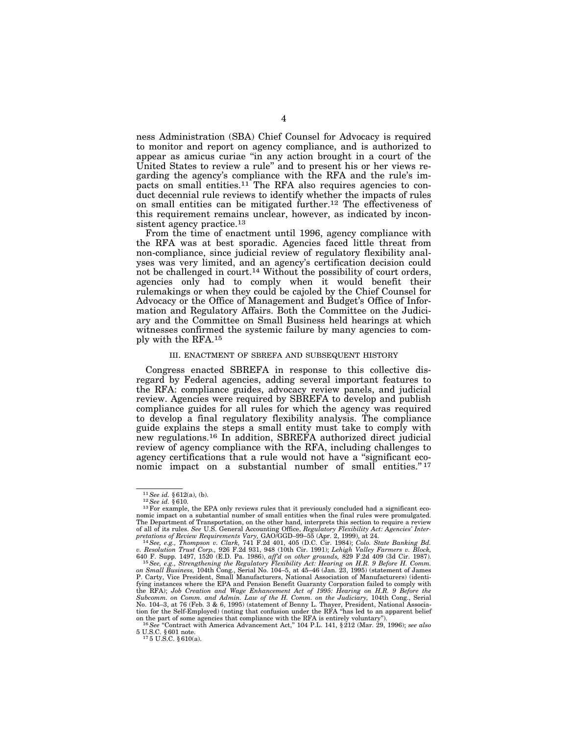ness Administration (SBA) Chief Counsel for Advocacy is required to monitor and report on agency compliance, and is authorized to appear as amicus curiae ''in any action brought in a court of the United States to review a rule'' and to present his or her views regarding the agency's compliance with the RFA and the rule's impacts on small entities.<sup>11</sup> The RFA also requires agencies to conduct decennial rule reviews to identify whether the impacts of rules on small entities can be mitigated further.12 The effectiveness of this requirement remains unclear, however, as indicated by inconsistent agency practice.<sup>13</sup>

From the time of enactment until 1996, agency compliance with the RFA was at best sporadic. Agencies faced little threat from non-compliance, since judicial review of regulatory flexibility analyses was very limited, and an agency's certification decision could not be challenged in court.<sup>14</sup> Without the possibility of court orders, agencies only had to comply when it would benefit their rulemakings or when they could be cajoled by the Chief Counsel for Advocacy or the Office of Management and Budget's Office of Information and Regulatory Affairs. Both the Committee on the Judiciary and the Committee on Small Business held hearings at which witnesses confirmed the systemic failure by many agencies to comply with the RFA.15

#### III. ENACTMENT OF SBREFA AND SUBSEQUENT HISTORY

Congress enacted SBREFA in response to this collective disregard by Federal agencies, adding several important features to the RFA: compliance guides, advocacy review panels, and judicial review. Agencies were required by SBREFA to develop and publish compliance guides for all rules for which the agency was required to develop a final regulatory flexibility analysis. The compliance guide explains the steps a small entity must take to comply with new regulations.16 In addition, SBREFA authorized direct judicial review of agency compliance with the RFA, including challenges to agency certifications that a rule would not have a ''significant economic impact on a substantial number of small entities."<sup>17</sup>

<sup>&</sup>lt;sup>11</sup> See id.  $\S 612(a)$ , (b).<br><sup>12</sup> See id.  $\S 610$ .<br><sup>13</sup>For example, the EPA only reviews rules that it previously concluded had a significant economic impact on a substantial number of small entities when the final rules were promulgated. The Department of Transportation, on the other hand, interprets this section to require a review of all of its rules. *See* U.S. General Accounting Office, *Regulatory Flexibility Act: Agencies' Inter-*

pretations of Review Requirements Vary, GAO/GGD-99-55 (Apr. 2, 1999), at 24.<br><sup>14</sup> See, e.g., Thompson v. Clark, 741 F.2d 401, 405 (D.C. Cir. 1984); Colo. State Banking Bd.<br>v. Resolution Trust Corp., 926 F.2d 931, 948 (10t

*on Small Business,* 104th Cong., Serial No. 104–5, at 45–46 (Jan. 23, 1995) (statement of James P. Carty, Vice President, Small Manufacturers, National Association of Manufacturers) (identifying instances where the EPA and Pension Benefit Guaranty Corporation failed to comply with the RFA); *Job Creation and Wage Enhancement Act of 1995: Hearing on H.R. 9 Before the Subcomm. on Comm. and Admin. Law of the H. Comm. on the Judiciary,* 104th Cong., Serial No. 104–3, at 76 (Feb. 3 & 6, 1995) (statement of Benny L. Thayer, President, National Association for the Self-Employed) (noting that confusion under the RFA ''has led to an apparent belief

on the part of some agencies that compliance with the RFA is entirely voluntary''). 16*See* ''Contract with America Advancement Act,'' 104 P.L. 141, § 212 (Mar. 29, 1996); *see also*   $5 \text{ U.S.C. }$  § 601 note.<br><sup>17</sup>5 U.S.C. § 610(a).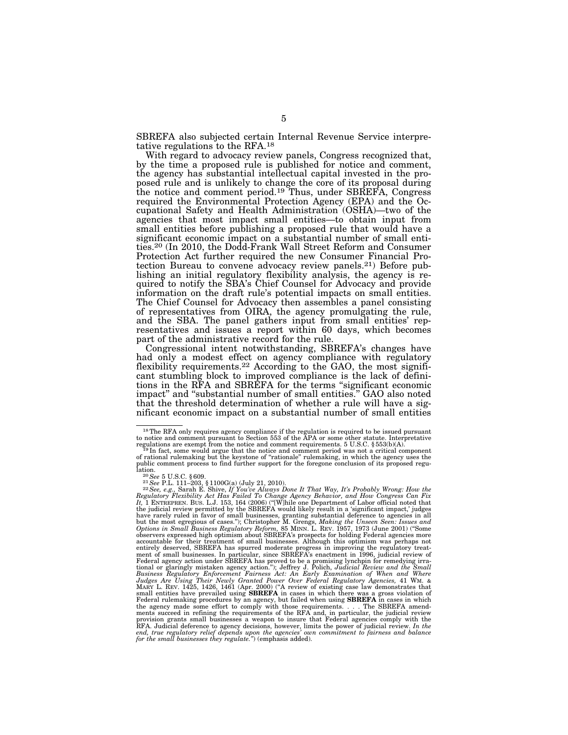SBREFA also subjected certain Internal Revenue Service interpretative regulations to the RFA.18

With regard to advocacy review panels, Congress recognized that, by the time a proposed rule is published for notice and comment, the agency has substantial intellectual capital invested in the proposed rule and is unlikely to change the core of its proposal during the notice and comment period.<sup>19</sup> Thus, under SBREFA, Congress required the Environmental Protection Agency (EPA) and the Occupational Safety and Health Administration (OSHA)—two of the agencies that most impact small entities—to obtain input from small entities before publishing a proposed rule that would have a significant economic impact on a substantial number of small entities.20 (In 2010, the Dodd-Frank Wall Street Reform and Consumer Protection Act further required the new Consumer Financial Protection Bureau to convene advocacy review panels.21) Before publishing an initial regulatory flexibility analysis, the agency is required to notify the SBA's Chief Counsel for Advocacy and provide information on the draft rule's potential impacts on small entities. The Chief Counsel for Advocacy then assembles a panel consisting of representatives from OIRA, the agency promulgating the rule, and the SBA. The panel gathers input from small entities' representatives and issues a report within 60 days, which becomes part of the administrative record for the rule.

Congressional intent notwithstanding, SBREFA's changes have had only a modest effect on agency compliance with regulatory flexibility requirements.<sup>22</sup> According to the GAO, the most significant stumbling block to improved compliance is the lack of definitions in the RFA and SBREFA for the terms ''significant economic impact'' and ''substantial number of small entities.'' GAO also noted that the threshold determination of whether a rule will have a significant economic impact on a substantial number of small entities

<sup>&</sup>lt;sup>18</sup>The RFA only requires agency compliance if the regulation is required to be issued pursuant to notice and comment pursuant to Section 553 of the APA or some other statute. Interpretative regulations are exempt from the notice and comment requirements. 5 U.S.C. § 553(b)(A). 19 In fact, some would argue that the notice and comment period was not a critical component

of rational rulemaking but the keystone of ''rationale'' rulemaking, in which the agency uses the public comment process to find further support for the foregone conclusion of its proposed regu-

lation.<br><sup>20</sup> See 5 U.S.C. § 609.<br><sup>21</sup> See P.L. 111–203, § 1100G(a) (July 21, 2010).<br><sup>22</sup> See, e.g., Sarah E. Shive, *If You've Always Done It That Way, It's Probably Wrong: How the*<br>*Regulatory Flexibility Act Has Failed T* the judicial review permitted by the SBREFA would likely result in a 'significant impact,' judges have rarely ruled in favor of small businesses, granting substantial deference to agencies in all but the most egregious of cases.''); Christopher M. Grengs, *Making the Unseen Seen: Issues and Options in Small Business Regulatory Reform,* 85 MINN. L. REV. 1957, 1973 (June 2001) ("Some<br>observers expressed high optimism about SBREFA's prospects for holding Federal agencies more<br>accountable for their treatment of entirely deserved, SBREFA has spurred moderate progress in improving the regulatory treat-<br>ment of small businesses. In particular, since SBREFA's enactment in 1996, judicial review of<br>Federal agency action under SBREFA ha Mary L. REv. 1425, 1426, 1461 (Apr. 2000) ("A review of existing case law demonstrates that<br>small entities have prevailed using **SBREFA** in cases in which there was a gross violation of<br>Federal rulemaking procedures by an the agency made some effort to comply with those requirements. . . . The SBREFA amend-<br>ments succeed in refining the requirements of the RFA and, in particular, the judicial review<br>provision grants small businesses a weapo RFA. Judicial deference to agency decisions, however, limits the power of judicial review. *In the*<br>end, true regulatory relief depends upon the agencies' own commitment to fairness and balance<br>for the small businesses the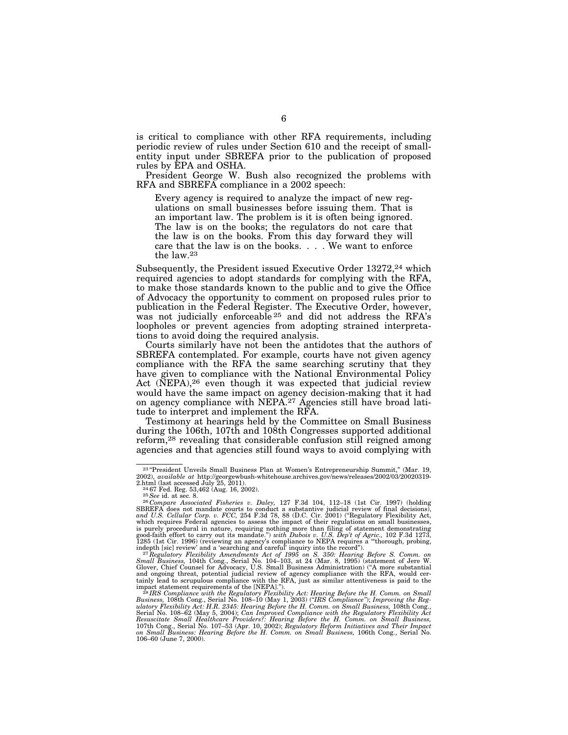is critical to compliance with other RFA requirements, including periodic review of rules under Section 610 and the receipt of smallentity input under SBREFA prior to the publication of proposed rules by EPA and OSHA.

President George W. Bush also recognized the problems with RFA and SBREFA compliance in a 2002 speech:

Every agency is required to analyze the impact of new regulations on small businesses before issuing them. That is an important law. The problem is it is often being ignored. The law is on the books; the regulators do not care that the law is on the books. From this day forward they will care that the law is on the books. . . . We want to enforce the law.23

Subsequently, the President issued Executive Order 13272,<sup>24</sup> which required agencies to adopt standards for complying with the RFA, to make those standards known to the public and to give the Office of Advocacy the opportunity to comment on proposed rules prior to publication in the Federal Register. The Executive Order, however, was not judicially enforceable<sup>25</sup> and did not address the RFA's loopholes or prevent agencies from adopting strained interpretations to avoid doing the required analysis.

Courts similarly have not been the antidotes that the authors of SBREFA contemplated. For example, courts have not given agency compliance with the RFA the same searching scrutiny that they have given to compliance with the National Environmental Policy Act (NEPA),<sup>26</sup> even though it was expected that judicial review would have the same impact on agency decision-making that it had on agency compliance with NEPA.27 Agencies still have broad latitude to interpret and implement the RFA.

Testimony at hearings held by the Committee on Small Business during the 106th, 107th and 108th Congresses supported additional reform,28 revealing that considerable confusion still reigned among agencies and that agencies still found ways to avoid complying with

indepth [sic] review' and a 'searching and careful' inquiry into the record").<br><sup>27</sup> Regulatory *Flexibility Amendments Act of 1995 on S. 350: Hearing Before S. Comm. on*<br>S*mall Business, 104th Cong., Serial No. 104–103, at* Glover, Chief Counsel for Advocacy, U.S. Small Business Administration) ("A more substantial<br>and ongoing threat, potential judicial review of agency compliance with the RFA, would cer-<br>tainly lead to scrupulous compliance

<sup>&</sup>lt;sup>23</sup> "President Unveils Small Business Plan at Women's Entrepreneurship Summit," (Mar. 19, 2002), *available at* http://georgewbush-whitehouse.archives.gov/news/releases/2002/03/20020319-

<sup>2.</sup>html (last accessed July 25, 2011). 24 67 Fed. Reg. 53,462 (Aug. 16, 2002). 25*See* id. at sec. 8. 26 *Compare Associated Fisheries v. Daley,* 127 F.3d 104, 112–18 (1st Cir. 1997) (holding SBREFA does not mandate courts to conduct a substantive judicial review of final decisions),<br>and U.S. Cellular Corp. v. FCC, 254 F.3d 78, 88 (D.C. Cir. 2001) ("Regulatory Flexibility Act,<br>which requires Federal agencies to is purely procedural in nature, requiring nothing more than filing of statement demonstrating<br>good-faith effort to carry out its mandate.") with Dubois v. U.S. Dep't of Agric., 102 F.3d 1273,<br>1285 (1st Cir. 1996) (reviewin

impact statement requirements of the [NEPA].").<br><sup>28</sup>IRS Compliance with the Regulatory Flexibility Act: Hearing Before the H. Comm. on Small<br>Business, 108th Cong., Serial No. 108–10 (May 1, 2003) ("IRS Compliance"); Improv ulatory Flexibility Act: H.R. 2345: Hearing Before the H. Comm. on Small Business, 108th Cong.,<br>Serial No. 108–62 (May 5, 2004); Can Improved Compliance with the Regulatory Flexibility Act<br>Resuscitate Small Healthcare P 107th Cong., Serial No. 107–53 (Apr. 10, 2002); *Regulatory Reform Initiatives and Their Impact on Small Business: Hearing Before the H. Comm. on Small Business,* 106th Cong., Serial No. 106–60 (June 7, 2000).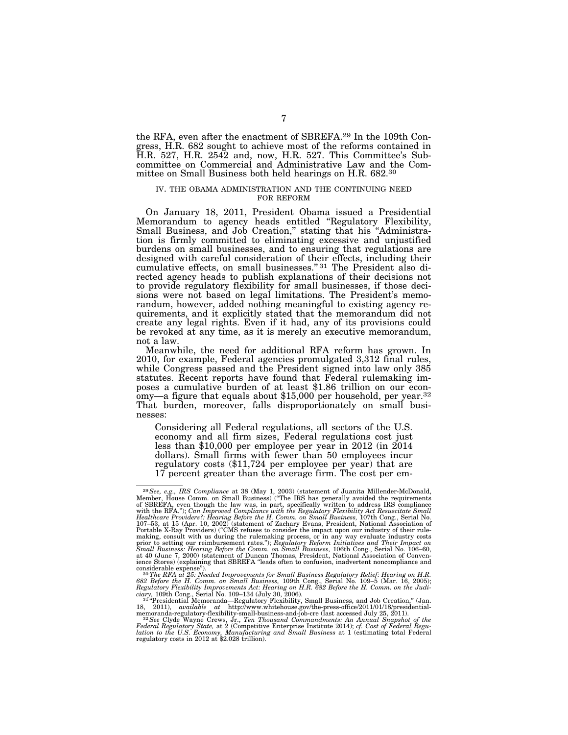the RFA, even after the enactment of SBREFA.29 In the 109th Congress, H.R. 682 sought to achieve most of the reforms contained in H.R. 527, H.R. 2542 and, now, H.R. 527. This Committee's Subcommittee on Commercial and Administrative Law and the Committee on Small Business both held hearings on H.R. 682.30

#### IV. THE OBAMA ADMINISTRATION AND THE CONTINUING NEED FOR REFORM

On January 18, 2011, President Obama issued a Presidential Memorandum to agency heads entitled ''Regulatory Flexibility, Small Business, and Job Creation,'' stating that his ''Administration is firmly committed to eliminating excessive and unjustified burdens on small businesses, and to ensuring that regulations are designed with careful consideration of their effects, including their cumulative effects, on small businesses.'' 31 The President also directed agency heads to publish explanations of their decisions not to provide regulatory flexibility for small businesses, if those decisions were not based on legal limitations. The President's memorandum, however, added nothing meaningful to existing agency requirements, and it explicitly stated that the memorandum did not create any legal rights. Even if it had, any of its provisions could be revoked at any time, as it is merely an executive memorandum, not a law.

Meanwhile, the need for additional RFA reform has grown. In 2010, for example, Federal agencies promulgated 3,312 final rules, while Congress passed and the President signed into law only 385 statutes. Recent reports have found that Federal rulemaking imposes a cumulative burden of at least \$1.86 trillion on our econ- $\sigma$ omy—a figure that equals about \$15,000 per household, per year.<sup>32</sup> That burden, moreover, falls disproportionately on small businesses:

Considering all Federal regulations, all sectors of the U.S. economy and all firm sizes, Federal regulations cost just less than \$10,000 per employee per year in 2012 (in 2014 dollars). Small firms with fewer than 50 employees incur regulatory costs (\$11,724 per employee per year) that are 17 percent greater than the average firm. The cost per em-

<sup>&</sup>lt;sup>29</sup> See, e.g., IRS Compliance at 38 (May 1, 2003) (statement of Juanita Millender-McDonald, Member, House Comm. on Small Business) ("The IRS has generally avoided the requirements of SBREFA, even though the law was, in p 107–53, at 15 (Apr. 10, 2002) (statement of Zachary Evans, President, National Association of Portable X-Ray Providers) ("CMS refuses to consider the impact upon our industry of their rule-<br>making, consult with us during

ience Stores) (explaining that SBREFA "leads often to confusion, inadvertent noncompliance and<br>
considerable expense").<br>  $\frac{30}{T}$  for *SRA* at 25: Needed Improvements for Small Business Regulatory Relief: Hearing on H.R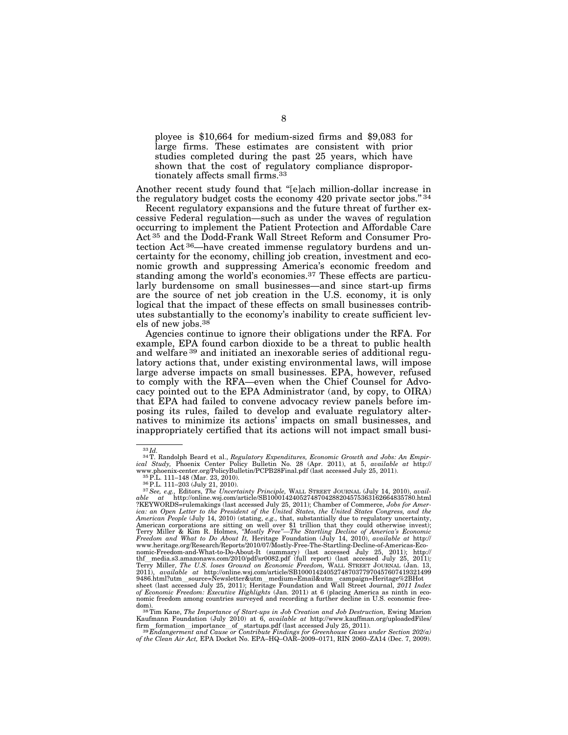ployee is \$10,664 for medium-sized firms and \$9,083 for large firms. These estimates are consistent with prior studies completed during the past 25 years, which have shown that the cost of regulatory compliance disproportionately affects small firms.33

Another recent study found that ''[e]ach million-dollar increase in the regulatory budget costs the economy 420 private sector jobs." 34

Recent regulatory expansions and the future threat of further excessive Federal regulation—such as under the waves of regulation occurring to implement the Patient Protection and Affordable Care Act 35 and the Dodd-Frank Wall Street Reform and Consumer Protection Act 36—have created immense regulatory burdens and uncertainty for the economy, chilling job creation, investment and economic growth and suppressing America's economic freedom and standing among the world's economies.<sup>37</sup> These effects are particularly burdensome on small businesses—and since start-up firms are the source of net job creation in the U.S. economy, it is only logical that the impact of these effects on small businesses contributes substantially to the economy's inability to create sufficient levels of new jobs.38

Agencies continue to ignore their obligations under the RFA. For example, EPA found carbon dioxide to be a threat to public health and welfare 39 and initiated an inexorable series of additional regulatory actions that, under existing environmental laws, will impose large adverse impacts on small businesses. EPA, however, refused to comply with the RFA—even when the Chief Counsel for Advocacy pointed out to the EPA Administrator (and, by copy, to OIRA) that EPA had failed to convene advocacy review panels before imposing its rules, failed to develop and evaluate regulatory alternatives to minimize its actions' impacts on small businesses, and inappropriately certified that its actions will not impact small busi-

<sup>&</sup>lt;sup>33</sup>*Id.*<br>
<sup>34</sup>T. Randolph Beard et al., *Regulatory Expenditures, Economic Growth and Jobs: An Empir-<br>
<sup>34</sup>T. Randolph Beard et al., <i>Regulatory Expenditures, Economic Growth and Jobs: An Empir-<br>
ical Study, Phoenix Cent* 

*able at* http://online.wsj.com/article/SB10001424052748704288204575363162664835780.html ?KEYWORDS=rulemakings (last accessed July 25, 2011); Chamber of Commerce, *Jobs for America: an Open Letter to the President of the United States, the United States Congress, and the* American People (July 14, 2010) (stating, e.g., that, substantially due to regulatory uncertainty, American corporations are sitting on well over \$1 trillion that they could otherwise invest);<br>Terry Miller & Kim R. Holmes, *Freedom and What to Do About It,* Heritage Foundation (July 14, 2010), *available at* http:// www.heritage.org/Research/Reports/2010/07/Mostly-Free-The-Startling-Decline-of-Americas-Eco-nomic-Freedom-and-What-to-Do-About-It (summary) (last accessed July 25, 2011); http:// thf\_media.s3.amazonaws.com/2010/pdf/sr0082.pdf (full report) (last accessed July 25, 2011);<br>Terry Miller, *The U.S. loses Ground on Economic Freedom,* WALL STREET JOURNAL (Jan. 13,<br>2011), *available at* http://online.wsj.c 9486.html?utm\_source=Newsletter&utm\_medium=Email&utm\_campaign=Heritage%2BHot<br>sheet (last accessed July 25, 2011); Heritage Foundation and Wall Street Journal, 2011 Index *of Economic Freedom: Executive Highlights* (Jan. 2011) at 6 (placing America as ninth in economic freedom among countries surveyed and recording a further decline in U.S. economic free-

<sup>&</sup>lt;sup>38</sup>Tim Kane, *The Importance of Start-ups in Job Creation and Job Destruction*, Ewing Marion Kaufmann Foundation (July 2010) at 6, *available at* http://www.kauffman.org/uploadedFiles/

firm\_formation\_importance\_of\_startups.pdf (last accessed July 25, 2011).<br><sup>39</sup>Endangerment and Cause or Contribute Findings for Greenhouse Gases under Section 202(a)<br>of the Clean Air Act, EPA Docket No. EPA–HQ–OAR–2009–0171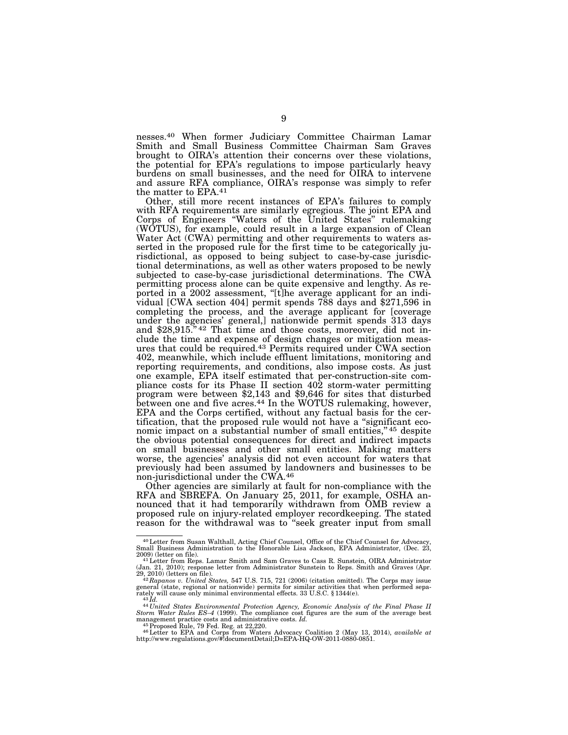nesses.40 When former Judiciary Committee Chairman Lamar Smith and Small Business Committee Chairman Sam Graves brought to OIRA's attention their concerns over these violations, the potential for EPA's regulations to impose particularly heavy burdens on small businesses, and the need for OIRA to intervene and assure RFA compliance, OIRA's response was simply to refer the matter to EPA.<sup>41</sup>

Other, still more recent instances of EPA's failures to comply with RFA requirements are similarly egregious. The joint EPA and Corps of Engineers ''Waters of the United States'' rulemaking (WOTUS), for example, could result in a large expansion of Clean Water Act (CWA) permitting and other requirements to waters asserted in the proposed rule for the first time to be categorically jurisdictional, as opposed to being subject to case-by-case jurisdictional determinations, as well as other waters proposed to be newly subjected to case-by-case jurisdictional determinations. The CWA permitting process alone can be quite expensive and lengthy. As reported in a 2002 assessment, ''[t]he average applicant for an individual [CWA section 404] permit spends 788 days and \$271,596 in completing the process, and the average applicant for [coverage under the agencies' general,] nationwide permit spends 313 days and \$28,915."<sup>42</sup> That time and those costs, moreover, did not include the time and expense of design changes or mitigation measures that could be required.43 Permits required under CWA section 402, meanwhile, which include effluent limitations, monitoring and reporting requirements, and conditions, also impose costs. As just one example, EPA itself estimated that per-construction-site compliance costs for its Phase II section 402 storm-water permitting program were between \$2,143 and \$9,646 for sites that disturbed between one and five acres.<sup>44</sup> In the WOTUS rulemaking, however, EPA and the Corps certified, without any factual basis for the certification, that the proposed rule would not have a ''significant economic impact on a substantial number of small entities,"<sup>45</sup> despite the obvious potential consequences for direct and indirect impacts on small businesses and other small entities. Making matters worse, the agencies' analysis did not even account for waters that previously had been assumed by landowners and businesses to be non-jurisdictional under the CWA.46

Other agencies are similarly at fault for non-compliance with the RFA and SBREFA. On January 25, 2011, for example, OSHA announced that it had temporarily withdrawn from OMB review a proposed rule on injury-related employer recordkeeping. The stated reason for the withdrawal was to "seek greater input from small

<sup>40</sup>Letter from Susan Walthall, Acting Chief Counsel, Office of the Chief Counsel for Advocacy, Small Business Administration to the Honorable Lisa Jackson, EPA Administrator, (Dec. 23,

<sup>&</sup>lt;sup>41</sup> Letter from Reps. Lamar Smith and Sam Graves to Cass R. Sunstein, OIRA Administrator (Jan. 21, 2010); response letter from Administrator Sunstein to Reps. Smith and Graves (Apr. 29, 2010) (letters on file).<br><sup>29</sup> <sup>22</sup>*Rapanos v. United States,* 547 U.S. 715, 721 (2006) (citation omitted). The Corps may issue

general (state, regional or nationwide) permits for similar activities that when performed separately will cause only minimal environmental effects. 33 U.S.C. § 1344(e).<br>  $^{43}$ Id.<br>  $^{43}$ Id.<br>  $^{44}$ United States Environm

<sup>&</sup>lt;sup>44</sup>United States Environmental Protection Agency, Economic Analysis of the Final Phase II<br>Storm Water Rules ES–4 (1999). The compliance cost figures are the sum of the average best<br>management practice costs and administra

management practice costs and administrative costs. *Id.*<br><sup>45</sup> Lepropsed Rule, 79 Fed. Reg. at 22,220.<br><sup>46</sup> Letter to EPA and Corps from Waters Advocacy Coalition 2 (May 13, 2014), *available at*<br>http://www.regulations.go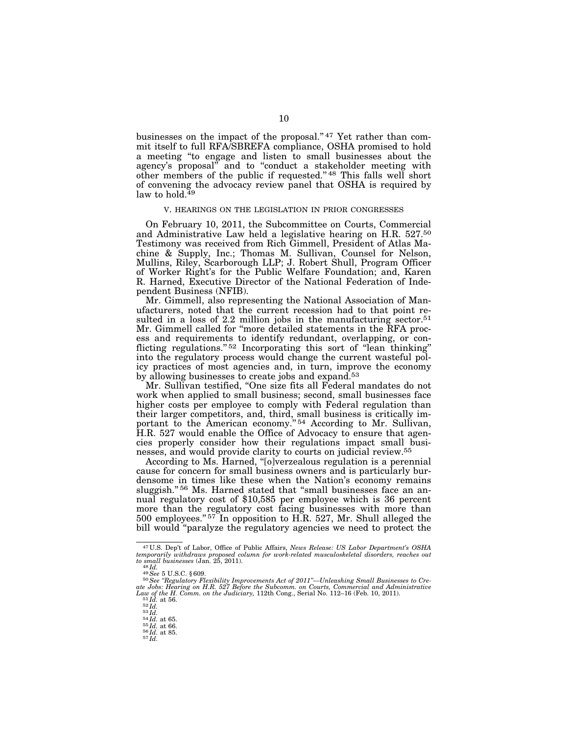businesses on the impact of the proposal."<sup>47</sup> Yet rather than commit itself to full RFA/SBREFA compliance, OSHA promised to hold a meeting ''to engage and listen to small businesses about the agency's proposal'' and to ''conduct a stakeholder meeting with other members of the public if requested."<sup>48</sup> This falls well short of convening the advocacy review panel that OSHA is required by law to hold.<sup>49</sup>

#### V. HEARINGS ON THE LEGISLATION IN PRIOR CONGRESSES

On February 10, 2011, the Subcommittee on Courts, Commercial and Administrative Law held a legislative hearing on H.R. 527.50 Testimony was received from Rich Gimmell, President of Atlas Machine & Supply, Inc.; Thomas M. Sullivan, Counsel for Nelson, Mullins, Riley, Scarborough LLP; J. Robert Shull, Program Officer of Worker Right's for the Public Welfare Foundation; and, Karen R. Harned, Executive Director of the National Federation of Independent Business (NFIB).

Mr. Gimmell, also representing the National Association of Manufacturers, noted that the current recession had to that point resulted in a loss of 2.2 million jobs in the manufacturing sector.<sup>51</sup> Mr. Gimmell called for ''more detailed statements in the RFA process and requirements to identify redundant, overlapping, or conflicting regulations."<sup>52</sup> Incorporating this sort of "lean thinking" into the regulatory process would change the current wasteful policy practices of most agencies and, in turn, improve the economy by allowing businesses to create jobs and expand.<sup>53</sup>

Mr. Sullivan testified, ''One size fits all Federal mandates do not work when applied to small business; second, small businesses face higher costs per employee to comply with Federal regulation than their larger competitors, and, third, small business is critically important to the American economy."<sup>54</sup> According to Mr. Sullivan, H.R. 527 would enable the Office of Advocacy to ensure that agencies properly consider how their regulations impact small businesses, and would provide clarity to courts on judicial review.55

According to Ms. Harned, ''[o]verzealous regulation is a perennial cause for concern for small business owners and is particularly burdensome in times like these when the Nation's economy remains sluggish."<sup>56</sup> Ms. Harned stated that "small businesses face an annual regulatory cost of \$10,585 per employee which is 36 percent more than the regulatory cost facing businesses with more than 500 employees.'' 57 In opposition to H.R. 527, Mr. Shull alleged the bill would ''paralyze the regulatory agencies we need to protect the

<sup>47</sup> U.S. Dep't of Labor, Office of Public Affairs, *News Release: US Labor Department's OSHA*  temporarily withdraws proposed column for work-related musculoskeletal disorders, reaches out<br>to small businesses (Jan. 25, 2011).<br><sup>48</sup>Id.<br><sup>49</sup>See 5 U.S.C. §609.<br><sup>50</sup>See "Regulatory Flexibility Improvements Act of 2011"—U

ate Jobs: Hearing on H.R. 527 Before the Subcomm. on Courts, Commercial and Administrative Law of the H. Comm. on the Judiciary, 112th Cong., Serial No. 112–16 (Feb. 10, 2011).<br>  $\frac{51}{d}$ . at 56.<br>  $\frac{51}{d}$ . at 56.<br>  $\frac$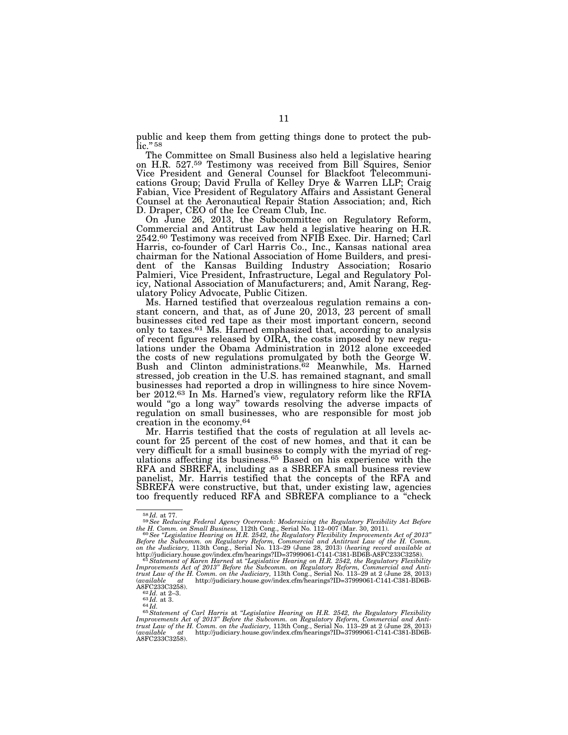public and keep them from getting things done to protect the public."<sup>58</sup>

The Committee on Small Business also held a legislative hearing on H.R. 527.59 Testimony was received from Bill Squires, Senior Vice President and General Counsel for Blackfoot Telecommunications Group; David Frulla of Kelley Drye & Warren LLP; Craig Fabian, Vice President of Regulatory Affairs and Assistant General Counsel at the Aeronautical Repair Station Association; and, Rich D. Draper, CEO of the Ice Cream Club, Inc.

On June 26, 2013, the Subcommittee on Regulatory Reform, Commercial and Antitrust Law held a legislative hearing on H.R. 2542.60 Testimony was received from NFIB Exec. Dir. Harned; Carl Harris, co-founder of Carl Harris Co., Inc., Kansas national area chairman for the National Association of Home Builders, and president of the Kansas Building Industry Association; Rosario Palmieri, Vice President, Infrastructure, Legal and Regulatory Policy, National Association of Manufacturers; and, Amit Narang, Regulatory Policy Advocate, Public Citizen.

Ms. Harned testified that overzealous regulation remains a constant concern, and that, as of June 20, 2013, 23 percent of small businesses cited red tape as their most important concern, second only to taxes.61 Ms. Harned emphasized that, according to analysis of recent figures released by OIRA, the costs imposed by new regulations under the Obama Administration in 2012 alone exceeded the costs of new regulations promulgated by both the George W. Bush and Clinton administrations.62 Meanwhile, Ms. Harned stressed, job creation in the U.S. has remained stagnant, and small businesses had reported a drop in willingness to hire since November 2012.63 In Ms. Harned's view, regulatory reform like the RFIA would ''go a long way'' towards resolving the adverse impacts of regulation on small businesses, who are responsible for most job creation in the economy.64

Mr. Harris testified that the costs of regulation at all levels account for 25 percent of the cost of new homes, and that it can be very difficult for a small business to comply with the myriad of regulations affecting its business.<sup>65</sup> Based on his experience with the RFA and SBREFA, including as a SBREFA small business review panelist, Mr. Harris testified that the concepts of the RFA and SBREFA were constructive, but that, under existing law, agencies too frequently reduced RFA and SBREFA compliance to a ''check

<sup>58</sup> *Id.* at 77. 59*See Reducing Federal Agency Overreach: Modernizing the Regulatory Flexibility Act Before*  the H. Comm. on Small Business, 112th Cong., Serial No. 112–007 (Mar. 30, 2011).<br><sup>60</sup> See "Legislative Hearing on H.R. 2542, the Regulatory Flexibility Improvements Act of 2013"<br>Before the Subcomm. on Regulatory Reform, Co

on the Judiciary, 113th Cong., Serial No. 113–29 (June 28, 2013) (hearing record available at<br>http://judiciary.house.gov/index.cfm/hearings?ID=37999061-C141-C381-BD6B-A8FC233C3258).<br><sup>61</sup> Statement of Karen Harned at "Legis

Improvements Act of 2013" Before the Subcomm. on Regulatory Reform, Commercial and Anti-<br>trust Law of the H. Comm. on the Judiciary, 113th Cong., Serial No. 113–29 at 2 (June 28, 2013)<br>(available at http://judiciary.house.

A8FC233C3258).<br><sup>62</sup>Id. at 2–3.<br><sup>63</sup>Id. at 3.<br><sup>65</sup>Statement of Carl Harris at "Legislative Hearing on H.R. 2542, the Regulatory Flexibility<br><sup>65</sup>Statement of Carl Harris at "Legislative Hearing on H.R. 2542, the Regulatory F *trust Law of the H. Comm. on the Judiciary,* 113th Cong., Serial No. 113–29 at 2 (June 28, 2013) (*available at* http://judiciary.house.gov/index.cfm/hearings?ID=37999061-C141-C381-BD6B- $(a\nuailable   
ABFC233C3258).$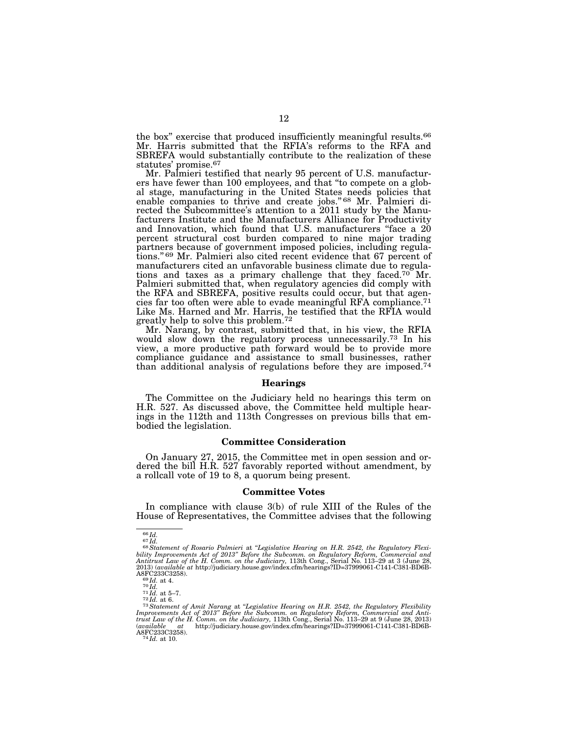the box" exercise that produced insufficiently meaningful results.<sup>66</sup> Mr. Harris submitted that the RFIA's reforms to the RFA and SBREFA would substantially contribute to the realization of these statutes' promise.67

Mr. Palmieri testified that nearly 95 percent of U.S. manufacturers have fewer than 100 employees, and that ''to compete on a global stage, manufacturing in the United States needs policies that enable companies to thrive and create jobs."<sup>68</sup> Mr. Palmieri directed the Subcommittee's attention to a 2011 study by the Manufacturers Institute and the Manufacturers Alliance for Productivity and Innovation, which found that U.S. manufacturers "face a  $20$ percent structural cost burden compared to nine major trading partners because of government imposed policies, including regulations.'' 69 Mr. Palmieri also cited recent evidence that 67 percent of manufacturers cited an unfavorable business climate due to regulations and taxes as a primary challenge that they faced.<sup>70</sup> Mr. Palmieri submitted that, when regulatory agencies did comply with the RFA and SBREFA, positive results could occur, but that agencies far too often were able to evade meaningful RFA compliance.71 Like Ms. Harned and Mr. Harris, he testified that the RFIA would greatly help to solve this problem.72

Mr. Narang, by contrast, submitted that, in his view, the RFIA would slow down the regulatory process unnecessarily.<sup>73</sup> In his view, a more productive path forward would be to provide more compliance guidance and assistance to small businesses, rather than additional analysis of regulations before they are imposed.74

#### **Hearings**

The Committee on the Judiciary held no hearings this term on H.R. 527. As discussed above, the Committee held multiple hearings in the 112th and 113th Congresses on previous bills that embodied the legislation.

#### **Committee Consideration**

On January 27, 2015, the Committee met in open session and ordered the bill H.R. 527 favorably reported without amendment, by a rollcall vote of 19 to 8, a quorum being present.

#### **Committee Votes**

In compliance with clause 3(b) of rule XIII of the Rules of the House of Representatives, the Committee advises that the following

 $^{66}$ Id.<br> $^{67}$ Id.<br> $^{68}$ Statement of Rosario Palmieri at "Legislative Hearing on H.R. 2542, the Regulatory Flexi-<br>bility Improvements Act of 2013" Before the Subcomm. on Regulatory Reform, Commercial and<br>Antitrust Law o 2013) (*available at* http://judiciary.house.gov/index.cfm/hearings?ID=37999061-C141-C381-BD6B-

A8FC233C3258).<br>
<sup>69</sup>Id. at 4.<br>
<sup>70</sup>Id. at 5-7.<br>
<sup>72</sup>Id. at 6-7.<br>
<sup>72</sup>Id. at 6.<br>
<sup>73</sup>Statement of Amit Narang at "Legislative Hearing on H.R. 2542, the Regulatory Flexibility<br> *Improvements Act of 2013" Before the Subcomm.* (*available at* http://judiciary.house.gov/index.cfm/hearings?ID=37999061-C141-C381-BD6B-A8FC233C3258). 74 *Id.* at 10.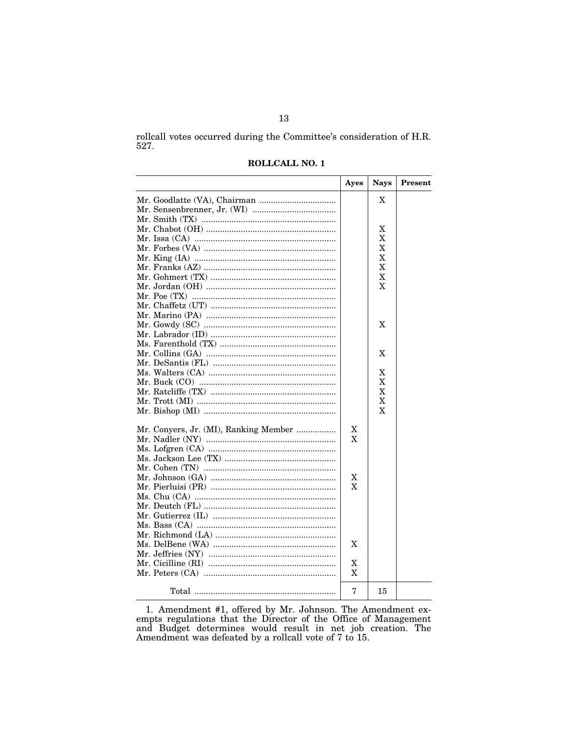rollcall votes occurred during the Committee's consideration of H.R. 527.

|                                       | Ayes         | <b>Nays</b> | Present |
|---------------------------------------|--------------|-------------|---------|
|                                       |              | X           |         |
|                                       |              |             |         |
|                                       |              |             |         |
|                                       |              | X           |         |
|                                       |              | X           |         |
|                                       |              | X           |         |
|                                       |              | X           |         |
|                                       |              | X           |         |
|                                       |              | X           |         |
|                                       |              | $\mathbf x$ |         |
|                                       |              |             |         |
|                                       |              |             |         |
|                                       |              |             |         |
|                                       |              | X           |         |
|                                       |              |             |         |
|                                       |              |             |         |
|                                       |              | X           |         |
|                                       |              |             |         |
|                                       |              | X           |         |
|                                       |              | X           |         |
|                                       |              | X           |         |
|                                       |              | $\mathbf X$ |         |
|                                       |              | X           |         |
| Mr. Conyers, Jr. (MI), Ranking Member | X            |             |         |
|                                       | $\mathbf{X}$ |             |         |
|                                       |              |             |         |
|                                       |              |             |         |
|                                       |              |             |         |
|                                       | X            |             |         |
|                                       | $\mathbf{X}$ |             |         |
|                                       |              |             |         |
|                                       |              |             |         |
|                                       |              |             |         |
|                                       |              |             |         |
|                                       |              |             |         |
|                                       | X            |             |         |
|                                       |              |             |         |
|                                       | X            |             |         |
|                                       | X            |             |         |
|                                       |              |             |         |
|                                       | 7            | 15          |         |

| <b>ROLLCALL NO. 1</b> |  |  |
|-----------------------|--|--|
|-----------------------|--|--|

1. Amendment #1, offered by Mr. Johnson. The Amendment exempts regulations that the Director of the Office of Management and Budget determines would result in net job creation. The Amendment was defeated by a rollcall vote of 7 to 15.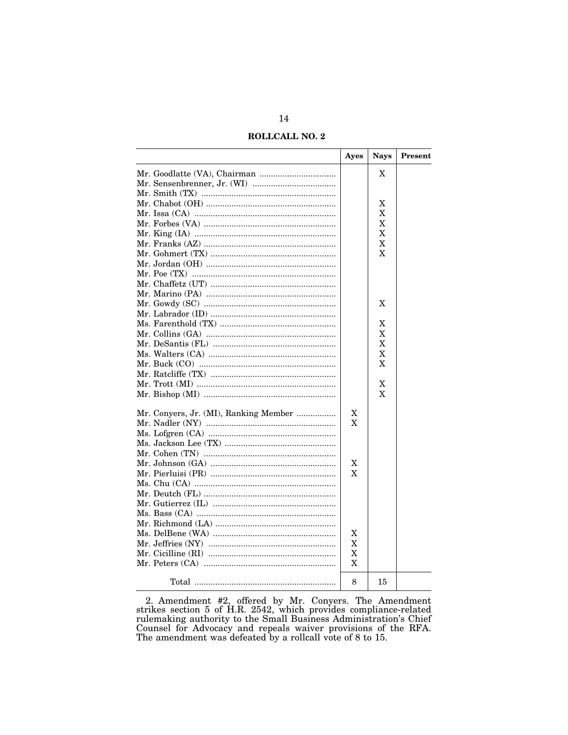ROLLCALL NO. 2

|                                       | Ayes         | <b>Nays</b> | Present |
|---------------------------------------|--------------|-------------|---------|
|                                       |              | X           |         |
|                                       |              |             |         |
|                                       |              |             |         |
|                                       |              | X           |         |
|                                       |              | X           |         |
|                                       |              | $\mathbf X$ |         |
|                                       |              | X           |         |
|                                       |              | X           |         |
|                                       |              | X           |         |
|                                       |              |             |         |
|                                       |              |             |         |
|                                       |              |             |         |
|                                       |              |             |         |
|                                       |              | X           |         |
|                                       |              |             |         |
|                                       |              | X           |         |
|                                       |              | X           |         |
|                                       |              | X           |         |
|                                       |              | X           |         |
|                                       |              | X           |         |
|                                       |              |             |         |
|                                       |              | X           |         |
|                                       |              | X           |         |
| Mr. Conyers, Jr. (MI), Ranking Member | $\mathbf X$  |             |         |
|                                       | $\mathbf{X}$ |             |         |
|                                       |              |             |         |
|                                       |              |             |         |
|                                       |              |             |         |
|                                       | X            |             |         |
|                                       | $\mathbf{x}$ |             |         |
|                                       |              |             |         |
|                                       |              |             |         |
|                                       |              |             |         |
|                                       |              |             |         |
|                                       |              |             |         |
|                                       | X            |             |         |
|                                       | X            |             |         |
|                                       | X            |             |         |
|                                       | X            |             |         |
|                                       | 8            | 15          |         |

2. Amendment  $#2$ , offered by Mr. Convers. The Amendment strikes section 5 of H.R. 2542, which provides compliance-related rulemaking authority to the Small Business Administration's Chief Counsel for Advocacy and repeals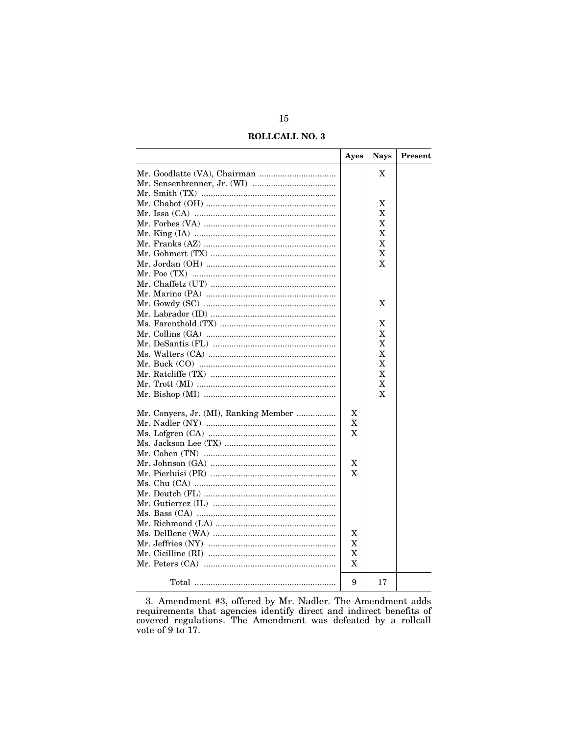ROLLCALL NO. 3

|                                       | Ayes | <b>Nays</b>  | Present |
|---------------------------------------|------|--------------|---------|
|                                       |      | X            |         |
|                                       |      |              |         |
|                                       |      |              |         |
|                                       |      | X            |         |
|                                       |      | X            |         |
|                                       |      | $\mathbf X$  |         |
|                                       |      | X            |         |
|                                       |      | X            |         |
|                                       |      | X            |         |
|                                       |      | X            |         |
|                                       |      |              |         |
|                                       |      |              |         |
|                                       |      |              |         |
|                                       |      | X            |         |
|                                       |      |              |         |
|                                       |      | X            |         |
|                                       |      | X            |         |
|                                       |      | X            |         |
|                                       |      | X            |         |
|                                       |      | X            |         |
|                                       |      | $\mathbf{X}$ |         |
|                                       |      | X            |         |
|                                       |      | X            |         |
| Mr. Conyers, Jr. (MI), Ranking Member | X    |              |         |
|                                       | X    |              |         |
|                                       | X    |              |         |
|                                       |      |              |         |
|                                       |      |              |         |
|                                       | X    |              |         |
|                                       | X    |              |         |
|                                       |      |              |         |
|                                       |      |              |         |
|                                       |      |              |         |
|                                       |      |              |         |
|                                       |      |              |         |
|                                       | X    |              |         |
|                                       | X    |              |         |
|                                       | X    |              |         |
|                                       | X    |              |         |
|                                       | 9    | 17           |         |

3. Amendment  $#3$ , offered by Mr. Nadler. The Amendment adds requirements that agencies identify direct and indirect benefits of covered regulations. The Amendment was defeated by a rollcall vote of  $9 \text{ to } 17$ .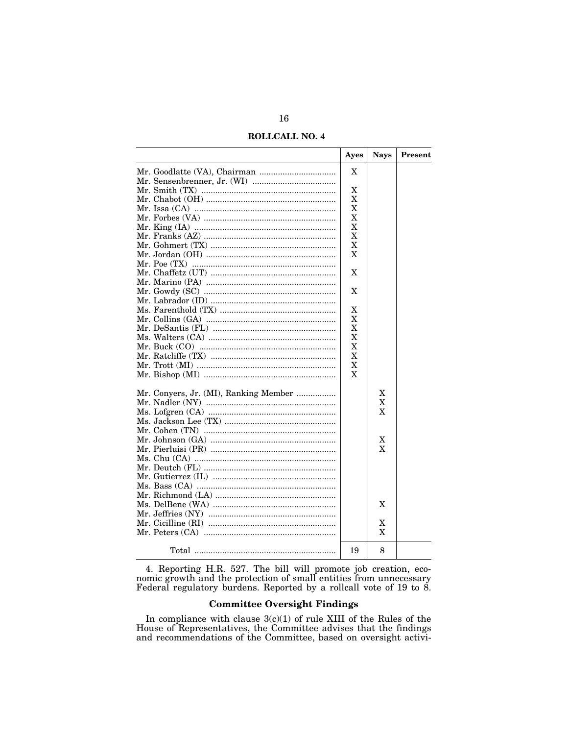ROLLCALL NO. 4

|                                       | Ayes        | <b>Nays</b> | Present |
|---------------------------------------|-------------|-------------|---------|
|                                       | X           |             |         |
|                                       |             |             |         |
|                                       | X           |             |         |
|                                       | X           |             |         |
|                                       | $\mathbf X$ |             |         |
|                                       | X           |             |         |
|                                       | X           |             |         |
|                                       | $\mathbf X$ |             |         |
|                                       | $\mathbf X$ |             |         |
|                                       | X           |             |         |
|                                       |             |             |         |
|                                       | X           |             |         |
|                                       |             |             |         |
|                                       | X           |             |         |
|                                       |             |             |         |
|                                       | X           |             |         |
|                                       | X           |             |         |
|                                       | $\mathbf X$ |             |         |
|                                       |             |             |         |
|                                       | X           |             |         |
|                                       | X           |             |         |
|                                       | X           |             |         |
|                                       | X           |             |         |
|                                       | X           |             |         |
| Mr. Conyers, Jr. (MI), Ranking Member |             | X           |         |
|                                       |             | X           |         |
|                                       |             | $\mathbf x$ |         |
|                                       |             |             |         |
|                                       |             |             |         |
|                                       |             | X           |         |
|                                       |             | $\mathbf x$ |         |
|                                       |             |             |         |
|                                       |             |             |         |
|                                       |             |             |         |
|                                       |             |             |         |
|                                       |             |             |         |
|                                       |             | X           |         |
|                                       |             |             |         |
|                                       |             | X           |         |
|                                       |             | X           |         |
|                                       |             |             |         |
|                                       | 19          | 8           |         |
|                                       |             |             |         |

4. Reporting H.R. 527. The bill will promote job creation, economic growth and the protection of small entities from unnecessary Federal regulatory burdens. Reported by a rollcall vote of 19 to 8.

# **Committee Oversight Findings**

In compliance with clause  $3(c)(1)$  of rule XIII of the Rules of the House of Representatives, the Committee advises that the findings and recommendations of the Committee, based on oversight activi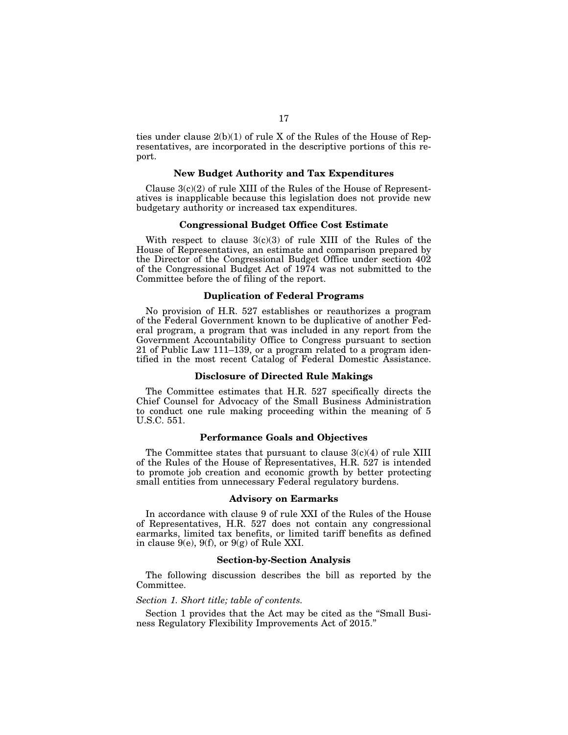ties under clause 2(b)(1) of rule X of the Rules of the House of Representatives, are incorporated in the descriptive portions of this report.

## **New Budget Authority and Tax Expenditures**

Clause  $3(c)(2)$  of rule XIII of the Rules of the House of Representatives is inapplicable because this legislation does not provide new budgetary authority or increased tax expenditures.

#### **Congressional Budget Office Cost Estimate**

With respect to clause  $3(c)(3)$  of rule XIII of the Rules of the House of Representatives, an estimate and comparison prepared by the Director of the Congressional Budget Office under section 402 of the Congressional Budget Act of 1974 was not submitted to the Committee before the of filing of the report.

#### **Duplication of Federal Programs**

No provision of H.R. 527 establishes or reauthorizes a program of the Federal Government known to be duplicative of another Federal program, a program that was included in any report from the Government Accountability Office to Congress pursuant to section 21 of Public Law 111–139, or a program related to a program identified in the most recent Catalog of Federal Domestic Assistance.

#### **Disclosure of Directed Rule Makings**

The Committee estimates that H.R. 527 specifically directs the Chief Counsel for Advocacy of the Small Business Administration to conduct one rule making proceeding within the meaning of 5 U.S.C. 551.

#### **Performance Goals and Objectives**

The Committee states that pursuant to clause  $3(c)(4)$  of rule XIII of the Rules of the House of Representatives, H.R. 527 is intended to promote job creation and economic growth by better protecting small entities from unnecessary Federal regulatory burdens.

#### **Advisory on Earmarks**

In accordance with clause 9 of rule XXI of the Rules of the House of Representatives, H.R. 527 does not contain any congressional earmarks, limited tax benefits, or limited tariff benefits as defined in clause  $9(e)$ ,  $9(f)$ , or  $9(g)$  of Rule XXI.

#### **Section-by-Section Analysis**

The following discussion describes the bill as reported by the Committee.

## *Section 1. Short title; table of contents.*

Section 1 provides that the Act may be cited as the ''Small Business Regulatory Flexibility Improvements Act of 2015.''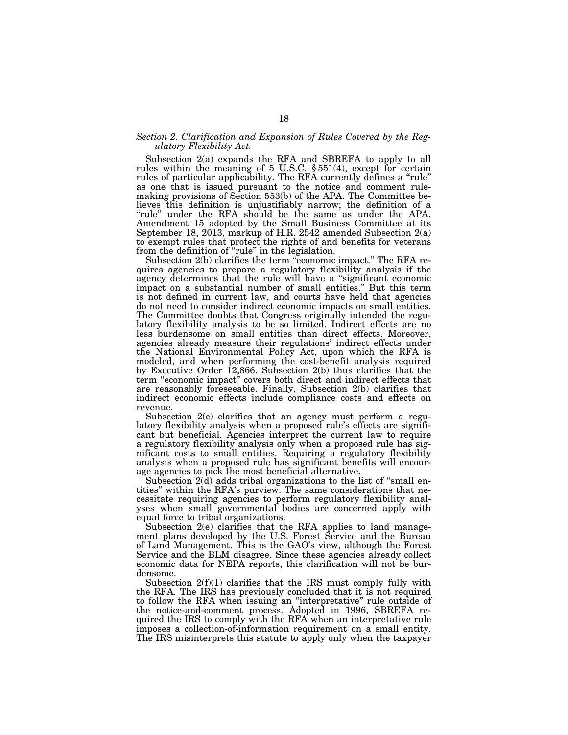#### *Section 2. Clarification and Expansion of Rules Covered by the Regulatory Flexibility Act.*

Subsection 2(a) expands the RFA and SBREFA to apply to all rules within the meaning of 5 U.S.C. § 551(4), except for certain rules of particular applicability. The RFA currently defines a "rule" as one that is issued pursuant to the notice and comment rulemaking provisions of Section 553(b) of the APA. The Committee believes this definition is unjustifiably narrow; the definition of a ''rule'' under the RFA should be the same as under the APA. Amendment 15 adopted by the Small Business Committee at its September 18, 2013, markup of H.R. 2542 amended Subsection 2(a) to exempt rules that protect the rights of and benefits for veterans from the definition of ''rule'' in the legislation.

Subsection 2(b) clarifies the term "economic impact." The RFA requires agencies to prepare a regulatory flexibility analysis if the agency determines that the rule will have a ''significant economic impact on a substantial number of small entities.'' But this term is not defined in current law, and courts have held that agencies do not need to consider indirect economic impacts on small entities. The Committee doubts that Congress originally intended the regulatory flexibility analysis to be so limited. Indirect effects are no less burdensome on small entities than direct effects. Moreover, agencies already measure their regulations' indirect effects under the National Environmental Policy Act, upon which the RFA is modeled, and when performing the cost-benefit analysis required by Executive Order 12,866. Subsection 2(b) thus clarifies that the term ''economic impact'' covers both direct and indirect effects that are reasonably foreseeable. Finally, Subsection 2(b) clarifies that indirect economic effects include compliance costs and effects on revenue.

Subsection 2(c) clarifies that an agency must perform a regulatory flexibility analysis when a proposed rule's effects are significant but beneficial. Agencies interpret the current law to require a regulatory flexibility analysis only when a proposed rule has significant costs to small entities. Requiring a regulatory flexibility analysis when a proposed rule has significant benefits will encourage agencies to pick the most beneficial alternative.

Subsection 2(d) adds tribal organizations to the list of "small entities'' within the RFA's purview. The same considerations that necessitate requiring agencies to perform regulatory flexibility analyses when small governmental bodies are concerned apply with equal force to tribal organizations.

Subsection 2(e) clarifies that the RFA applies to land management plans developed by the U.S. Forest Service and the Bureau of Land Management. This is the GAO's view, although the Forest Service and the BLM disagree. Since these agencies already collect economic data for NEPA reports, this clarification will not be burdensome.

Subsection  $2(f)(1)$  clarifies that the IRS must comply fully with the RFA. The IRS has previously concluded that it is not required to follow the RFA when issuing an ''interpretative'' rule outside of the notice-and-comment process. Adopted in 1996, SBREFA required the IRS to comply with the RFA when an interpretative rule imposes a collection-of-information requirement on a small entity. The IRS misinterprets this statute to apply only when the taxpayer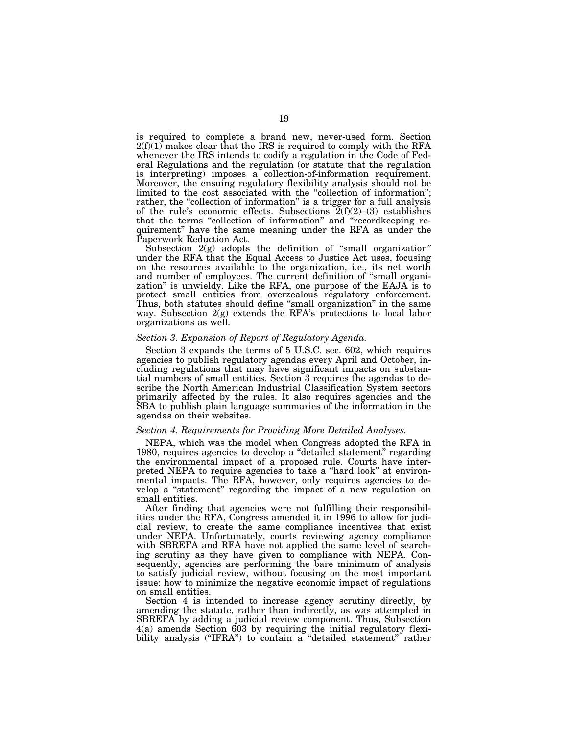is required to complete a brand new, never-used form. Section  $2(f)(1)$  makes clear that the IRS is required to comply with the RFA whenever the IRS intends to codify a regulation in the Code of Federal Regulations and the regulation (or statute that the regulation is interpreting) imposes a collection-of-information requirement. Moreover, the ensuing regulatory flexibility analysis should not be limited to the cost associated with the ''collection of information''; rather, the "collection of information" is a trigger for a full analysis of the rule's economic effects. Subsections 2(f)(2)–(3) establishes that the terms "collection of information" and "recordkeeping requirement'' have the same meaning under the RFA as under the Paperwork Reduction Act.

Subsection  $2(g)$  adopts the definition of "small organization" under the RFA that the Equal Access to Justice Act uses, focusing on the resources available to the organization, i.e., its net worth and number of employees. The current definition of ''small organization'' is unwieldy. Like the RFA, one purpose of the EAJA is to protect small entities from overzealous regulatory enforcement. Thus, both statutes should define "small organization" in the same way. Subsection 2(g) extends the RFA's protections to local labor organizations as well.

#### *Section 3. Expansion of Report of Regulatory Agenda.*

Section 3 expands the terms of 5 U.S.C. sec. 602, which requires agencies to publish regulatory agendas every April and October, including regulations that may have significant impacts on substantial numbers of small entities. Section 3 requires the agendas to describe the North American Industrial Classification System sectors primarily affected by the rules. It also requires agencies and the SBA to publish plain language summaries of the information in the agendas on their websites.

#### *Section 4. Requirements for Providing More Detailed Analyses.*

NEPA, which was the model when Congress adopted the RFA in 1980, requires agencies to develop a ''detailed statement'' regarding the environmental impact of a proposed rule. Courts have interpreted NEPA to require agencies to take a ''hard look'' at environmental impacts. The RFA, however, only requires agencies to develop a ''statement'' regarding the impact of a new regulation on small entities.

After finding that agencies were not fulfilling their responsibilities under the RFA, Congress amended it in 1996 to allow for judicial review, to create the same compliance incentives that exist under NEPA. Unfortunately, courts reviewing agency compliance with SBREFA and RFA have not applied the same level of searching scrutiny as they have given to compliance with NEPA. Consequently, agencies are performing the bare minimum of analysis to satisfy judicial review, without focusing on the most important issue: how to minimize the negative economic impact of regulations on small entities.

Section 4 is intended to increase agency scrutiny directly, by amending the statute, rather than indirectly, as was attempted in SBREFA by adding a judicial review component. Thus, Subsection 4(a) amends Section 603 by requiring the initial regulatory flexibility analysis (''IFRA'') to contain a ''detailed statement'' rather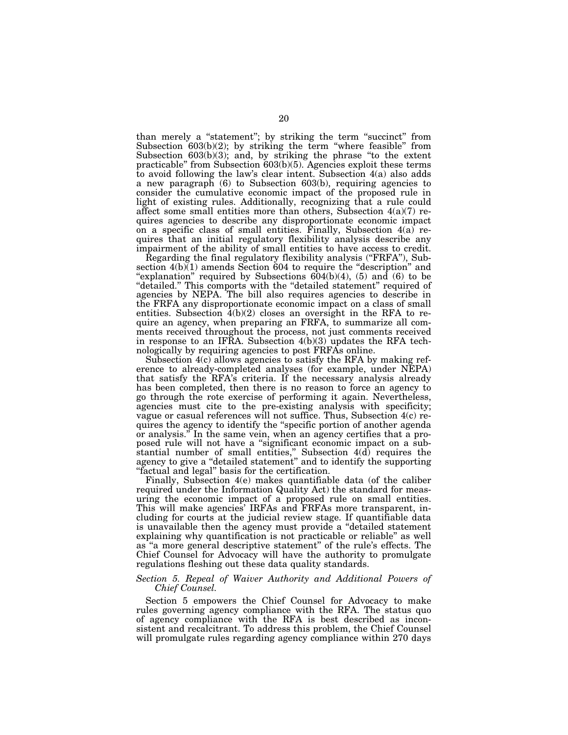than merely a ''statement''; by striking the term ''succinct'' from Subsection 603(b)(2); by striking the term ''where feasible'' from Subsection 603(b)(3); and, by striking the phrase "to the extent practicable'' from Subsection 603(b)(5). Agencies exploit these terms to avoid following the law's clear intent. Subsection 4(a) also adds a new paragraph  $(6)$  to Subsection 603 $(b)$ , requiring agencies to consider the cumulative economic impact of the proposed rule in light of existing rules. Additionally, recognizing that a rule could affect some small entities more than others, Subsection  $4(a)(7)$  requires agencies to describe any disproportionate economic impact on a specific class of small entities. Finally, Subsection 4(a) requires that an initial regulatory flexibility analysis describe any impairment of the ability of small entities to have access to credit.

Regarding the final regulatory flexibility analysis ("FRFA"), Subsection  $4(b)$ (1) amends Section 604 to require the "description" and "explanation" required by Subsections  $604(b)(4)$ ,  $(5)$  and  $(6)$  to be "detailed." This comports with the "detailed statement" required of agencies by NEPA. The bill also requires agencies to describe in the FRFA any disproportionate economic impact on a class of small entities. Subsection  $\overline{4(b)(2)}$  closes an oversight in the RFA to require an agency, when preparing an FRFA, to summarize all comments received throughout the process, not just comments received in response to an IFRA. Subsection  $4(b)(3)$  updates the RFA technologically by requiring agencies to post FRFAs online.

Subsection 4(c) allows agencies to satisfy the RFA by making reference to already-completed analyses (for example, under NEPA) that satisfy the RFA's criteria. If the necessary analysis already has been completed, then there is no reason to force an agency to go through the rote exercise of performing it again. Nevertheless, agencies must cite to the pre-existing analysis with specificity; vague or casual references will not suffice. Thus, Subsection 4(c) requires the agency to identify the ''specific portion of another agenda or analysis.'' In the same vein, when an agency certifies that a proposed rule will not have a ''significant economic impact on a substantial number of small entities,'' Subsection 4(d) requires the agency to give a ''detailed statement'' and to identify the supporting "factual and legal" basis for the certification.

Finally, Subsection 4(e) makes quantifiable data (of the caliber required under the Information Quality Act) the standard for measuring the economic impact of a proposed rule on small entities. This will make agencies' IRFAs and FRFAs more transparent, including for courts at the judicial review stage. If quantifiable data is unavailable then the agency must provide a ''detailed statement explaining why quantification is not practicable or reliable'' as well as ''a more general descriptive statement'' of the rule's effects. The Chief Counsel for Advocacy will have the authority to promulgate regulations fleshing out these data quality standards.

#### *Section 5. Repeal of Waiver Authority and Additional Powers of Chief Counsel.*

Section 5 empowers the Chief Counsel for Advocacy to make rules governing agency compliance with the RFA. The status quo of agency compliance with the RFA is best described as inconsistent and recalcitrant. To address this problem, the Chief Counsel will promulgate rules regarding agency compliance within 270 days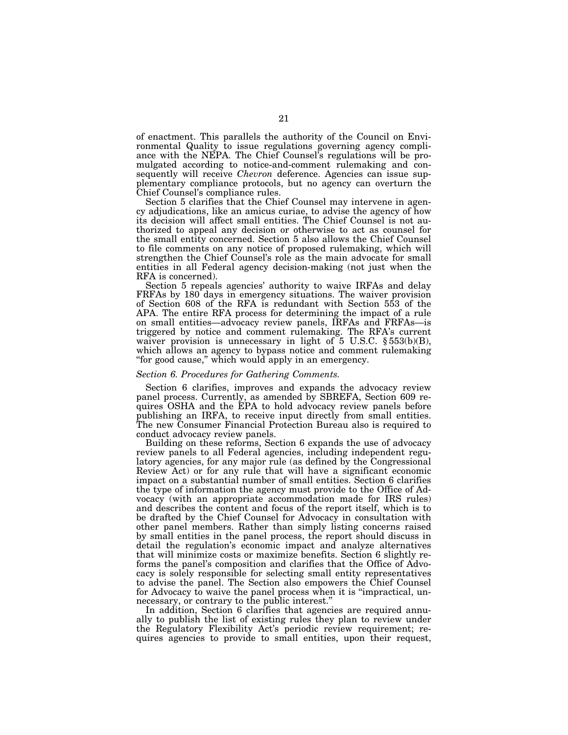of enactment. This parallels the authority of the Council on Environmental Quality to issue regulations governing agency compliance with the NEPA. The Chief Counsel's regulations will be promulgated according to notice-and-comment rulemaking and consequently will receive *Chevron* deference. Agencies can issue supplementary compliance protocols, but no agency can overturn the Chief Counsel's compliance rules.

Section 5 clarifies that the Chief Counsel may intervene in agency adjudications, like an amicus curiae, to advise the agency of how its decision will affect small entities. The Chief Counsel is not authorized to appeal any decision or otherwise to act as counsel for the small entity concerned. Section 5 also allows the Chief Counsel to file comments on any notice of proposed rulemaking, which will strengthen the Chief Counsel's role as the main advocate for small entities in all Federal agency decision-making (not just when the RFA is concerned).

Section 5 repeals agencies' authority to waive IRFAs and delay FRFAs by 180 days in emergency situations. The waiver provision of Section 608 of the RFA is redundant with Section 553 of the APA. The entire RFA process for determining the impact of a rule on small entities—advocacy review panels, IRFAs and FRFAs—is triggered by notice and comment rulemaking. The RFA's current waiver provision is unnecessary in light of 5 U.S.C. § 553(b)(B), which allows an agency to bypass notice and comment rulemaking ''for good cause,'' which would apply in an emergency.

#### *Section 6. Procedures for Gathering Comments.*

Section 6 clarifies, improves and expands the advocacy review panel process. Currently, as amended by SBREFA, Section 609 requires OSHA and the EPA to hold advocacy review panels before publishing an IRFA, to receive input directly from small entities. The new Consumer Financial Protection Bureau also is required to conduct advocacy review panels.

Building on these reforms, Section 6 expands the use of advocacy review panels to all Federal agencies, including independent regulatory agencies, for any major rule (as defined by the Congressional Review Act) or for any rule that will have a significant economic impact on a substantial number of small entities. Section 6 clarifies the type of information the agency must provide to the Office of Advocacy (with an appropriate accommodation made for IRS rules) and describes the content and focus of the report itself, which is to be drafted by the Chief Counsel for Advocacy in consultation with other panel members. Rather than simply listing concerns raised by small entities in the panel process, the report should discuss in detail the regulation's economic impact and analyze alternatives that will minimize costs or maximize benefits. Section 6 slightly reforms the panel's composition and clarifies that the Office of Advocacy is solely responsible for selecting small entity representatives to advise the panel. The Section also empowers the Chief Counsel for Advocacy to waive the panel process when it is ''impractical, unnecessary, or contrary to the public interest.''

In addition, Section 6 clarifies that agencies are required annually to publish the list of existing rules they plan to review under the Regulatory Flexibility Act's periodic review requirement; requires agencies to provide to small entities, upon their request,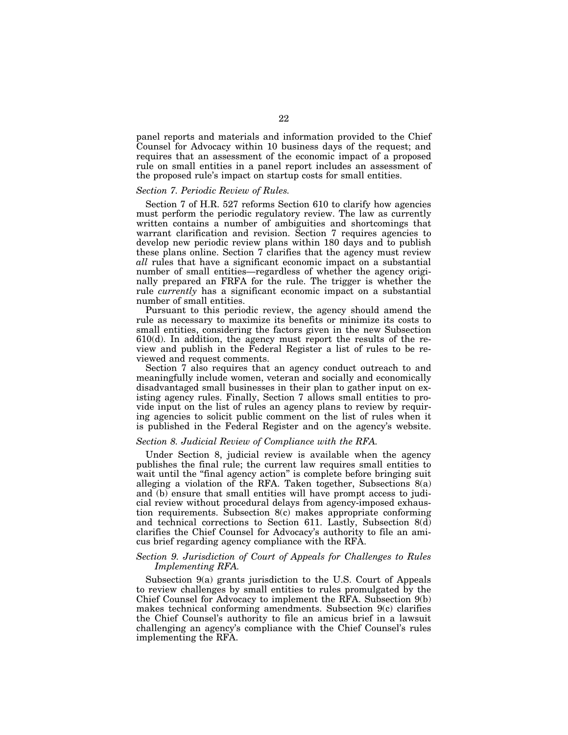panel reports and materials and information provided to the Chief Counsel for Advocacy within 10 business days of the request; and requires that an assessment of the economic impact of a proposed rule on small entities in a panel report includes an assessment of the proposed rule's impact on startup costs for small entities.

#### *Section 7. Periodic Review of Rules.*

Section 7 of H.R. 527 reforms Section 610 to clarify how agencies must perform the periodic regulatory review. The law as currently written contains a number of ambiguities and shortcomings that warrant clarification and revision. Section 7 requires agencies to develop new periodic review plans within 180 days and to publish these plans online. Section 7 clarifies that the agency must review *all* rules that have a significant economic impact on a substantial number of small entities—regardless of whether the agency originally prepared an FRFA for the rule. The trigger is whether the rule *currently* has a significant economic impact on a substantial number of small entities.

Pursuant to this periodic review, the agency should amend the rule as necessary to maximize its benefits or minimize its costs to small entities, considering the factors given in the new Subsection 610(d). In addition, the agency must report the results of the review and publish in the Federal Register a list of rules to be reviewed and request comments.

Section 7 also requires that an agency conduct outreach to and meaningfully include women, veteran and socially and economically disadvantaged small businesses in their plan to gather input on existing agency rules. Finally, Section 7 allows small entities to provide input on the list of rules an agency plans to review by requiring agencies to solicit public comment on the list of rules when it is published in the Federal Register and on the agency's website.

#### *Section 8. Judicial Review of Compliance with the RFA.*

Under Section 8, judicial review is available when the agency publishes the final rule; the current law requires small entities to wait until the "final agency action" is complete before bringing suit alleging a violation of the RFA. Taken together, Subsections  $8(a)$ and (b) ensure that small entities will have prompt access to judicial review without procedural delays from agency-imposed exhaustion requirements. Subsection 8(c) makes appropriate conforming and technical corrections to Section 611. Lastly, Subsection 8(d) clarifies the Chief Counsel for Advocacy's authority to file an amicus brief regarding agency compliance with the RFA.

### *Section 9. Jurisdiction of Court of Appeals for Challenges to Rules Implementing RFA.*

Subsection 9(a) grants jurisdiction to the U.S. Court of Appeals to review challenges by small entities to rules promulgated by the Chief Counsel for Advocacy to implement the RFA. Subsection 9(b) makes technical conforming amendments. Subsection 9(c) clarifies the Chief Counsel's authority to file an amicus brief in a lawsuit challenging an agency's compliance with the Chief Counsel's rules implementing the RFA.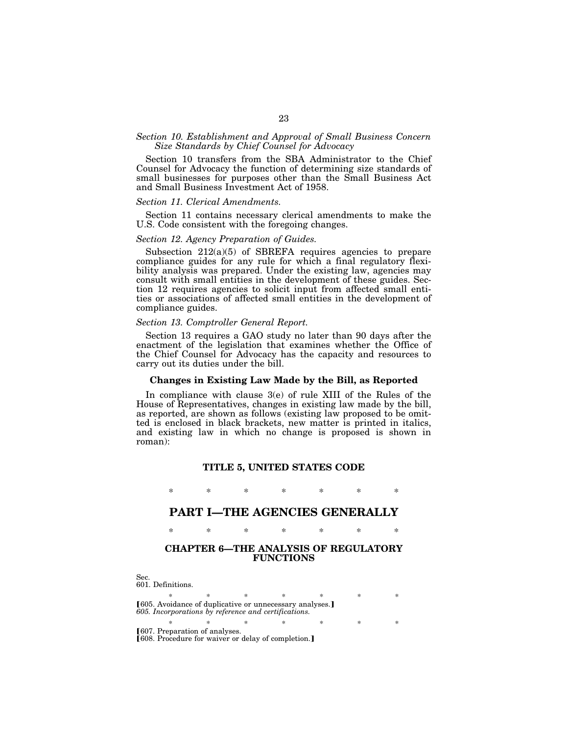#### *Section 10. Establishment and Approval of Small Business Concern Size Standards by Chief Counsel for Advocacy*

Section 10 transfers from the SBA Administrator to the Chief Counsel for Advocacy the function of determining size standards of small businesses for purposes other than the Small Business Act and Small Business Investment Act of 1958.

#### *Section 11. Clerical Amendments.*

Section 11 contains necessary clerical amendments to make the U.S. Code consistent with the foregoing changes.

#### *Section 12. Agency Preparation of Guides.*

Subsection 212(a)(5) of SBREFA requires agencies to prepare compliance guides for any rule for which a final regulatory flexibility analysis was prepared. Under the existing law, agencies may consult with small entities in the development of these guides. Section 12 requires agencies to solicit input from affected small entities or associations of affected small entities in the development of compliance guides.

#### *Section 13. Comptroller General Report.*

Section 13 requires a GAO study no later than 90 days after the enactment of the legislation that examines whether the Office of the Chief Counsel for Advocacy has the capacity and resources to carry out its duties under the bill.

#### **Changes in Existing Law Made by the Bill, as Reported**

In compliance with clause 3(e) of rule XIII of the Rules of the House of Representatives, changes in existing law made by the bill, as reported, are shown as follows (existing law proposed to be omitted is enclosed in black brackets, new matter is printed in italics, and existing law in which no change is proposed is shown in roman):

#### **TITLE 5, UNITED STATES CODE**

\* \* \* \* \* \* \*

# **PART I—THE AGENCIES GENERALLY**

\* \* \* \* \* \* \*

### **CHAPTER 6—THE ANALYSIS OF REGULATORY FUNCTIONS**

Sec.

601. Definitions.

ermand the state of the state of the state of the state of the state of the state of the state of the state of the state of the state of the state of the state of the state of the state of the state of the state of the sta *605. Incorporations by reference and certifications.*  \* \* \* \* \* \* \* \*

ø607. Preparation of analyses.

[608. Procedure for waiver or delay of completion.]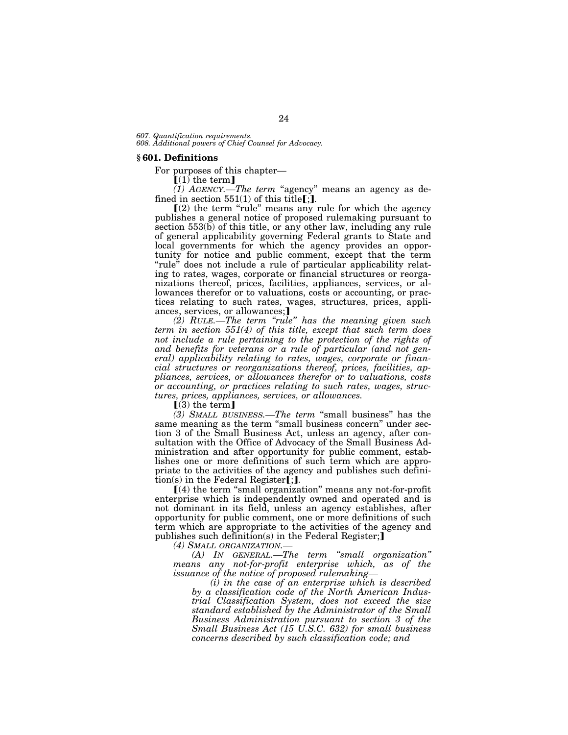*607. Quantification requirements. 608. Additional powers of Chief Counsel for Advocacy.* 

#### **§ 601. Definitions**

For purposes of this chapter—

 $(1)$  the term

*(1) AGENCY.—The term* "agency" means an agency as defined in section  $551(1)$  of this title[;**]**.

 $(2)$  the term "rule" means any rule for which the agency publishes a general notice of proposed rulemaking pursuant to section 553(b) of this title, or any other law, including any rule of general applicability governing Federal grants to State and local governments for which the agency provides an opportunity for notice and public comment, except that the term "rule" does not include a rule of particular applicability relating to rates, wages, corporate or financial structures or reorganizations thereof, prices, facilities, appliances, services, or allowances therefor or to valuations, costs or accounting, or practices relating to such rates, wages, structures, prices, appliances, services, or allowances;

*(2) RULE.—The term ''rule'' has the meaning given such term in section 551(4) of this title, except that such term does not include a rule pertaining to the protection of the rights of and benefits for veterans or a rule of particular (and not general) applicability relating to rates, wages, corporate or financial structures or reorganizations thereof, prices, facilities, appliances, services, or allowances therefor or to valuations, costs or accounting, or practices relating to such rates, wages, structures, prices, appliances, services, or allowances.* 

 $\hat{\mathbf{I}}(3)$  the term

*(3) SMALL BUSINESS.—The term* ''small business'' has the same meaning as the term "small business concern" under section 3 of the Small Business Act, unless an agency, after consultation with the Office of Advocacy of the Small Business Administration and after opportunity for public comment, establishes one or more definitions of such term which are appropriate to the activities of the agency and publishes such defini- $\bar{\text{tion}}(s)$  in the Federal Register  $\bar{\text{f}}$ ;*.* 

 $(4)$  the term "small organization" means any not-for-profit enterprise which is independently owned and operated and is not dominant in its field, unless an agency establishes, after opportunity for public comment, one or more definitions of such term which are appropriate to the activities of the agency and publishes such definition(s) in the Federal Register;

*(4) SMALL ORGANIZATION.—* 

*(A) IN GENERAL.—The term ''small organization'' means any not-for-profit enterprise which, as of the issuance of the notice of proposed rulemaking—* 

*(i) in the case of an enterprise which is described by a classification code of the North American Industrial Classification System, does not exceed the size standard established by the Administrator of the Small Business Administration pursuant to section 3 of the Small Business Act (15 U.S.C. 632) for small business concerns described by such classification code; and*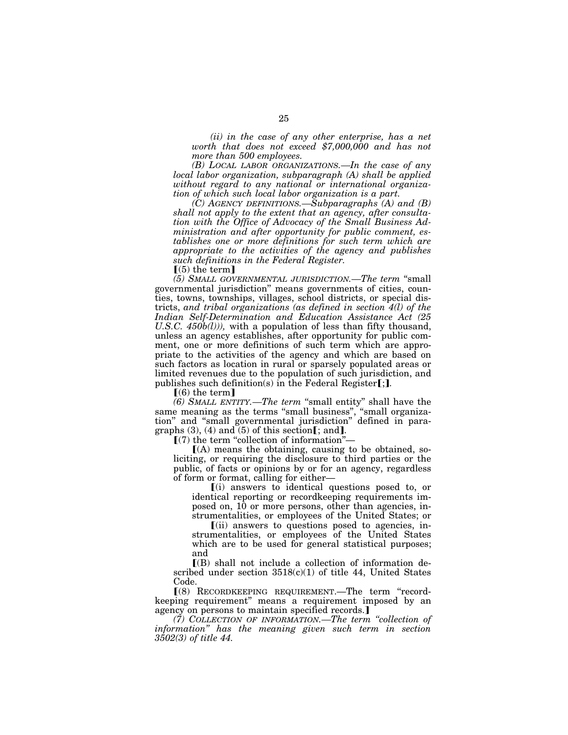*(ii) in the case of any other enterprise, has a net worth that does not exceed \$7,000,000 and has not more than 500 employees.* 

*(B) LOCAL LABOR ORGANIZATIONS.—In the case of any local labor organization, subparagraph (A) shall be applied without regard to any national or international organization of which such local labor organization is a part.* 

*(C) AGENCY DEFINITIONS.—Subparagraphs (A) and (B) shall not apply to the extent that an agency, after consultation with the Office of Advocacy of the Small Business Administration and after opportunity for public comment, establishes one or more definitions for such term which are appropriate to the activities of the agency and publishes such definitions in the Federal Register.* 

 $(5)$  the term]

*(5) SMALL GOVERNMENTAL JURISDICTION.—The term* ''small governmental jurisdiction'' means governments of cities, counties, towns, townships, villages, school districts, or special districts, *and tribal organizations (as defined in section 4(l) of the Indian Self-Determination and Education Assistance Act (25 U.S.C. 450b(l))),* with a population of less than fifty thousand, unless an agency establishes, after opportunity for public comment, one or more definitions of such term which are appropriate to the activities of the agency and which are based on such factors as location in rural or sparsely populated areas or limited revenues due to the population of such jurisdiction, and publishes such definition(s) in the Federal Register $[j]$ .

 $(6)$  the term]

*(6) SMALL ENTITY.—The term* ''small entity'' shall have the same meaning as the terms "small business", "small organization'' and ''small governmental jurisdiction'' defined in paragraphs  $(3)$ ,  $(4)$  and  $(5)$  of this section  $\left[$ ; and  $\right]$ .

 $(7)$  the term "collection of information"-

 $(A)$  means the obtaining, causing to be obtained, soliciting, or requiring the disclosure to third parties or the public, of facts or opinions by or for an agency, regardless of form or format, calling for either—

 $(i)$  answers to identical questions posed to, or identical reporting or recordkeeping requirements imposed on, 10 or more persons, other than agencies, instrumentalities, or employees of the United States; or

 $(iii)$  answers to questions posed to agencies, instrumentalities, or employees of the United States which are to be used for general statistical purposes; and

 $\Gamma(B)$  shall not include a collection of information described under section  $3518(c)(1)$  of title 44, United States Code.

ø(8) RECORDKEEPING REQUIREMENT.—The term ''recordkeeping requirement'' means a requirement imposed by an agency on persons to maintain specified records.

*(7) COLLECTION OF INFORMATION.—The term ''collection of information'' has the meaning given such term in section 3502(3) of title 44.*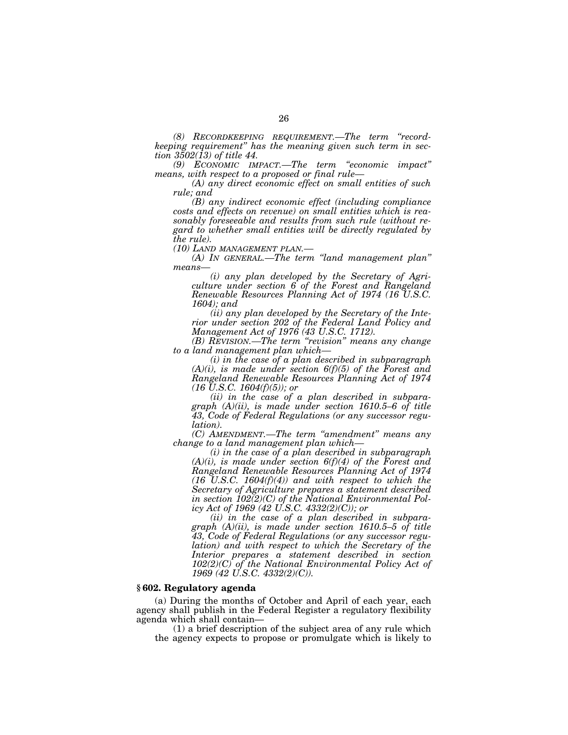*(8) RECORDKEEPING REQUIREMENT.—The term ''recordkeeping requirement'' has the meaning given such term in section 3502(13) of title 44.* 

*(9) ECONOMIC IMPACT.—The term ''economic impact'' means, with respect to a proposed or final rule—* 

*(A) any direct economic effect on small entities of such rule; and* 

*(B) any indirect economic effect (including compliance costs and effects on revenue) on small entities which is reasonably foreseeable and results from such rule (without regard to whether small entities will be directly regulated by the rule).* 

*(10) LAND MANAGEMENT PLAN.—* 

*(A) IN GENERAL.—The term ''land management plan'' means—* 

*(i) any plan developed by the Secretary of Agriculture under section 6 of the Forest and Rangeland Renewable Resources Planning Act of 1974 (16 U.S.C. 1604); and* 

*(ii) any plan developed by the Secretary of the Interior under section 202 of the Federal Land Policy and Management Act of 1976 (43 U.S.C. 1712).* 

*(B) REVISION.—The term ''revision'' means any change to a land management plan which—* 

*(i) in the case of a plan described in subparagraph (A)(i), is made under section 6(f)(5) of the Forest and Rangeland Renewable Resources Planning Act of 1974 (16 U.S.C. 1604(f)(5)); or* 

*(ii) in the case of a plan described in subparagraph (A)(ii), is made under section 1610.5–6 of title 43, Code of Federal Regulations (or any successor regulation).* 

*(C) AMENDMENT.—The term ''amendment'' means any change to a land management plan which—* 

*(i) in the case of a plan described in subparagraph (A)(i), is made under section 6(f)(4) of the Forest and Rangeland Renewable Resources Planning Act of 1974 (16 U.S.C. 1604(f)(4)) and with respect to which the Secretary of Agriculture prepares a statement described in section 102(2)(C) of the National Environmental Policy Act of 1969 (42 U.S.C. 4332(2)(C)); or* 

*(ii) in the case of a plan described in subparagraph (A)(ii), is made under section 1610.5–5 of title 43, Code of Federal Regulations (or any successor regulation) and with respect to which the Secretary of the Interior prepares a statement described in section 102(2)(C) of the National Environmental Policy Act of 1969 (42 U.S.C. 4332(2)(C)).* 

### **§ 602. Regulatory agenda**

(a) During the months of October and April of each year, each agency shall publish in the Federal Register a regulatory flexibility agenda which shall contain—

(1) a brief description of the subject area of any rule which the agency expects to propose or promulgate which is likely to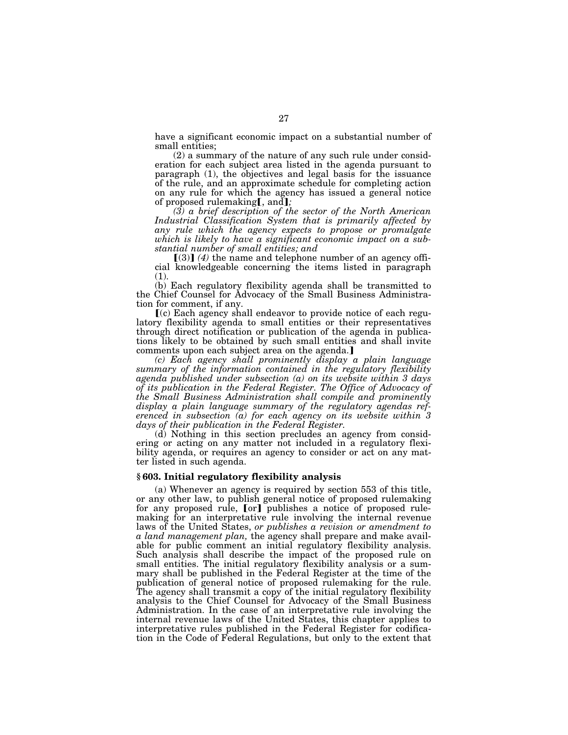have a significant economic impact on a substantial number of small entities;

(2) a summary of the nature of any such rule under consideration for each subject area listed in the agenda pursuant to paragraph (1), the objectives and legal basis for the issuance of the rule, and an approximate schedule for completing action on any rule for which the agency has issued a general notice of proposed rulemaking[, and];

*(3) a brief description of the sector of the North American Industrial Classification System that is primarily affected by any rule which the agency expects to propose or promulgate which is likely to have a significant economic impact on a substantial number of small entities; and* 

 $(3)$  (4) the name and telephone number of an agency official knowledgeable concerning the items listed in paragraph (1).

(b) Each regulatory flexibility agenda shall be transmitted to the Chief Counsel for Advocacy of the Small Business Administration for comment, if any.

ø(c) Each agency shall endeavor to provide notice of each regulatory flexibility agenda to small entities or their representatives through direct notification or publication of the agenda in publications likely to be obtained by such small entities and shall invite comments upon each subject area on the agenda.]

*(c) Each agency shall prominently display a plain language summary of the information contained in the regulatory flexibility agenda published under subsection (a) on its website within 3 days of its publication in the Federal Register. The Office of Advocacy of the Small Business Administration shall compile and prominently display a plain language summary of the regulatory agendas referenced in subsection (a) for each agency on its website within 3 days of their publication in the Federal Register.* 

(d) Nothing in this section precludes an agency from considering or acting on any matter not included in a regulatory flexibility agenda, or requires an agency to consider or act on any matter listed in such agenda.

#### **§ 603. Initial regulatory flexibility analysis**

(a) Whenever an agency is required by section 553 of this title, or any other law, to publish general notice of proposed rulemaking for any proposed rule, [or] publishes a notice of proposed rulemaking for an interpretative rule involving the internal revenue laws of the United States, *or publishes a revision or amendment to a land management plan,* the agency shall prepare and make available for public comment an initial regulatory flexibility analysis. Such analysis shall describe the impact of the proposed rule on small entities. The initial regulatory flexibility analysis or a summary shall be published in the Federal Register at the time of the publication of general notice of proposed rulemaking for the rule. The agency shall transmit a copy of the initial regulatory flexibility analysis to the Chief Counsel for Advocacy of the Small Business Administration. In the case of an interpretative rule involving the internal revenue laws of the United States, this chapter applies to interpretative rules published in the Federal Register for codification in the Code of Federal Regulations, but only to the extent that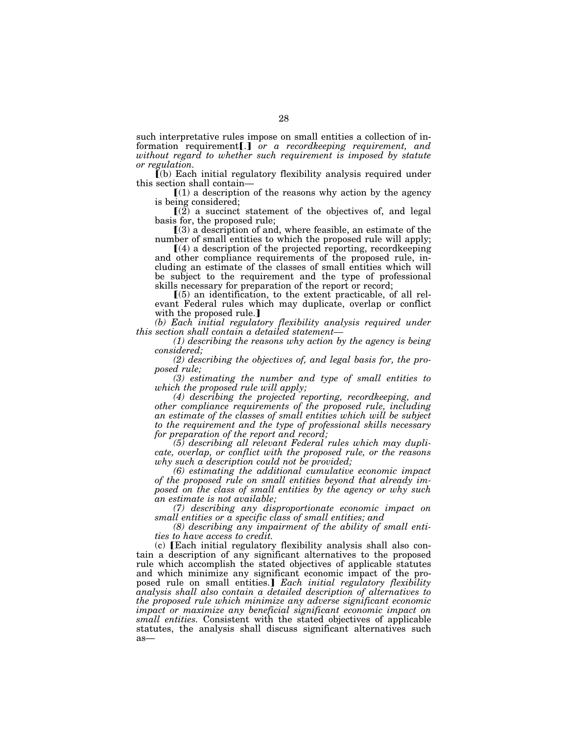such interpretative rules impose on small entities a collection of information requirement<sup>[.]</sup> *or a recordkeeping requirement, and without regard to whether such requirement is imposed by statute or regulation.* 

ø(b) Each initial regulatory flexibility analysis required under this section shall contain—

 $(1)$  a description of the reasons why action by the agency is being considered;

 $(2)$  a succinct statement of the objectives of, and legal basis for, the proposed rule;

 $(3)$  a description of and, where feasible, an estimate of the number of small entities to which the proposed rule will apply;

 $(4)$  a description of the projected reporting, recordkeeping and other compliance requirements of the proposed rule, including an estimate of the classes of small entities which will be subject to the requirement and the type of professional skills necessary for preparation of the report or record;

 $(5)$  an identification, to the extent practicable, of all relevant Federal rules which may duplicate, overlap or conflict with the proposed rule.

*(b) Each initial regulatory flexibility analysis required under this section shall contain a detailed statement—* 

*(1) describing the reasons why action by the agency is being considered;* 

*(2) describing the objectives of, and legal basis for, the proposed rule;* 

*(3) estimating the number and type of small entities to which the proposed rule will apply;* 

*(4) describing the projected reporting, recordkeeping, and other compliance requirements of the proposed rule, including an estimate of the classes of small entities which will be subject to the requirement and the type of professional skills necessary for preparation of the report and record;* 

*(5) describing all relevant Federal rules which may duplicate, overlap, or conflict with the proposed rule, or the reasons why such a description could not be provided;* 

*(6) estimating the additional cumulative economic impact of the proposed rule on small entities beyond that already imposed on the class of small entities by the agency or why such an estimate is not available;* 

*(7) describing any disproportionate economic impact on small entities or a specific class of small entities; and* 

*(8) describing any impairment of the ability of small entities to have access to credit.* 

(c) [Each initial regulatory flexibility analysis shall also contain a description of any significant alternatives to the proposed rule which accomplish the stated objectives of applicable statutes and which minimize any significant economic impact of the pro-<br>posed rule on small entities.] *Each initial regulatory flexibility analysis shall also contain a detailed description of alternatives to the proposed rule which minimize any adverse significant economic impact or maximize any beneficial significant economic impact on small entities.* Consistent with the stated objectives of applicable statutes, the analysis shall discuss significant alternatives such as—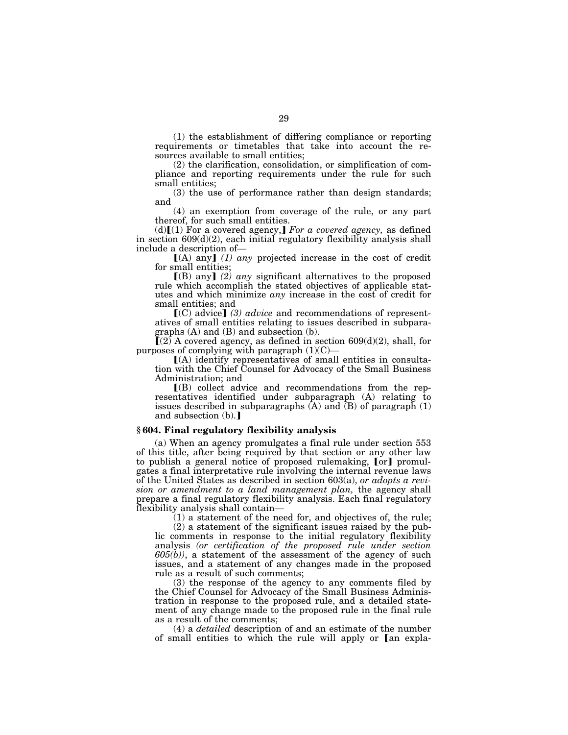(1) the establishment of differing compliance or reporting requirements or timetables that take into account the resources available to small entities;

(2) the clarification, consolidation, or simplification of compliance and reporting requirements under the rule for such small entities;

(3) the use of performance rather than design standards; and

(4) an exemption from coverage of the rule, or any part thereof, for such small entities.

(d) $[(1)$  For a covered agency,] For a covered agency, as defined in section 609(d)(2), each initial regulatory flexibility analysis shall include a description of—

 $[(A)$  any  $](1)$  any projected increase in the cost of credit for small entities;

 $[(B)$  any  $](2)$  any significant alternatives to the proposed rule which accomplish the stated objectives of applicable statutes and which minimize *any* increase in the cost of credit for small entities; and

 $\llbracket$ (C) advice] (3) *advice* and recommendations of representatives of small entities relating to issues described in subparagraphs (A) and (B) and subsection (b).

 $\check{I}(2)$  A covered agency, as defined in section 609(d)(2), shall, for purposes of complying with paragraph  $(1)(C)$ –

 $(A)$  identify representatives of small entities in consultation with the Chief Counsel for Advocacy of the Small Business Administration; and

 $($ B) collect advice and recommendations from the representatives identified under subparagraph (A) relating to issues described in subparagraphs  $(A)$  and  $(B)$  of paragraph  $(1)$ and subsection (b).

#### **§ 604. Final regulatory flexibility analysis**

(a) When an agency promulgates a final rule under section 553 of this title, after being required by that section or any other law to publish a general notice of proposed rulemaking, [or] promulgates a final interpretative rule involving the internal revenue laws of the United States as described in section 603(a), *or adopts a revision or amendment to a land management plan,* the agency shall prepare a final regulatory flexibility analysis. Each final regulatory flexibility analysis shall contain—

(1) a statement of the need for, and objectives of, the rule;

(2) a statement of the significant issues raised by the public comments in response to the initial regulatory flexibility analysis *(or certification of the proposed rule under section*   $605(\tilde{b})$ , a statement of the assessment of the agency of such issues, and a statement of any changes made in the proposed rule as a result of such comments;

(3) the response of the agency to any comments filed by the Chief Counsel for Advocacy of the Small Business Administration in response to the proposed rule, and a detailed statement of any change made to the proposed rule in the final rule as a result of the comments;

(4) a *detailed* description of and an estimate of the number of small entities to which the rule will apply or [an expla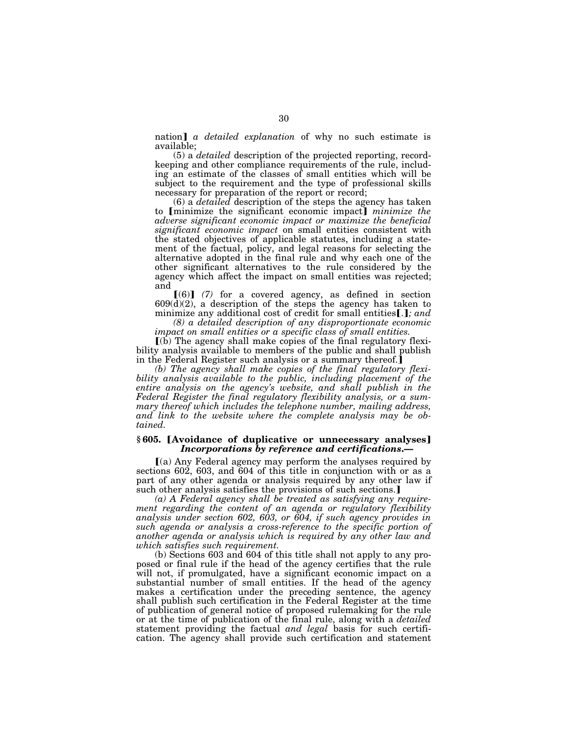nation] *a detailed explanation* of why no such estimate is available;

(5) a *detailed* description of the projected reporting, recordkeeping and other compliance requirements of the rule, including an estimate of the classes of small entities which will be subject to the requirement and the type of professional skills necessary for preparation of the report or record;

(6) a *detailed* description of the steps the agency has taken to *[minimize the significant economic impact] <i>minimize the adverse significant economic impact or maximize the beneficial significant economic impact* on small entities consistent with the stated objectives of applicable statutes, including a statement of the factual, policy, and legal reasons for selecting the alternative adopted in the final rule and why each one of the other significant alternatives to the rule considered by the agency which affect the impact on small entities was rejected; and

 $[(6)]$   $(7)$  for a covered agency, as defined in section  $609(d)(2)$ , a description of the steps the agency has taken to minimize any additional cost of credit for small entities..., and

*(8) a detailed description of any disproportionate economic impact on small entities or a specific class of small entities.* 

 $(6)$  The agency shall make copies of the final regulatory flexibility analysis available to members of the public and shall publish in the Federal Register such analysis or a summary thereof.

*(b) The agency shall make copies of the final regulatory flexibility analysis available to the public, including placement of the entire analysis on the agency's website, and shall publish in the Federal Register the final regulatory flexibility analysis, or a summary thereof which includes the telephone number, mailing address, and link to the website where the complete analysis may be obtained.* 

#### § 605. [Avoidance of duplicative or unnecessary analyses] *Incorporations by reference and certifications***.—**

ø(a) Any Federal agency may perform the analyses required by sections 602, 603, and 604 of this title in conjunction with or as a part of any other agenda or analysis required by any other law if such other analysis satisfies the provisions of such sections.]

*(a) A Federal agency shall be treated as satisfying any requirement regarding the content of an agenda or regulatory flexibility analysis under section 602, 603, or 604, if such agency provides in such agenda or analysis a cross-reference to the specific portion of another agenda or analysis which is required by any other law and which satisfies such requirement.* 

(b) Sections 603 and 604 of this title shall not apply to any proposed or final rule if the head of the agency certifies that the rule will not, if promulgated, have a significant economic impact on a substantial number of small entities. If the head of the agency makes a certification under the preceding sentence, the agency shall publish such certification in the Federal Register at the time of publication of general notice of proposed rulemaking for the rule or at the time of publication of the final rule, along with a *detailed*  statement providing the factual *and legal* basis for such certification. The agency shall provide such certification and statement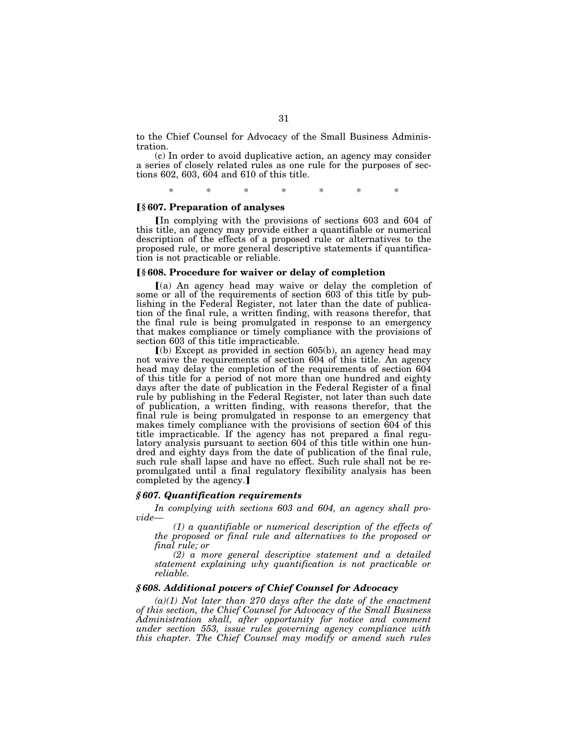to the Chief Counsel for Advocacy of the Small Business Administration.

(c) In order to avoid duplicative action, an agency may consider a series of closely related rules as one rule for the purposes of sections 602, 603, 604 and 610 of this title.

\* \* \* \* \* \* \*

#### ø**§ 607. Preparation of analyses**

In complying with the provisions of sections 603 and 604 of this title, an agency may provide either a quantifiable or numerical description of the effects of a proposed rule or alternatives to the proposed rule, or more general descriptive statements if quantification is not practicable or reliable.

#### ø**§ 608. Procedure for waiver or delay of completion**

ø(a) An agency head may waive or delay the completion of some or all of the requirements of section 603 of this title by publishing in the Federal Register, not later than the date of publication of the final rule, a written finding, with reasons therefor, that the final rule is being promulgated in response to an emergency that makes compliance or timely compliance with the provisions of section 603 of this title impracticable.

 $(a)$  Except as provided in section 605 $(b)$ , an agency head may not waive the requirements of section 604 of this title. An agency head may delay the completion of the requirements of section 604 of this title for a period of not more than one hundred and eighty days after the date of publication in the Federal Register of a final rule by publishing in the Federal Register, not later than such date of publication, a written finding, with reasons therefor, that the final rule is being promulgated in response to an emergency that makes timely compliance with the provisions of section 604 of this title impracticable. If the agency has not prepared a final regulatory analysis pursuant to section 604 of this title within one hundred and eighty days from the date of publication of the final rule, such rule shall lapse and have no effect. Such rule shall not be repromulgated until a final regulatory flexibility analysis has been completed by the agency.

#### *§ 607. Quantification requirements*

*In complying with sections 603 and 604, an agency shall provide—* 

*(1) a quantifiable or numerical description of the effects of the proposed or final rule and alternatives to the proposed or final rule; or* 

*(2) a more general descriptive statement and a detailed statement explaining why quantification is not practicable or reliable.* 

#### *§ 608. Additional powers of Chief Counsel for Advocacy*

*(a)(1) Not later than 270 days after the date of the enactment of this section, the Chief Counsel for Advocacy of the Small Business Administration shall, after opportunity for notice and comment under section 553, issue rules governing agency compliance with this chapter. The Chief Counsel may modify or amend such rules*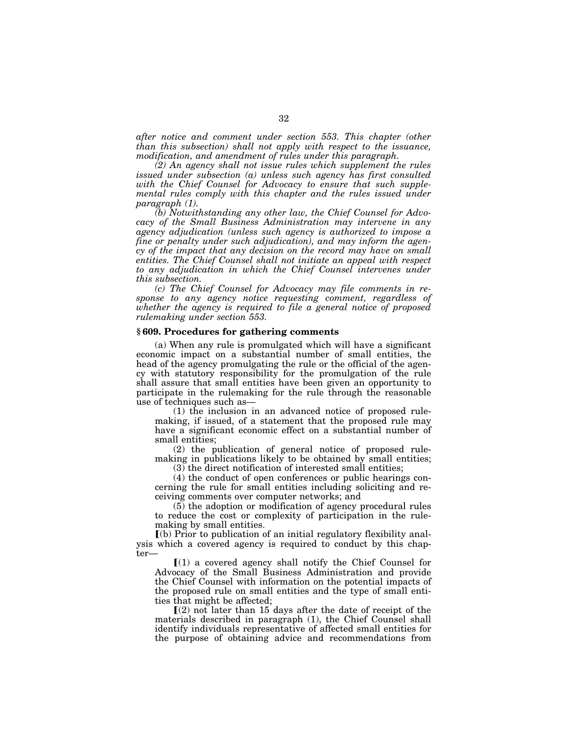*after notice and comment under section 553. This chapter (other than this subsection) shall not apply with respect to the issuance, modification, and amendment of rules under this paragraph.* 

*(2) An agency shall not issue rules which supplement the rules issued under subsection (a) unless such agency has first consulted with the Chief Counsel for Advocacy to ensure that such supplemental rules comply with this chapter and the rules issued under paragraph (1).* 

*(b) Notwithstanding any other law, the Chief Counsel for Advocacy of the Small Business Administration may intervene in any agency adjudication (unless such agency is authorized to impose a fine or penalty under such adjudication), and may inform the agency of the impact that any decision on the record may have on small*  entities. The Chief Counsel shall not initiate an appeal with respect to any adjudication in which the Chief Counsel intervenes under *this subsection.* 

*(c) The Chief Counsel for Advocacy may file comments in response to any agency notice requesting comment, regardless of whether the agency is required to file a general notice of proposed rulemaking under section 553.* 

#### **§ 609. Procedures for gathering comments**

(a) When any rule is promulgated which will have a significant economic impact on a substantial number of small entities, the head of the agency promulgating the rule or the official of the agency with statutory responsibility for the promulgation of the rule shall assure that small entities have been given an opportunity to participate in the rulemaking for the rule through the reasonable use of techniques such as—

(1) the inclusion in an advanced notice of proposed rulemaking, if issued, of a statement that the proposed rule may have a significant economic effect on a substantial number of small entities;

(2) the publication of general notice of proposed rulemaking in publications likely to be obtained by small entities;

(3) the direct notification of interested small entities;

(4) the conduct of open conferences or public hearings concerning the rule for small entities including soliciting and receiving comments over computer networks; and

(5) the adoption or modification of agency procedural rules to reduce the cost or complexity of participation in the rulemaking by small entities.

ø(b) Prior to publication of an initial regulatory flexibility analysis which a covered agency is required to conduct by this chapter—

 $(1)$  a covered agency shall notify the Chief Counsel for Advocacy of the Small Business Administration and provide the Chief Counsel with information on the potential impacts of the proposed rule on small entities and the type of small entities that might be affected;

 $\Gamma(2)$  not later than 15 days after the date of receipt of the materials described in paragraph (1), the Chief Counsel shall identify individuals representative of affected small entities for the purpose of obtaining advice and recommendations from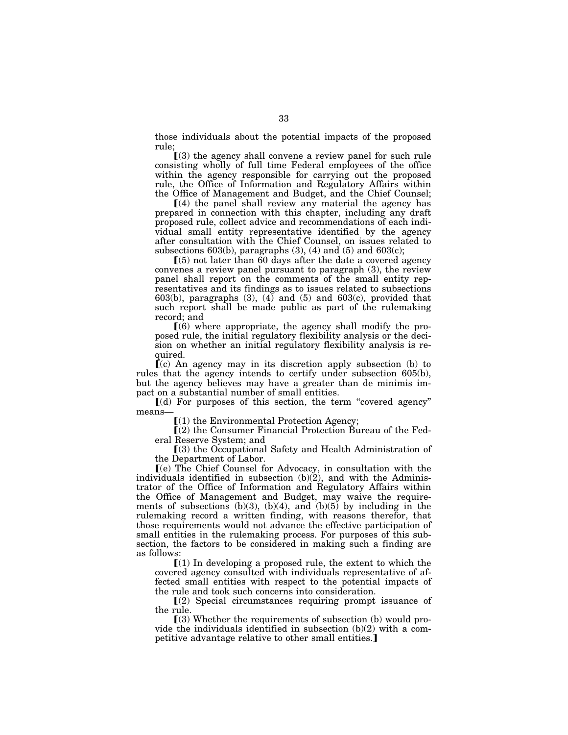those individuals about the potential impacts of the proposed rule;

 $(3)$  the agency shall convene a review panel for such rule consisting wholly of full time Federal employees of the office within the agency responsible for carrying out the proposed rule, the Office of Information and Regulatory Affairs within the Office of Management and Budget, and the Chief Counsel;

 $(4)$  the panel shall review any material the agency has prepared in connection with this chapter, including any draft proposed rule, collect advice and recommendations of each individual small entity representative identified by the agency after consultation with the Chief Counsel, on issues related to subsections  $603(b)$ , paragraphs  $(3)$ ,  $(4)$  and  $(5)$  and  $603(c)$ ;

 $(5)$  not later than  $60$  days after the date a covered agency convenes a review panel pursuant to paragraph (3), the review panel shall report on the comments of the small entity representatives and its findings as to issues related to subsections 603(b), paragraphs (3), (4) and (5) and 603(c), provided that such report shall be made public as part of the rulemaking record; and

 $(6)$  where appropriate, the agency shall modify the proposed rule, the initial regulatory flexibility analysis or the decision on whether an initial regulatory flexibility analysis is required.

 $(c)$  An agency may in its discretion apply subsection (b) to rules that the agency intends to certify under subsection 605(b), but the agency believes may have a greater than de minimis impact on a substantial number of small entities.

 $[(d)$  For purposes of this section, the term "covered agency" means—

 $(1)$  the Environmental Protection Agency;

 $(2)$  the Consumer Financial Protection Bureau of the Federal Reserve System; and

ø(3) the Occupational Safety and Health Administration of the Department of Labor.

ø(e) The Chief Counsel for Advocacy, in consultation with the individuals identified in subsection  $(b)(2)$ , and with the Administrator of the Office of Information and Regulatory Affairs within the Office of Management and Budget, may waive the requirements of subsections  $(b)(3)$ ,  $(b)(4)$ , and  $(b)(5)$  by including in the rulemaking record a written finding, with reasons therefor, that those requirements would not advance the effective participation of small entities in the rulemaking process. For purposes of this subsection, the factors to be considered in making such a finding are as follows:

 $\lceil (1) \rceil$  In developing a proposed rule, the extent to which the covered agency consulted with individuals representative of affected small entities with respect to the potential impacts of the rule and took such concerns into consideration.

ø(2) Special circumstances requiring prompt issuance of the rule.

 $(3)$  Whether the requirements of subsection (b) would provide the individuals identified in subsection  $(b)(2)$  with a competitive advantage relative to other small entities.]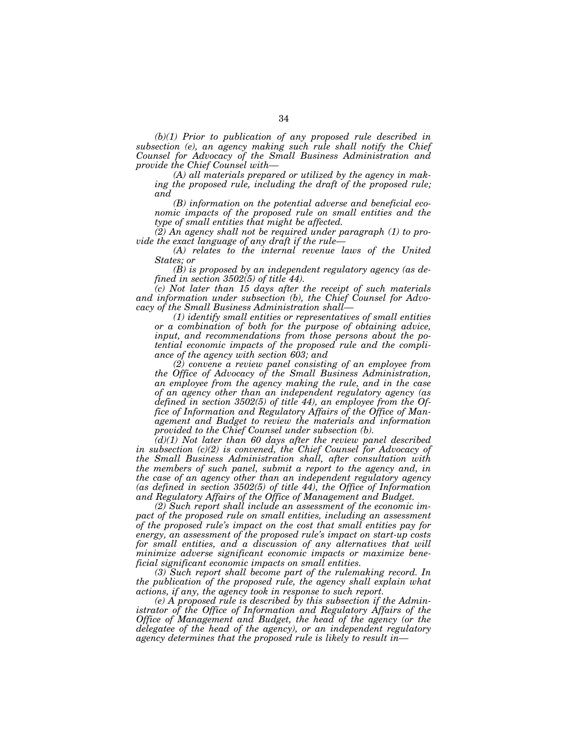*(b)(1) Prior to publication of any proposed rule described in subsection (e), an agency making such rule shall notify the Chief Counsel for Advocacy of the Small Business Administration and provide the Chief Counsel with—* 

*(A) all materials prepared or utilized by the agency in making the proposed rule, including the draft of the proposed rule; and* 

*(B) information on the potential adverse and beneficial economic impacts of the proposed rule on small entities and the type of small entities that might be affected.* 

*(2) An agency shall not be required under paragraph (1) to provide the exact language of any draft if the rule—* 

*(A) relates to the internal revenue laws of the United States; or* 

*(B) is proposed by an independent regulatory agency (as defined in section 3502(5) of title 44).* 

*(c) Not later than 15 days after the receipt of such materials and information under subsection (b), the Chief Counsel for Advocacy of the Small Business Administration shall—* 

*(1) identify small entities or representatives of small entities or a combination of both for the purpose of obtaining advice, input, and recommendations from those persons about the potential economic impacts of the proposed rule and the compliance of the agency with section 603; and* 

*(2) convene a review panel consisting of an employee from the Office of Advocacy of the Small Business Administration, an employee from the agency making the rule, and in the case of an agency other than an independent regulatory agency (as defined in section 3502(5) of title 44), an employee from the Office of Information and Regulatory Affairs of the Office of Management and Budget to review the materials and information provided to the Chief Counsel under subsection (b).* 

*(d)(1) Not later than 60 days after the review panel described in subsection (c)(2) is convened, the Chief Counsel for Advocacy of the Small Business Administration shall, after consultation with the members of such panel, submit a report to the agency and, in the case of an agency other than an independent regulatory agency (as defined in section 3502(5) of title 44), the Office of Information and Regulatory Affairs of the Office of Management and Budget.* 

*(2) Such report shall include an assessment of the economic im*pact of the proposed rule on small entities, including an assessment *of the proposed rule's impact on the cost that small entities pay for energy, an assessment of the proposed rule's impact on start-up costs*  for small entities, and a discussion of any alternatives that will *minimize adverse significant economic impacts or maximize beneficial significant economic impacts on small entities.* 

*(3) Such report shall become part of the rulemaking record. In the publication of the proposed rule, the agency shall explain what actions, if any, the agency took in response to such report.* 

*(e) A proposed rule is described by this subsection if the Admin*istrator of the Office of Information and Regulatory Affairs of the *Office of Management and Budget, the head of the agency (or the delegatee of the head of the agency), or an independent regulatory agency determines that the proposed rule is likely to result in—*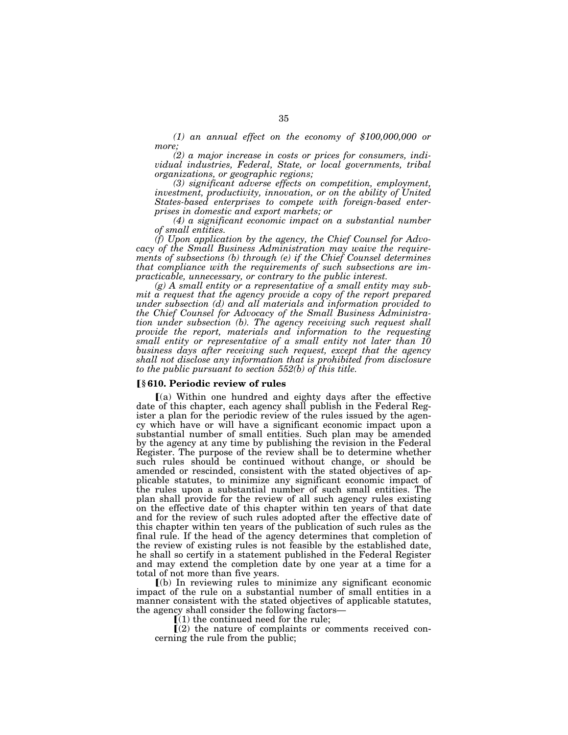*(1) an annual effect on the economy of \$100,000,000 or more;* 

*(2) a major increase in costs or prices for consumers, individual industries, Federal, State, or local governments, tribal organizations, or geographic regions;* 

*(3) significant adverse effects on competition, employment, investment, productivity, innovation, or on the ability of United States-based enterprises to compete with foreign-based enterprises in domestic and export markets; or* 

*(4) a significant economic impact on a substantial number of small entities.* 

*(f) Upon application by the agency, the Chief Counsel for Advocacy of the Small Business Administration may waive the requirements of subsections (b) through (e) if the Chief Counsel determines that compliance with the requirements of such subsections are impracticable, unnecessary, or contrary to the public interest.* 

*(g) A small entity or a representative of a small entity may submit a request that the agency provide a copy of the report prepared under subsection (d) and all materials and information provided to the Chief Counsel for Advocacy of the Small Business Administration under subsection (b). The agency receiving such request shall provide the report, materials and information to the requesting small entity or representative of a small entity not later than 10 business days after receiving such request, except that the agency shall not disclose any information that is prohibited from disclosure to the public pursuant to section 552(b) of this title.* 

#### ø**§ 610. Periodic review of rules**

ø(a) Within one hundred and eighty days after the effective date of this chapter, each agency shall publish in the Federal Register a plan for the periodic review of the rules issued by the agency which have or will have a significant economic impact upon a substantial number of small entities. Such plan may be amended by the agency at any time by publishing the revision in the Federal Register. The purpose of the review shall be to determine whether such rules should be continued without change, or should be amended or rescinded, consistent with the stated objectives of applicable statutes, to minimize any significant economic impact of the rules upon a substantial number of such small entities. The plan shall provide for the review of all such agency rules existing on the effective date of this chapter within ten years of that date and for the review of such rules adopted after the effective date of this chapter within ten years of the publication of such rules as the final rule. If the head of the agency determines that completion of the review of existing rules is not feasible by the established date, he shall so certify in a statement published in the Federal Register and may extend the completion date by one year at a time for a total of not more than five years.

 $(a)$  In reviewing rules to minimize any significant economic impact of the rule on a substantial number of small entities in a manner consistent with the stated objectives of applicable statutes, the agency shall consider the following factors—

 $\Gamma(1)$  the continued need for the rule;

 $\Gamma(2)$  the nature of complaints or comments received concerning the rule from the public;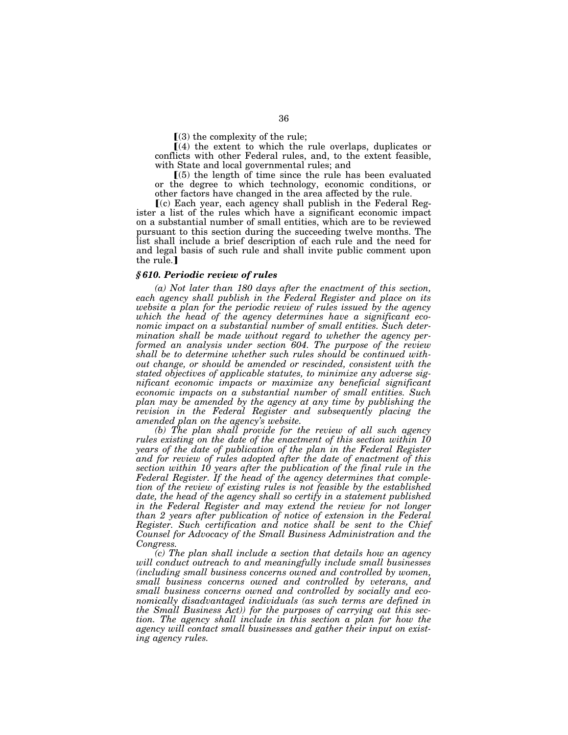$(3)$  the complexity of the rule;

 $(4)$  the extent to which the rule overlaps, duplicates or conflicts with other Federal rules, and, to the extent feasible, with State and local governmental rules; and

 $(5)$  the length of time since the rule has been evaluated or the degree to which technology, economic conditions, or other factors have changed in the area affected by the rule.

ø(c) Each year, each agency shall publish in the Federal Register a list of the rules which have a significant economic impact on a substantial number of small entities, which are to be reviewed pursuant to this section during the succeeding twelve months. The list shall include a brief description of each rule and the need for and legal basis of such rule and shall invite public comment upon the rule.]

#### *§ 610. Periodic review of rules*

*(a) Not later than 180 days after the enactment of this section, each agency shall publish in the Federal Register and place on its website a plan for the periodic review of rules issued by the agency which the head of the agency determines have a significant economic impact on a substantial number of small entities. Such determination shall be made without regard to whether the agency performed an analysis under section 604. The purpose of the review shall be to determine whether such rules should be continued without change, or should be amended or rescinded, consistent with the stated objectives of applicable statutes, to minimize any adverse significant economic impacts or maximize any beneficial significant economic impacts on a substantial number of small entities. Such plan may be amended by the agency at any time by publishing the revision in the Federal Register and subsequently placing the amended plan on the agency's website.* 

*(b) The plan shall provide for the review of all such agency rules existing on the date of the enactment of this section within 10 years of the date of publication of the plan in the Federal Register and for review of rules adopted after the date of enactment of this section within 10 years after the publication of the final rule in the Federal Register. If the head of the agency determines that completion of the review of existing rules is not feasible by the established date, the head of the agency shall so certify in a statement published in the Federal Register and may extend the review for not longer than 2 years after publication of notice of extension in the Federal Register. Such certification and notice shall be sent to the Chief Counsel for Advocacy of the Small Business Administration and the Congress.* 

*(c) The plan shall include a section that details how an agency will conduct outreach to and meaningfully include small businesses (including small business concerns owned and controlled by women, small business concerns owned and controlled by veterans, and small business concerns owned and controlled by socially and economically disadvantaged individuals (as such terms are defined in the Small Business Act)) for the purposes of carrying out this section. The agency shall include in this section a plan for how the agency will contact small businesses and gather their input on existing agency rules.*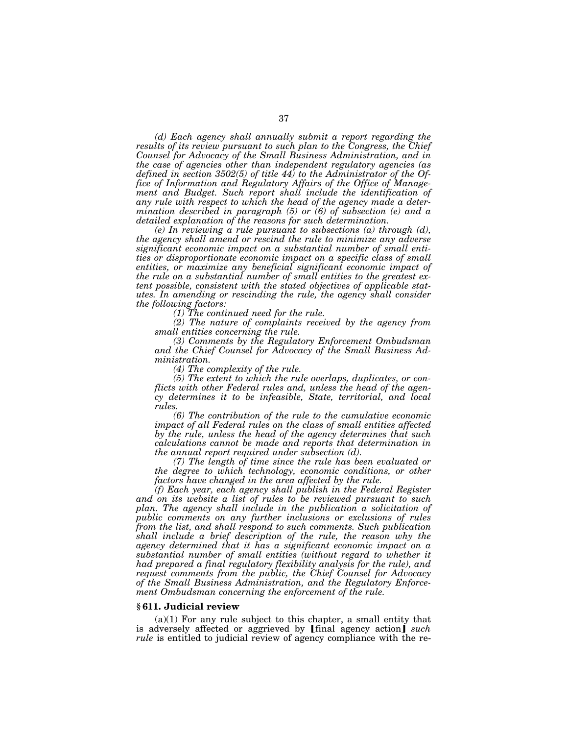*(d) Each agency shall annually submit a report regarding the results of its review pursuant to such plan to the Congress, the Chief Counsel for Advocacy of the Small Business Administration, and in the case of agencies other than independent regulatory agencies (as defined in section 3502(5) of title 44) to the Administrator of the Office of Information and Regulatory Affairs of the Office of Management and Budget. Such report shall include the identification of any rule with respect to which the head of the agency made a determination described in paragraph (5) or (6) of subsection (e) and a detailed explanation of the reasons for such determination.* 

*(e) In reviewing a rule pursuant to subsections (a) through (d), the agency shall amend or rescind the rule to minimize any adverse significant economic impact on a substantial number of small entities or disproportionate economic impact on a specific class of small*  entities, or maximize any beneficial significant economic impact of *the rule on a substantial number of small entities to the greatest extent possible, consistent with the stated objectives of applicable statutes. In amending or rescinding the rule, the agency shall consider the following factors:* 

*(1) The continued need for the rule.* 

*(2) The nature of complaints received by the agency from small entities concerning the rule.* 

*(3) Comments by the Regulatory Enforcement Ombudsman and the Chief Counsel for Advocacy of the Small Business Administration.* 

*(4) The complexity of the rule.* 

*(5) The extent to which the rule overlaps, duplicates, or conflicts with other Federal rules and, unless the head of the agency determines it to be infeasible, State, territorial, and local rules.* 

*(6) The contribution of the rule to the cumulative economic impact of all Federal rules on the class of small entities affected by the rule, unless the head of the agency determines that such calculations cannot be made and reports that determination in the annual report required under subsection (d).* 

*(7) The length of time since the rule has been evaluated or the degree to which technology, economic conditions, or other factors have changed in the area affected by the rule.* 

*(f) Each year, each agency shall publish in the Federal Register and on its website a list of rules to be reviewed pursuant to such plan. The agency shall include in the publication a solicitation of public comments on any further inclusions or exclusions of rules from the list, and shall respond to such comments. Such publication shall include a brief description of the rule, the reason why the agency determined that it has a significant economic impact on a substantial number of small entities (without regard to whether it had prepared a final regulatory flexibility analysis for the rule), and request comments from the public, the Chief Counsel for Advocacy of the Small Business Administration, and the Regulatory Enforcement Ombudsman concerning the enforcement of the rule.* 

### **§ 611. Judicial review**

 $(a)(1)$  For any rule subject to this chapter, a small entity that is adversely affected or aggrieved by final agency action *such rule* is entitled to judicial review of agency compliance with the re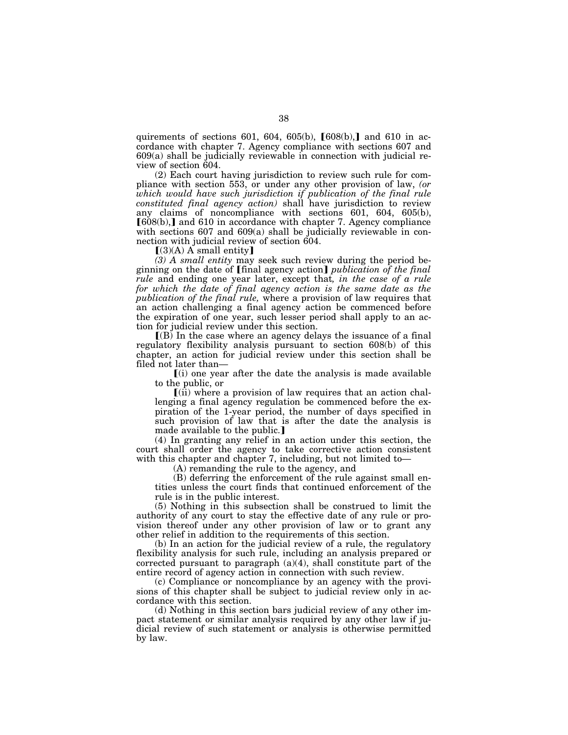quirements of sections 601, 604, 605(b),  $[608(b),]$  and 610 in accordance with chapter 7. Agency compliance with sections 607 and 609(a) shall be judicially reviewable in connection with judicial review of section 604.

(2) Each court having jurisdiction to review such rule for compliance with section 553, or under any other provision of law, *(or*  which would have such jurisdiction if publication of the final rule *constituted final agency action)* shall have jurisdiction to review any claims of noncompliance with sections 601, 604, 605(b),  $[608(b),]$  and 610 in accordance with chapter 7. Agency compliance with sections 607 and 609(a) shall be judicially reviewable in connection with judicial review of section 604.

 $(3)(A)$  A small entity]

*(3) A small entity* may seek such review during the period beginning on the date of [final agency action] *publication of the final rule* and ending one year later, except that*, in the case of a rule for which the date of final agency action is the same date as the publication of the final rule,* where a provision of law requires that an action challenging a final agency action be commenced before the expiration of one year, such lesser period shall apply to an action for judicial review under this section.

 $(6)$  In the case where an agency delays the issuance of a final regulatory flexibility analysis pursuant to section 608(b) of this chapter, an action for judicial review under this section shall be filed not later than—

 $(i)$  one year after the date the analysis is made available to the public, or

ø(ii) where a provision of law requires that an action challenging a final agency regulation be commenced before the expiration of the 1-year period, the number of days specified in such provision of law that is after the date the analysis is made available to the public.

(4) In granting any relief in an action under this section, the court shall order the agency to take corrective action consistent with this chapter and chapter 7, including, but not limited to—

(A) remanding the rule to the agency, and

(B) deferring the enforcement of the rule against small entities unless the court finds that continued enforcement of the rule is in the public interest.

(5) Nothing in this subsection shall be construed to limit the authority of any court to stay the effective date of any rule or provision thereof under any other provision of law or to grant any other relief in addition to the requirements of this section.

(b) In an action for the judicial review of a rule, the regulatory flexibility analysis for such rule, including an analysis prepared or corrected pursuant to paragraph  $(a)(4)$ , shall constitute part of the entire record of agency action in connection with such review.

(c) Compliance or noncompliance by an agency with the provisions of this chapter shall be subject to judicial review only in accordance with this section.

(d) Nothing in this section bars judicial review of any other impact statement or similar analysis required by any other law if judicial review of such statement or analysis is otherwise permitted by law.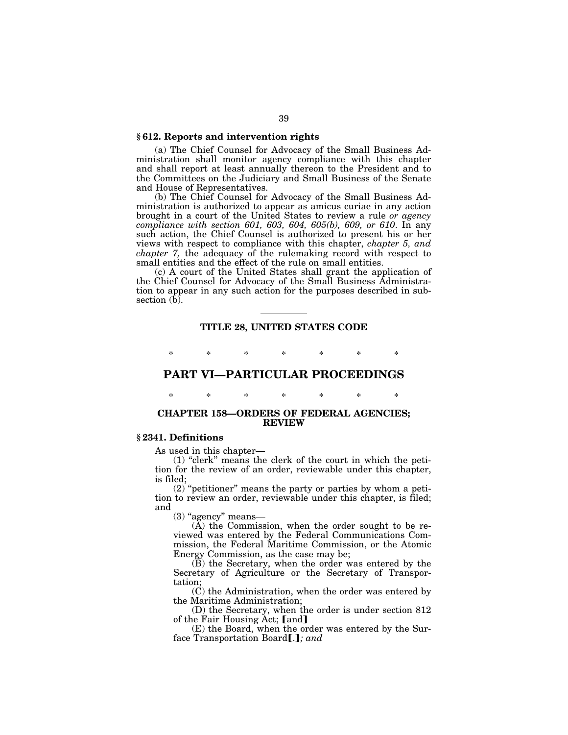### **§ 612. Reports and intervention rights**

(a) The Chief Counsel for Advocacy of the Small Business Administration shall monitor agency compliance with this chapter and shall report at least annually thereon to the President and to the Committees on the Judiciary and Small Business of the Senate and House of Representatives.

(b) The Chief Counsel for Advocacy of the Small Business Administration is authorized to appear as amicus curiae in any action brought in a court of the United States to review a rule *or agency compliance with section 601, 603, 604, 605(b), 609, or 610*. In any such action, the Chief Counsel is authorized to present his or her views with respect to compliance with this chapter, *chapter 5, and chapter 7,* the adequacy of the rulemaking record with respect to small entities and the effect of the rule on small entities.

(c) A court of the United States shall grant the application of the Chief Counsel for Advocacy of the Small Business Administration to appear in any such action for the purposes described in subsection (b).

# **TITLE 28, UNITED STATES CODE**

\* \* \* \* \* \* \*

# **PART VI—PARTICULAR PROCEEDINGS**

# \* \* \* \* \* \* \* **CHAPTER 158—ORDERS OF FEDERAL AGENCIES; REVIEW**

# **§ 2341. Definitions**

As used in this chapter—

(1) "clerk" means the clerk of the court in which the petition for the review of an order, reviewable under this chapter, is filed;

 $(2)$  "petitioner" means the party or parties by whom a petition to review an order, reviewable under this chapter, is filed; and

 $(3)$  "agency" means—

(A) the Commission, when the order sought to be reviewed was entered by the Federal Communications Commission, the Federal Maritime Commission, or the Atomic Energy Commission, as the case may be;

(B) the Secretary, when the order was entered by the Secretary of Agriculture or the Secretary of Transportation;

 $(C)$  the Administration, when the order was entered by the Maritime Administration;

(D) the Secretary, when the order is under section 812 of the Fair Housing Act; [and]

(E) the Board, when the order was entered by the Surface Transportation Board[.]; and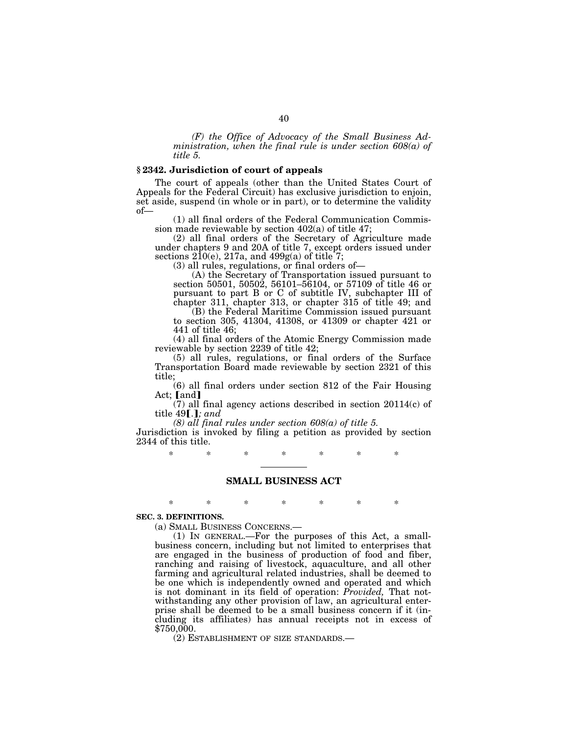*(F) the Office of Advocacy of the Small Business Administration, when the final rule is under section 608(a) of title 5.* 

### **§ 2342. Jurisdiction of court of appeals**

The court of appeals (other than the United States Court of Appeals for the Federal Circuit) has exclusive jurisdiction to enjoin, set aside, suspend (in whole or in part), or to determine the validity of—

(1) all final orders of the Federal Communication Commission made reviewable by section 402(a) of title 47;

(2) all final orders of the Secretary of Agriculture made under chapters 9 and 20A of title 7, except orders issued under sections  $210(e)$ ,  $217a$ , and  $499g(a)$  of title 7;

(3) all rules, regulations, or final orders of—

(A) the Secretary of Transportation issued pursuant to section 50501, 50502, 56101–56104, or 57109 of title 46 or pursuant to part B or C of subtitle IV, subchapter III of chapter 311, chapter 313, or chapter 315 of title 49; and

(B) the Federal Maritime Commission issued pursuant to section 305, 41304, 41308, or 41309 or chapter 421 or 441 of title 46;

(4) all final orders of the Atomic Energy Commission made reviewable by section 2239 of title 42;

(5) all rules, regulations, or final orders of the Surface Transportation Board made reviewable by section 2321 of this title;

(6) all final orders under section 812 of the Fair Housing Act; [and]

(7) all final agency actions described in section 20114(c) of title  $49$ [.]; and

*(8) all final rules under section 608(a) of title 5.* 

Jurisdiction is invoked by filing a petition as provided by section 2344 of this title.

\* \* \* \* \* \* \*

# **SMALL BUSINESS ACT**

\* \* \* \* \* \* \*

# **SEC. 3. DEFINITIONS.**

(a) SMALL BUSINESS CONCERNS.—

(1) IN GENERAL.—For the purposes of this Act, a smallbusiness concern, including but not limited to enterprises that are engaged in the business of production of food and fiber, ranching and raising of livestock, aquaculture, and all other farming and agricultural related industries, shall be deemed to be one which is independently owned and operated and which is not dominant in its field of operation: *Provided,* That notwithstanding any other provision of law, an agricultural enterprise shall be deemed to be a small business concern if it (including its affiliates) has annual receipts not in excess of \$750,000.

(2) ESTABLISHMENT OF SIZE STANDARDS.—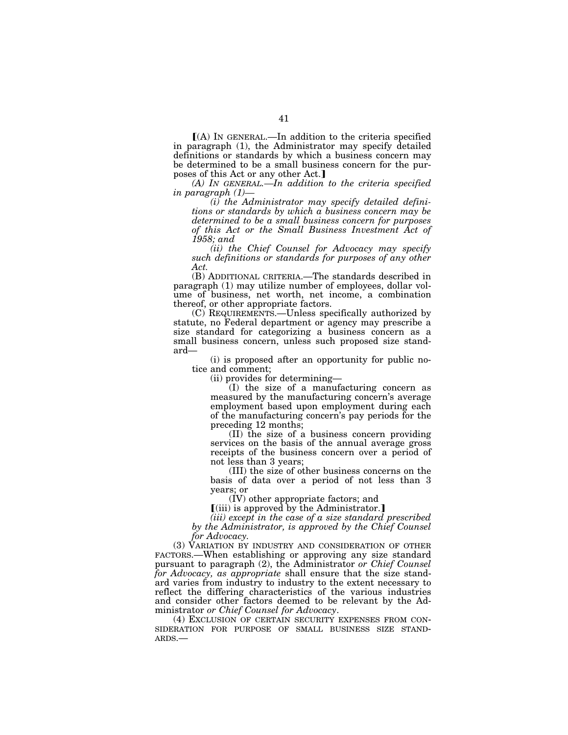$[(A)$  IN GENERAL.—In addition to the criteria specified in paragraph (1), the Administrator may specify detailed definitions or standards by which a business concern may be determined to be a small business concern for the purposes of this Act or any other Act.]

*(A) IN GENERAL.—In addition to the criteria specified in paragraph (1)—* 

*(i) the Administrator may specify detailed definitions or standards by which a business concern may be determined to be a small business concern for purposes of this Act or the Small Business Investment Act of 1958; and* 

*(ii) the Chief Counsel for Advocacy may specify such definitions or standards for purposes of any other Act.* 

(B) ADDITIONAL CRITERIA.—The standards described in paragraph (1) may utilize number of employees, dollar volume of business, net worth, net income, a combination thereof, or other appropriate factors.

(C) REQUIREMENTS.—Unless specifically authorized by statute, no Federal department or agency may prescribe a size standard for categorizing a business concern as a small business concern, unless such proposed size standard—

(i) is proposed after an opportunity for public notice and comment;

(ii) provides for determining—

(I) the size of a manufacturing concern as measured by the manufacturing concern's average employment based upon employment during each of the manufacturing concern's pay periods for the preceding 12 months;

(II) the size of a business concern providing services on the basis of the annual average gross receipts of the business concern over a period of not less than 3 years;

(III) the size of other business concerns on the basis of data over a period of not less than 3 years; or

(IV) other appropriate factors; and

 $(iii)$  is approved by the Administrator.

*(iii) except in the case of a size standard prescribed by the Administrator, is approved by the Chief Counsel for Advocacy.* 

(3) VARIATION BY INDUSTRY AND CONSIDERATION OF OTHER FACTORS.—When establishing or approving any size standard pursuant to paragraph (2), the Administrator *or Chief Counsel for Advocacy, as appropriate* shall ensure that the size standard varies from industry to industry to the extent necessary to reflect the differing characteristics of the various industries and consider other factors deemed to be relevant by the Administrator or Chief Counsel for Advocacy.

(4) EXCLUSION OF CERTAIN SECURITY EXPENSES FROM CON-SIDERATION FOR PURPOSE OF SMALL BUSINESS SIZE STAND-ARDS.—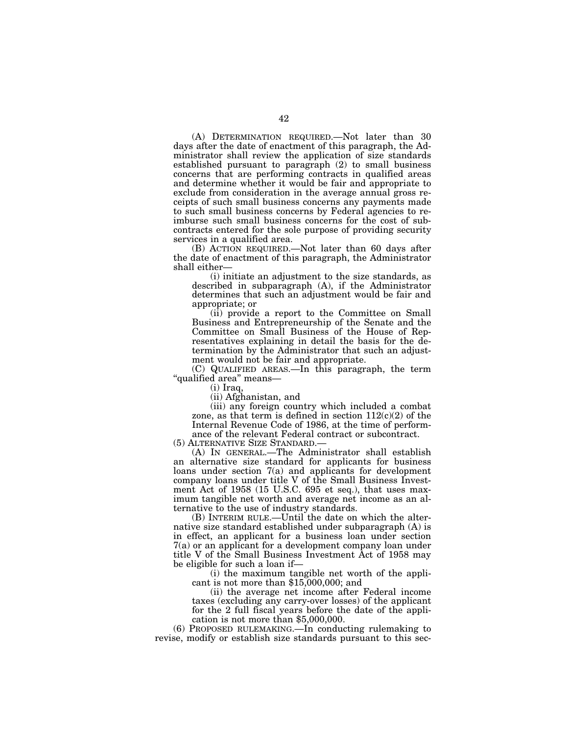(A) DETERMINATION REQUIRED.—Not later than 30 days after the date of enactment of this paragraph, the Administrator shall review the application of size standards established pursuant to paragraph (2) to small business concerns that are performing contracts in qualified areas and determine whether it would be fair and appropriate to exclude from consideration in the average annual gross receipts of such small business concerns any payments made to such small business concerns by Federal agencies to reimburse such small business concerns for the cost of subcontracts entered for the sole purpose of providing security services in a qualified area.

(B) ACTION REQUIRED.—Not later than 60 days after the date of enactment of this paragraph, the Administrator shall either—

(i) initiate an adjustment to the size standards, as described in subparagraph (A), if the Administrator determines that such an adjustment would be fair and appropriate; or

(ii) provide a report to the Committee on Small Business and Entrepreneurship of the Senate and the Committee on Small Business of the House of Representatives explaining in detail the basis for the determination by the Administrator that such an adjustment would not be fair and appropriate.

(C) QUALIFIED AREAS.—In this paragraph, the term ''qualified area'' means—

(i) Iraq,

(ii) Afghanistan, and

(iii) any foreign country which included a combat zone, as that term is defined in section  $112(c)(2)$  of the Internal Revenue Code of 1986, at the time of performance of the relevant Federal contract or subcontract.

(5) ALTERNATIVE SIZE STANDARD.—

(A) IN GENERAL.—The Administrator shall establish an alternative size standard for applicants for business loans under section 7(a) and applicants for development company loans under title V of the Small Business Investment Act of 1958 (15 U.S.C. 695 et seq.), that uses maximum tangible net worth and average net income as an alternative to the use of industry standards.

(B) INTERIM RULE.—Until the date on which the alternative size standard established under subparagraph (A) is in effect, an applicant for a business loan under section 7(a) or an applicant for a development company loan under title V of the Small Business Investment Act of 1958 may be eligible for such a loan if—

(i) the maximum tangible net worth of the applicant is not more than \$15,000,000; and

(ii) the average net income after Federal income taxes (excluding any carry-over losses) of the applicant for the 2 full fiscal years before the date of the application is not more than \$5,000,000.

(6) PROPOSED RULEMAKING.—In conducting rulemaking to revise, modify or establish size standards pursuant to this sec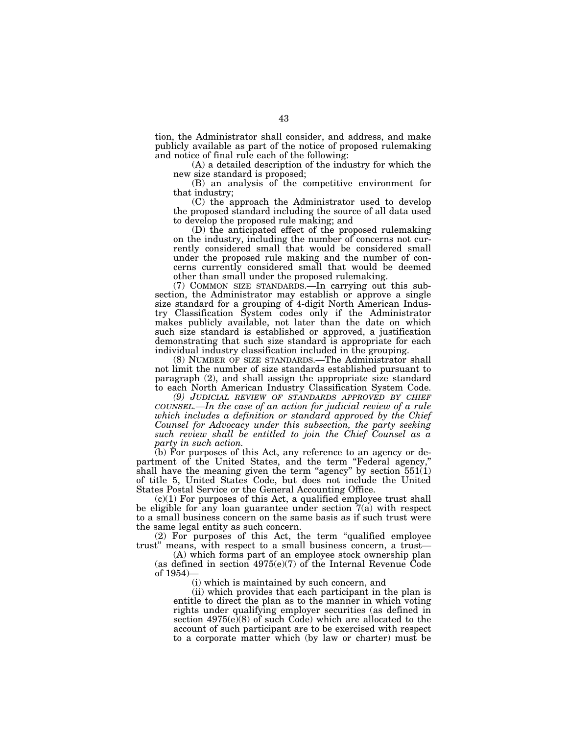tion, the Administrator shall consider, and address, and make publicly available as part of the notice of proposed rulemaking and notice of final rule each of the following:

(A) a detailed description of the industry for which the new size standard is proposed;

(B) an analysis of the competitive environment for that industry;

(C) the approach the Administrator used to develop the proposed standard including the source of all data used to develop the proposed rule making; and

(D) the anticipated effect of the proposed rulemaking on the industry, including the number of concerns not currently considered small that would be considered small under the proposed rule making and the number of concerns currently considered small that would be deemed other than small under the proposed rulemaking.

(7) COMMON SIZE STANDARDS.—In carrying out this subsection, the Administrator may establish or approve a single size standard for a grouping of 4-digit North American Industry Classification System codes only if the Administrator makes publicly available, not later than the date on which such size standard is established or approved, a justification demonstrating that such size standard is appropriate for each individual industry classification included in the grouping.

(8) NUMBER OF SIZE STANDARDS.—The Administrator shall not limit the number of size standards established pursuant to paragraph (2), and shall assign the appropriate size standard to each North American Industry Classification System Code.

*(9) JUDICIAL REVIEW OF STANDARDS APPROVED BY CHIEF COUNSEL.—In the case of an action for judicial review of a rule which includes a definition or standard approved by the Chief Counsel for Advocacy under this subsection, the party seeking such review shall be entitled to join the Chief Counsel as a party in such action.* 

(b) For purposes of this Act, any reference to an agency or department of the United States, and the term "Federal agency," shall have the meaning given the term "agency" by section  $551(1)$ of title 5, United States Code, but does not include the United States Postal Service or the General Accounting Office.

 $(c)(1)$  For purposes of this Act, a qualified employee trust shall be eligible for any loan guarantee under section 7(a) with respect to a small business concern on the same basis as if such trust were the same legal entity as such concern.

(2) For purposes of this Act, the term ''qualified employee trust'' means, with respect to a small business concern, a trust—

(A) which forms part of an employee stock ownership plan (as defined in section 4975(e)(7) of the Internal Revenue Code of 1954)—

(i) which is maintained by such concern, and

(ii) which provides that each participant in the plan is entitle to direct the plan as to the manner in which voting rights under qualifying employer securities (as defined in section  $4975(e)(8)$  of such Code) which are allocated to the account of such participant are to be exercised with respect to a corporate matter which (by law or charter) must be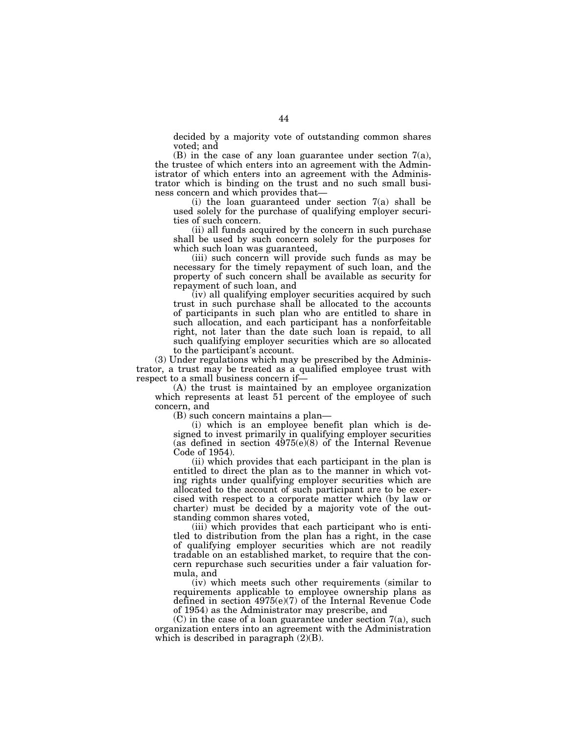decided by a majority vote of outstanding common shares voted; and

(B) in the case of any loan guarantee under section 7(a), the trustee of which enters into an agreement with the Administrator of which enters into an agreement with the Administrator which is binding on the trust and no such small business concern and which provides that—

(i) the loan guaranteed under section  $7(a)$  shall be used solely for the purchase of qualifying employer securities of such concern.

(ii) all funds acquired by the concern in such purchase shall be used by such concern solely for the purposes for which such loan was guaranteed,

(iii) such concern will provide such funds as may be necessary for the timely repayment of such loan, and the property of such concern shall be available as security for repayment of such loan, and

(iv) all qualifying employer securities acquired by such trust in such purchase shall be allocated to the accounts of participants in such plan who are entitled to share in such allocation, and each participant has a nonforfeitable right, not later than the date such loan is repaid, to all such qualifying employer securities which are so allocated to the participant's account.

(3) Under regulations which may be prescribed by the Administrator, a trust may be treated as a qualified employee trust with respect to a small business concern if—

(A) the trust is maintained by an employee organization which represents at least 51 percent of the employee of such concern, and

(B) such concern maintains a plan—

(i) which is an employee benefit plan which is designed to invest primarily in qualifying employer securities (as defined in section  $4975(e)(8)$  of the Internal Revenue Code of 1954).

(ii) which provides that each participant in the plan is entitled to direct the plan as to the manner in which voting rights under qualifying employer securities which are allocated to the account of such participant are to be exercised with respect to a corporate matter which (by law or charter) must be decided by a majority vote of the outstanding common shares voted,

(iii) which provides that each participant who is entitled to distribution from the plan has a right, in the case of qualifying employer securities which are not readily tradable on an established market, to require that the concern repurchase such securities under a fair valuation formula, and

(iv) which meets such other requirements (similar to requirements applicable to employee ownership plans as defined in section 4975(e)(7) of the Internal Revenue Code of 1954) as the Administrator may prescribe, and

(C) in the case of a loan guarantee under section 7(a), such organization enters into an agreement with the Administration which is described in paragraph  $(2)(B)$ .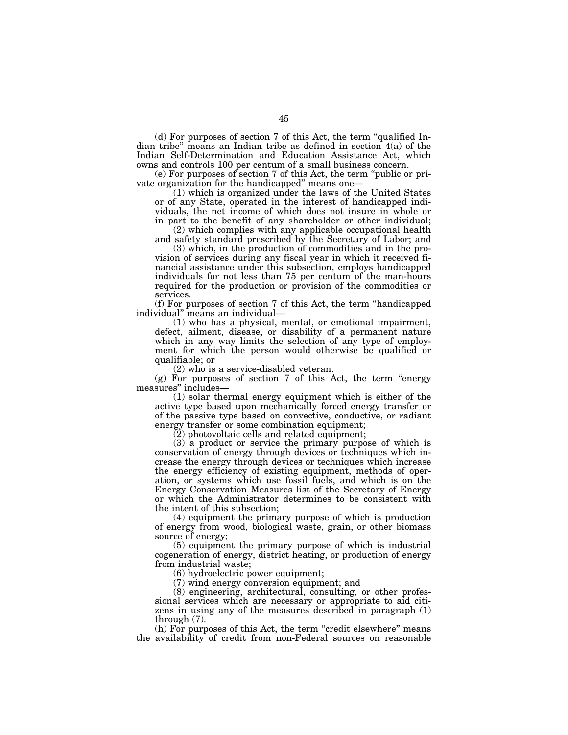(d) For purposes of section 7 of this Act, the term ''qualified Indian tribe'' means an Indian tribe as defined in section 4(a) of the Indian Self-Determination and Education Assistance Act, which owns and controls 100 per centum of a small business concern.

(e) For purposes of section 7 of this Act, the term ''public or private organization for the handicapped'' means one—

(1) which is organized under the laws of the United States or of any State, operated in the interest of handicapped individuals, the net income of which does not insure in whole or in part to the benefit of any shareholder or other individual;

(2) which complies with any applicable occupational health and safety standard prescribed by the Secretary of Labor; and

(3) which, in the production of commodities and in the provision of services during any fiscal year in which it received financial assistance under this subsection, employs handicapped individuals for not less than 75 per centum of the man-hours required for the production or provision of the commodities or services.

(f) For purposes of section 7 of this Act, the term ''handicapped individual'' means an individual—

(1) who has a physical, mental, or emotional impairment, defect, ailment, disease, or disability of a permanent nature which in any way limits the selection of any type of employment for which the person would otherwise be qualified or qualifiable; or

(2) who is a service-disabled veteran.

(g) For purposes of section 7 of this Act, the term ''energy measures'' includes—

(1) solar thermal energy equipment which is either of the active type based upon mechanically forced energy transfer or of the passive type based on convective, conductive, or radiant energy transfer or some combination equipment;

 $(2)$  photovoltaic cells and related equipment;

(3) a product or service the primary purpose of which is conservation of energy through devices or techniques which increase the energy through devices or techniques which increase the energy efficiency of existing equipment, methods of operation, or systems which use fossil fuels, and which is on the Energy Conservation Measures list of the Secretary of Energy or which the Administrator determines to be consistent with the intent of this subsection;

(4) equipment the primary purpose of which is production of energy from wood, biological waste, grain, or other biomass source of energy;

(5) equipment the primary purpose of which is industrial cogeneration of energy, district heating, or production of energy from industrial waste;

(6) hydroelectric power equipment;

(7) wind energy conversion equipment; and

(8) engineering, architectural, consulting, or other professional services which are necessary or appropriate to aid citizens in using any of the measures described in paragraph (1) through (7).

(h) For purposes of this Act, the term "credit elsewhere" means the availability of credit from non-Federal sources on reasonable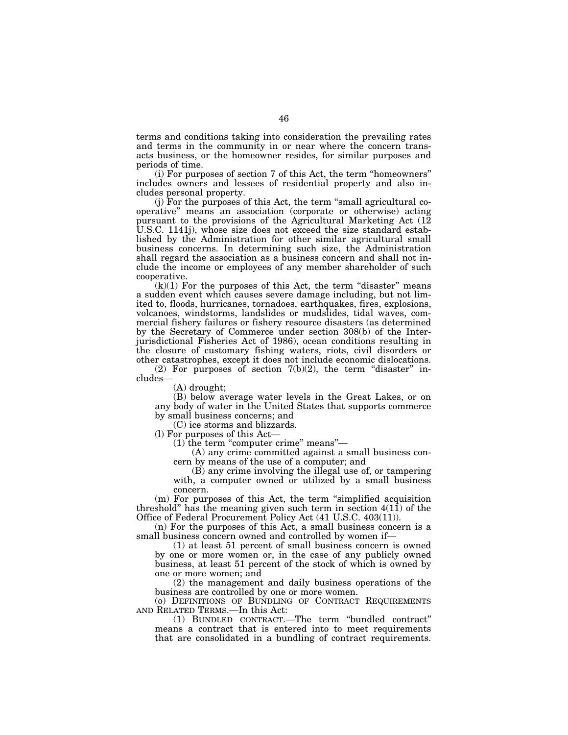terms and conditions taking into consideration the prevailing rates and terms in the community in or near where the concern transacts business, or the homeowner resides, for similar purposes and periods of time.

(i) For purposes of section 7 of this Act, the term ''homeowners'' includes owners and lessees of residential property and also includes personal property.

(j) For the purposes of this Act, the term ''small agricultural cooperative'' means an association (corporate or otherwise) acting pursuant to the provisions of the Agricultural Marketing Act (12 U.S.C. 1141j), whose size does not exceed the size standard established by the Administration for other similar agricultural small business concerns. In determining such size, the Administration shall regard the association as a business concern and shall not include the income or employees of any member shareholder of such cooperative.

 $(k)(1)$  For the purposes of this Act, the term "disaster" means a sudden event which causes severe damage including, but not limited to, floods, hurricanes, tornadoes, earthquakes, fires, explosions, volcanoes, windstorms, landslides or mudslides, tidal waves, commercial fishery failures or fishery resource disasters (as determined by the Secretary of Commerce under section 308(b) of the Interjurisdictional Fisheries Act of 1986), ocean conditions resulting in the closure of customary fishing waters, riots, civil disorders or other catastrophes, except it does not include economic dislocations.

(2) For purposes of section  $7(b)(2)$ , the term "disaster" includes—

(A) drought;

(B) below average water levels in the Great Lakes, or on any body of water in the United States that supports commerce by small business concerns; and

(C) ice storms and blizzards.

(l) For purposes of this Act—

 $(1)$  the term "computer crime" means"—

(A) any crime committed against a small business concern by means of the use of a computer; and

(B) any crime involving the illegal use of, or tampering with, a computer owned or utilized by a small business concern.

(m) For purposes of this Act, the term ''simplified acquisition threshold'' has the meaning given such term in section 4(11) of the Office of Federal Procurement Policy Act (41 U.S.C. 403(11)).

(n) For the purposes of this Act, a small business concern is a small business concern owned and controlled by women if—

(1) at least 51 percent of small business concern is owned by one or more women or, in the case of any publicly owned business, at least 51 percent of the stock of which is owned by one or more women; and

(2) the management and daily business operations of the business are controlled by one or more women.

(o) DEFINITIONS OF BUNDLING OF CONTRACT REQUIREMENTS AND RELATED TERMS.—In this Act:

(1) BUNDLED CONTRACT.—The term ''bundled contract'' means a contract that is entered into to meet requirements that are consolidated in a bundling of contract requirements.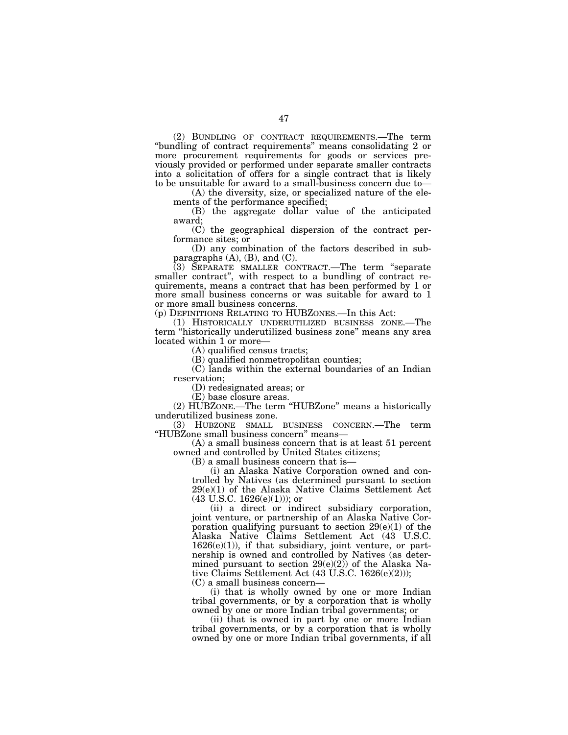(2) BUNDLING OF CONTRACT REQUIREMENTS.—The term ''bundling of contract requirements'' means consolidating 2 or more procurement requirements for goods or services previously provided or performed under separate smaller contracts into a solicitation of offers for a single contract that is likely to be unsuitable for award to a small-business concern due to—

(A) the diversity, size, or specialized nature of the elements of the performance specified;

(B) the aggregate dollar value of the anticipated award;

(C) the geographical dispersion of the contract performance sites; or

(D) any combination of the factors described in subparagraphs  $(A)$ ,  $(B)$ , and  $(C)$ .

(3) SEPARATE SMALLER CONTRACT.—The term ''separate smaller contract", with respect to a bundling of contract requirements, means a contract that has been performed by 1 or more small business concerns or was suitable for award to 1 or more small business concerns.

(p) DEFINITIONS RELATING TO HUBZONES.—In this Act:

(1) HISTORICALLY UNDERUTILIZED BUSINESS ZONE.—The term ''historically underutilized business zone'' means any area located within 1 or more—

(A) qualified census tracts;

(B) qualified nonmetropolitan counties;

(C) lands within the external boundaries of an Indian reservation;

(D) redesignated areas; or

(E) base closure areas.

(2) HUBZONE.—The term ''HUBZone'' means a historically underutilized business zone.

(3) HUBZONE SMALL BUSINESS CONCERN.—The term ''HUBZone small business concern'' means—

(A) a small business concern that is at least 51 percent owned and controlled by United States citizens;

(B) a small business concern that is—

(i) an Alaska Native Corporation owned and controlled by Natives (as determined pursuant to section 29(e)(1) of the Alaska Native Claims Settlement Act  $(43 \text{ U.S.C. } 1626(e)(1))$ ; or

(ii) a direct or indirect subsidiary corporation, joint venture, or partnership of an Alaska Native Corporation qualifying pursuant to section  $29(e)(1)$  of the Alaska Native Claims Settlement Act (43 U.S.C.  $1626(e)(1)$ , if that subsidiary, joint venture, or partnership is owned and controlled by Natives (as determined pursuant to section  $29(e)(2)$  of the Alaska Native Claims Settlement Act (43 U.S.C. 1626(e)(2)));

(C) a small business concern—

(i) that is wholly owned by one or more Indian tribal governments, or by a corporation that is wholly owned by one or more Indian tribal governments; or

(ii) that is owned in part by one or more Indian tribal governments, or by a corporation that is wholly owned by one or more Indian tribal governments, if all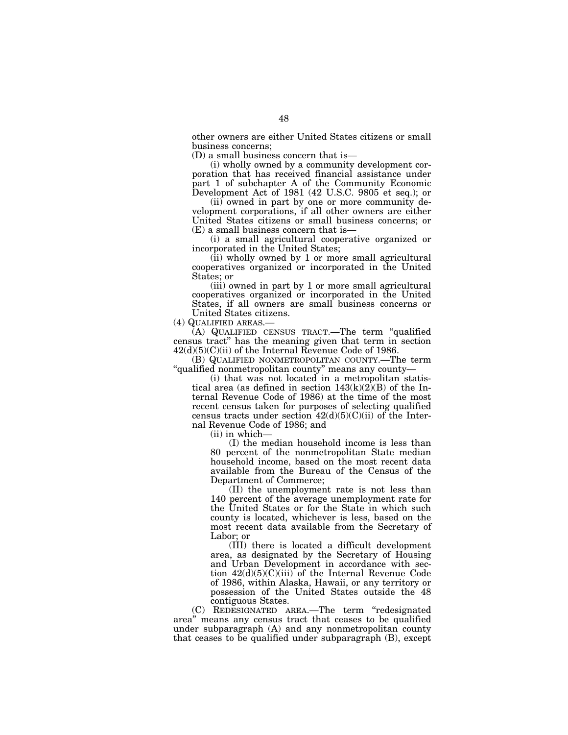other owners are either United States citizens or small business concerns;

(D) a small business concern that is—

(i) wholly owned by a community development corporation that has received financial assistance under part 1 of subchapter A of the Community Economic Development Act of 1981 (42 U.S.C. 9805 et seq.); or

(ii) owned in part by one or more community development corporations, if all other owners are either United States citizens or small business concerns; or (E) a small business concern that is—

(i) a small agricultural cooperative organized or incorporated in the United States;

(ii) wholly owned by 1 or more small agricultural cooperatives organized or incorporated in the United States; or

(iii) owned in part by 1 or more small agricultural cooperatives organized or incorporated in the United States, if all owners are small business concerns or

United States citizens.<br>(4) QUALIFIED AREAS.—

 $(A)$  QUALIFIED CENSUS TRACT.—The term "qualified" census tract'' has the meaning given that term in section  $42(d)(5)(C)(ii)$  of the Internal Revenue Code of 1986.

(B) QUALIFIED NONMETROPOLITAN COUNTY.—The term ''qualified nonmetropolitan county'' means any county—

(i) that was not located in a metropolitan statistical area (as defined in section  $143(k)(2)(B)$  of the Internal Revenue Code of 1986) at the time of the most recent census taken for purposes of selecting qualified census tracts under section  $42(d)(5)(C)(ii)$  of the Internal Revenue Code of 1986; and

(ii) in which—

(I) the median household income is less than 80 percent of the nonmetropolitan State median household income, based on the most recent data available from the Bureau of the Census of the Department of Commerce;

(II) the unemployment rate is not less than 140 percent of the average unemployment rate for the United States or for the State in which such county is located, whichever is less, based on the most recent data available from the Secretary of Labor; or

(III) there is located a difficult development area, as designated by the Secretary of Housing and Urban Development in accordance with section  $42(d)(5)(C)(iii)$  of the Internal Revenue Code of 1986, within Alaska, Hawaii, or any territory or possession of the United States outside the 48 contiguous States.

(C) REDESIGNATED AREA.—The term ''redesignated area'' means any census tract that ceases to be qualified under subparagraph (A) and any nonmetropolitan county that ceases to be qualified under subparagraph (B), except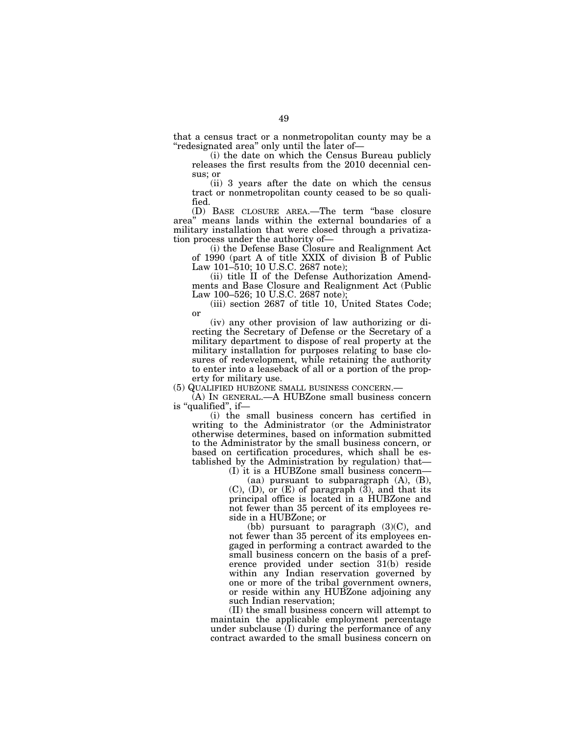that a census tract or a nonmetropolitan county may be a ''redesignated area'' only until the later of—

(i) the date on which the Census Bureau publicly releases the first results from the 2010 decennial census; or

(ii) 3 years after the date on which the census tract or nonmetropolitan county ceased to be so qualified.

(D) BASE CLOSURE AREA.—The term ''base closure area'' means lands within the external boundaries of a military installation that were closed through a privatization process under the authority of—

(i) the Defense Base Closure and Realignment Act of 1990 (part A of title XXIX of division B of Public Law 101–510; 10 U.S.C. 2687 note);

(ii) title II of the Defense Authorization Amendments and Base Closure and Realignment Act (Public Law 100–526; 10 U.S.C. 2687 note);

(iii) section 2687 of title 10, United States Code; or

(iv) any other provision of law authorizing or directing the Secretary of Defense or the Secretary of a military department to dispose of real property at the military installation for purposes relating to base closures of redevelopment, while retaining the authority to enter into a leaseback of all or a portion of the prop-

erty for military use.<br>(5) QUALIFIED HUBZONE SMALL BUSINESS CONCERN.—

 $\overline{A}$ ) In GENERAL.—A HUBZone small business concern is "qualified", if-

(i) the small business concern has certified in writing to the Administrator (or the Administrator otherwise determines, based on information submitted to the Administrator by the small business concern, or based on certification procedures, which shall be established by the Administration by regulation) that—

(I) it is a HUBZone small business concern—

(aa) pursuant to subparagraph (A), (B), (C), (D), or (E) of paragraph (3), and that its principal office is located in a HUBZone and not fewer than 35 percent of its employees reside in a HUBZone; or

(bb) pursuant to paragraph  $(3)(C)$ , and not fewer than 35 percent of its employees engaged in performing a contract awarded to the small business concern on the basis of a preference provided under section 31(b) reside within any Indian reservation governed by one or more of the tribal government owners, or reside within any HUBZone adjoining any such Indian reservation;

(II) the small business concern will attempt to maintain the applicable employment percentage under subclause (I) during the performance of any contract awarded to the small business concern on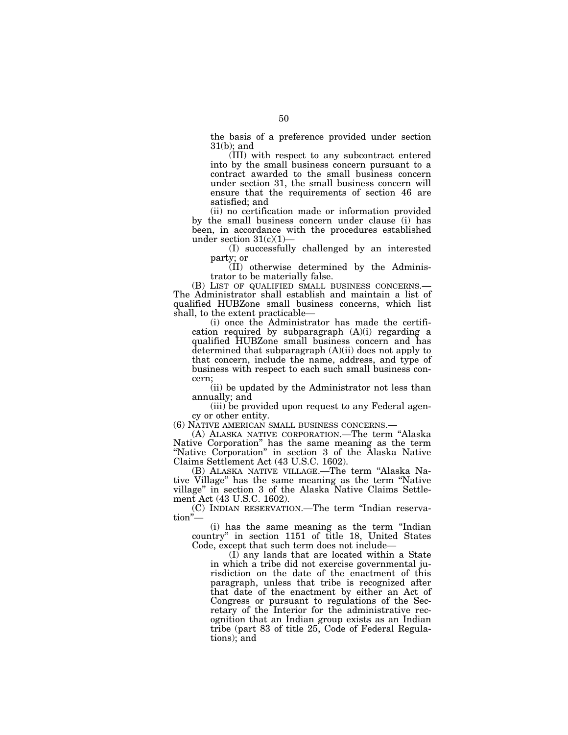the basis of a preference provided under section 31(b); and

(III) with respect to any subcontract entered into by the small business concern pursuant to a contract awarded to the small business concern under section 31, the small business concern will ensure that the requirements of section 46 are satisfied; and

(ii) no certification made or information provided by the small business concern under clause (i) has been, in accordance with the procedures established under section  $31(c)(1)$ —

(I) successfully challenged by an interested party; or

(II) otherwise determined by the Administrator to be materially false.

(B) LIST OF QUALIFIED SMALL BUSINESS CONCERNS.— The Administrator shall establish and maintain a list of qualified HUBZone small business concerns, which list shall, to the extent practicable—

(i) once the Administrator has made the certification required by subparagraph (A)(i) regarding a qualified HUBZone small business concern and has determined that subparagraph (A)(ii) does not apply to that concern, include the name, address, and type of business with respect to each such small business concern;

(ii) be updated by the Administrator not less than annually; and

(iii) be provided upon request to any Federal agency or other entity.

(6) NATIVE AMERICAN SMALL BUSINESS CONCERNS.—

(A) ALASKA NATIVE CORPORATION.—The term ''Alaska Native Corporation'' has the same meaning as the term "Native Corporation" in section 3 of the Alaska Native Claims Settlement Act (43 U.S.C. 1602).

(B) ALASKA NATIVE VILLAGE.—The term ''Alaska Native Village'' has the same meaning as the term ''Native village'' in section 3 of the Alaska Native Claims Settlement Act (43 U.S.C. 1602).

(C) INDIAN RESERVATION.—The term ''Indian reservation"-

(i) has the same meaning as the term ''Indian country'' in section 1151 of title 18, United States Code, except that such term does not include—

(I) any lands that are located within a State in which a tribe did not exercise governmental jurisdiction on the date of the enactment of this paragraph, unless that tribe is recognized after that date of the enactment by either an Act of Congress or pursuant to regulations of the Secretary of the Interior for the administrative recognition that an Indian group exists as an Indian tribe (part 83 of title 25, Code of Federal Regulations); and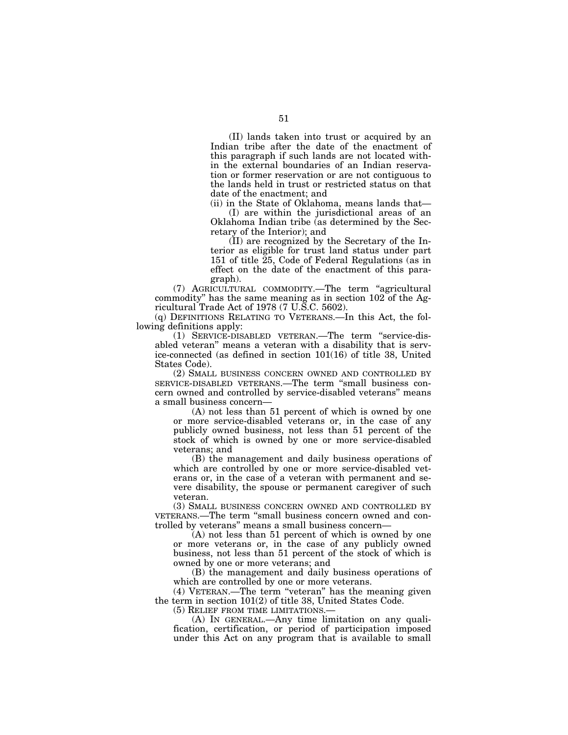(II) lands taken into trust or acquired by an Indian tribe after the date of the enactment of this paragraph if such lands are not located within the external boundaries of an Indian reservation or former reservation or are not contiguous to the lands held in trust or restricted status on that date of the enactment; and

(ii) in the State of Oklahoma, means lands that—

(I) are within the jurisdictional areas of an Oklahoma Indian tribe (as determined by the Secretary of the Interior); and

(II) are recognized by the Secretary of the Interior as eligible for trust land status under part 151 of title 25, Code of Federal Regulations (as in effect on the date of the enactment of this paragraph).

(7) AGRICULTURAL COMMODITY.—The term ''agricultural commodity'' has the same meaning as in section 102 of the Agricultural Trade Act of 1978 (7 U.S.C. 5602).

(q) DEFINITIONS RELATING TO VETERANS.—In this Act, the following definitions apply:

(1) SERVICE-DISABLED VETERAN.—The term ''service-disabled veteran'' means a veteran with a disability that is service-connected (as defined in section 101(16) of title 38, United States Code).

(2) SMALL BUSINESS CONCERN OWNED AND CONTROLLED BY SERVICE-DISABLED VETERANS.—The term ''small business concern owned and controlled by service-disabled veterans'' means a small business concern—

(A) not less than 51 percent of which is owned by one or more service-disabled veterans or, in the case of any publicly owned business, not less than 51 percent of the stock of which is owned by one or more service-disabled veterans; and

(B) the management and daily business operations of which are controlled by one or more service-disabled veterans or, in the case of a veteran with permanent and severe disability, the spouse or permanent caregiver of such veteran.

(3) SMALL BUSINESS CONCERN OWNED AND CONTROLLED BY VETERANS.—The term ''small business concern owned and controlled by veterans'' means a small business concern—

(A) not less than 51 percent of which is owned by one or more veterans or, in the case of any publicly owned business, not less than 51 percent of the stock of which is owned by one or more veterans; and

(B) the management and daily business operations of which are controlled by one or more veterans.

(4) VETERAN.—The term ''veteran'' has the meaning given the term in section 101(2) of title 38, United States Code.

(5) RELIEF FROM TIME LIMITATIONS.—

(A) IN GENERAL.—Any time limitation on any qualification, certification, or period of participation imposed under this Act on any program that is available to small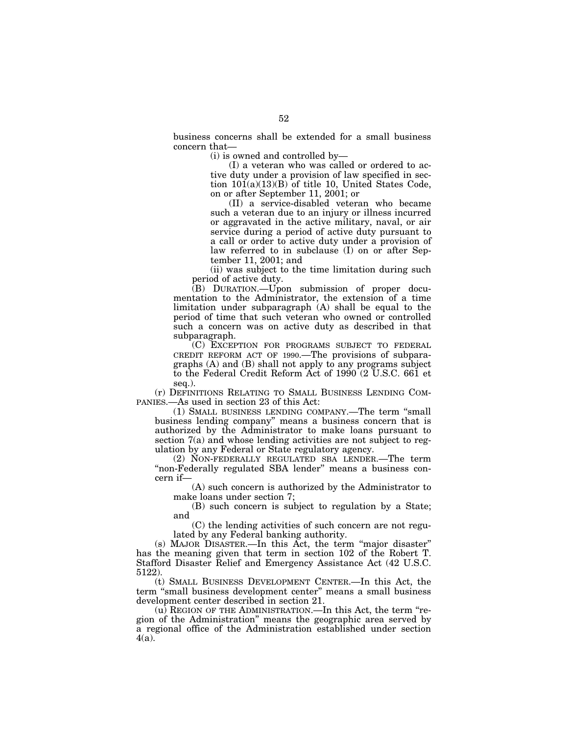business concerns shall be extended for a small business concern that—

(i) is owned and controlled by—

(I) a veteran who was called or ordered to active duty under a provision of law specified in section  $101(a)(13)(B)$  of title 10, United States Code, on or after September 11, 2001; or

(II) a service-disabled veteran who became such a veteran due to an injury or illness incurred or aggravated in the active military, naval, or air service during a period of active duty pursuant to a call or order to active duty under a provision of law referred to in subclause (I) on or after September 11, 2001; and

(ii) was subject to the time limitation during such period of active duty.

(B) DURATION.—Upon submission of proper documentation to the Administrator, the extension of a time limitation under subparagraph (A) shall be equal to the period of time that such veteran who owned or controlled such a concern was on active duty as described in that subparagraph.

(C) EXCEPTION FOR PROGRAMS SUBJECT TO FEDERAL CREDIT REFORM ACT OF 1990.—The provisions of subparagraphs (A) and (B) shall not apply to any programs subject to the Federal Credit Reform Act of 1990 (2 U.S.C. 661 et seq.).

(r) DEFINITIONS RELATING TO SMALL BUSINESS LENDING COM-PANIES.—As used in section 23 of this Act:

(1) SMALL BUSINESS LENDING COMPANY.—The term ''small business lending company'' means a business concern that is authorized by the Administrator to make loans pursuant to section 7(a) and whose lending activities are not subject to regulation by any Federal or State regulatory agency.

(2) NON-FEDERALLY REGULATED SBA LENDER.—The term "non-Federally regulated SBA lender" means a business concern if—

(A) such concern is authorized by the Administrator to make loans under section 7;

(B) such concern is subject to regulation by a State; and

(C) the lending activities of such concern are not regulated by any Federal banking authority.

(s) MAJOR DISASTER.—In this Act, the term ''major disaster'' has the meaning given that term in section 102 of the Robert T. Stafford Disaster Relief and Emergency Assistance Act (42 U.S.C. 5122).

(t) SMALL BUSINESS DEVELOPMENT CENTER.—In this Act, the term ''small business development center'' means a small business development center described in section 21.

 $(u)$  REGION OF THE ADMINISTRATION.—In this Act, the term "region of the Administration'' means the geographic area served by a regional office of the Administration established under section 4(a).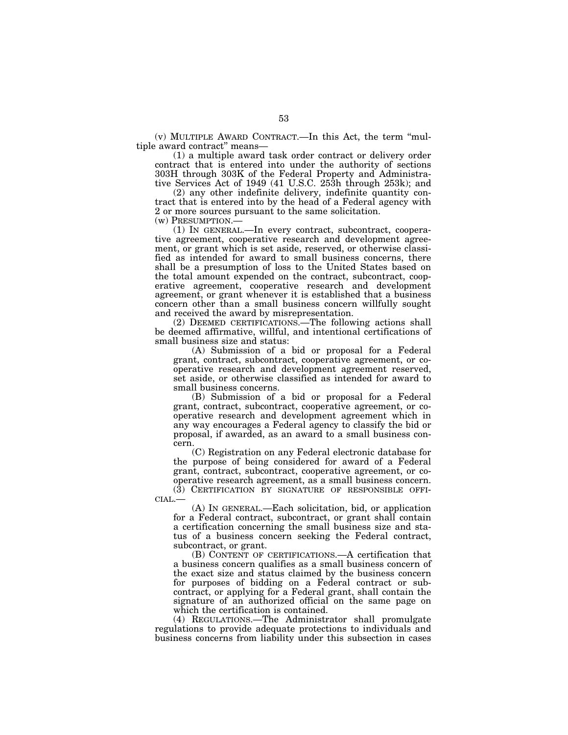(v) MULTIPLE AWARD CONTRACT.—In this Act, the term ''multiple award contract'' means—

(1) a multiple award task order contract or delivery order contract that is entered into under the authority of sections 303H through 303K of the Federal Property and Administrative Services Act of 1949 (41 U.S.C. 253h through 253k); and

(2) any other indefinite delivery, indefinite quantity contract that is entered into by the head of a Federal agency with 2 or more sources pursuant to the same solicitation.

(w) PRESUMPTION.— (1) IN GENERAL.—In every contract, subcontract, cooperative agreement, cooperative research and development agreement, or grant which is set aside, reserved, or otherwise classified as intended for award to small business concerns, there shall be a presumption of loss to the United States based on the total amount expended on the contract, subcontract, cooperative agreement, cooperative research and development agreement, or grant whenever it is established that a business concern other than a small business concern willfully sought and received the award by misrepresentation.

(2) DEEMED CERTIFICATIONS.—The following actions shall be deemed affirmative, willful, and intentional certifications of small business size and status:

(A) Submission of a bid or proposal for a Federal grant, contract, subcontract, cooperative agreement, or cooperative research and development agreement reserved, set aside, or otherwise classified as intended for award to small business concerns.

(B) Submission of a bid or proposal for a Federal grant, contract, subcontract, cooperative agreement, or cooperative research and development agreement which in any way encourages a Federal agency to classify the bid or proposal, if awarded, as an award to a small business concern.

(C) Registration on any Federal electronic database for the purpose of being considered for award of a Federal grant, contract, subcontract, cooperative agreement, or cooperative research agreement, as a small business concern.  $(3)$  CERTIFICATION BY SIGNATURE OF RESPONSIBLE OFFICIAL.—

(A) IN GENERAL.—Each solicitation, bid, or application for a Federal contract, subcontract, or grant shall contain a certification concerning the small business size and status of a business concern seeking the Federal contract, subcontract, or grant.

(B) CONTENT OF CERTIFICATIONS.—A certification that a business concern qualifies as a small business concern of the exact size and status claimed by the business concern for purposes of bidding on a Federal contract or subcontract, or applying for a Federal grant, shall contain the signature of an authorized official on the same page on which the certification is contained.

(4) REGULATIONS.—The Administrator shall promulgate regulations to provide adequate protections to individuals and business concerns from liability under this subsection in cases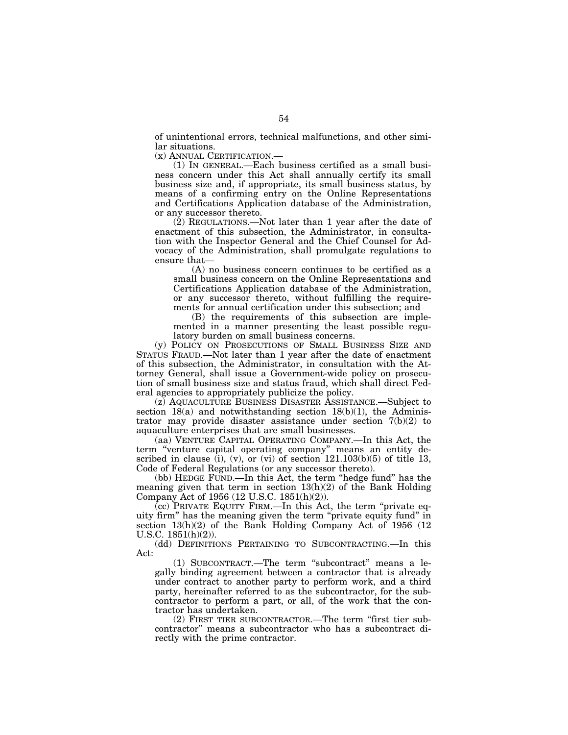of unintentional errors, technical malfunctions, and other similar situations.

(x) ANNUAL CERTIFICATION.—

(1) IN GENERAL.—Each business certified as a small business concern under this Act shall annually certify its small business size and, if appropriate, its small business status, by means of a confirming entry on the Online Representations and Certifications Application database of the Administration, or any successor thereto.

(2) REGULATIONS.—Not later than 1 year after the date of enactment of this subsection, the Administrator, in consultation with the Inspector General and the Chief Counsel for Advocacy of the Administration, shall promulgate regulations to ensure that—

(A) no business concern continues to be certified as a small business concern on the Online Representations and Certifications Application database of the Administration, or any successor thereto, without fulfilling the requirements for annual certification under this subsection; and

(B) the requirements of this subsection are implemented in a manner presenting the least possible regulatory burden on small business concerns.

(y) POLICY ON PROSECUTIONS OF SMALL BUSINESS SIZE AND STATUS FRAUD.—Not later than 1 year after the date of enactment of this subsection, the Administrator, in consultation with the Attorney General, shall issue a Government-wide policy on prosecution of small business size and status fraud, which shall direct Federal agencies to appropriately publicize the policy.

(z) AQUACULTURE BUSINESS DISASTER ASSISTANCE.—Subject to section 18(a) and notwithstanding section 18(b)(1), the Administrator may provide disaster assistance under section  $7(b)(2)$  to aquaculture enterprises that are small businesses.

(aa) VENTURE CAPITAL OPERATING COMPANY.—In this Act, the term ''venture capital operating company'' means an entity described in clause (i), (v), or (vi) of section  $121.103(b)(5)$  of title 13, Code of Federal Regulations (or any successor thereto).

(bb) HEDGE FUND.—In this Act, the term ''hedge fund'' has the meaning given that term in section  $13(h)(2)$  of the Bank Holding Company Act of 1956 (12 U.S.C. 1851(h)(2)).

(cc) PRIVATE EQUITY FIRM.—In this Act, the term ''private equity firm'' has the meaning given the term ''private equity fund'' in section 13(h)(2) of the Bank Holding Company Act of 1956 (12 U.S.C. 1851(h)(2)).

(dd) DEFINITIONS PERTAINING TO SUBCONTRACTING.—In this Act:

(1) SUBCONTRACT.—The term ''subcontract'' means a legally binding agreement between a contractor that is already under contract to another party to perform work, and a third party, hereinafter referred to as the subcontractor, for the subcontractor to perform a part, or all, of the work that the contractor has undertaken.

(2) FIRST TIER SUBCONTRACTOR.—The term ''first tier subcontractor'' means a subcontractor who has a subcontract directly with the prime contractor.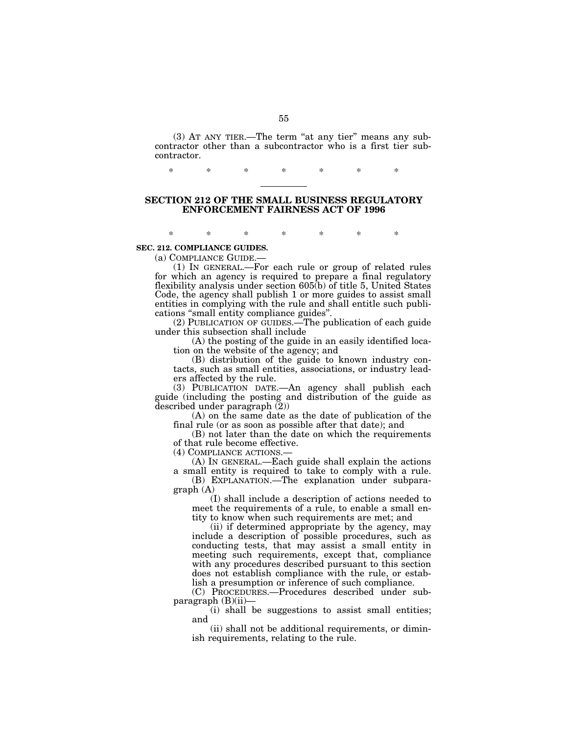$(3)$  AT ANY TIER.—The term "at any tier" means any subcontractor other than a subcontractor who is a first tier subcontractor.

\* \* \* \* \* \* \*

# **SECTION 212 OF THE SMALL BUSINESS REGULATORY ENFORCEMENT FAIRNESS ACT OF 1996**

\* \* \* \* \* \* \*

# **SEC. 212. COMPLIANCE GUIDES.**

(a) COMPLIANCE GUIDE.— (1) IN GENERAL.—For each rule or group of related rules for which an agency is required to prepare a final regulatory flexibility analysis under section 605(b) of title 5, United States Code, the agency shall publish 1 or more guides to assist small entities in complying with the rule and shall entitle such publications ''small entity compliance guides''.

(2) PUBLICATION OF GUIDES.—The publication of each guide under this subsection shall include

(A) the posting of the guide in an easily identified location on the website of the agency; and

(B) distribution of the guide to known industry contacts, such as small entities, associations, or industry leaders affected by the rule.

(3) PUBLICATION DATE.—An agency shall publish each guide (including the posting and distribution of the guide as described under paragraph (2))

(A) on the same date as the date of publication of the final rule (or as soon as possible after that date); and

(B) not later than the date on which the requirements of that rule become effective.

(4) COMPLIANCE ACTIONS.—

(A) IN GENERAL.—Each guide shall explain the actions a small entity is required to take to comply with a rule.

(B) EXPLANATION.—The explanation under subparagraph (A)

(I) shall include a description of actions needed to meet the requirements of a rule, to enable a small entity to know when such requirements are met; and

(ii) if determined appropriate by the agency, may include a description of possible procedures, such as conducting tests, that may assist a small entity in meeting such requirements, except that, compliance with any procedures described pursuant to this section does not establish compliance with the rule, or establish a presumption or inference of such compliance.

(C) PROCEDURES.—Procedures described under subparagraph (B)(ii)—

(i) shall be suggestions to assist small entities; and

(ii) shall not be additional requirements, or diminish requirements, relating to the rule.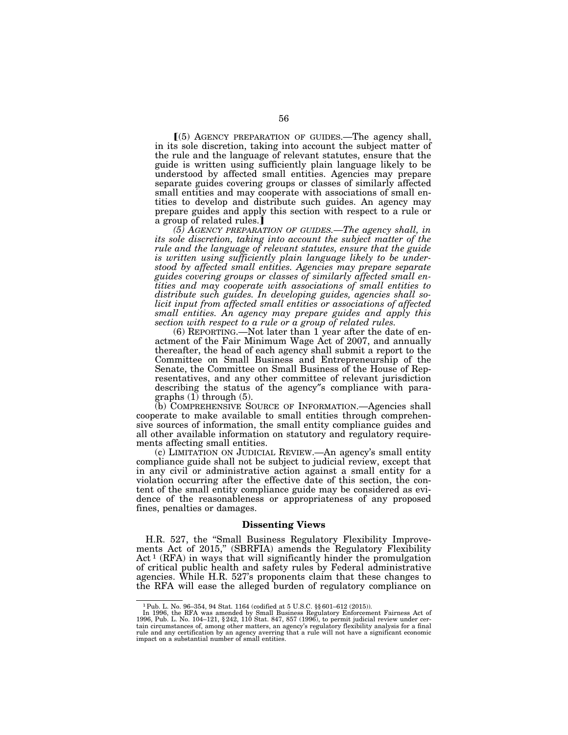$(5)$  AGENCY PREPARATION OF GUIDES.—The agency shall, in its sole discretion, taking into account the subject matter of the rule and the language of relevant statutes, ensure that the guide is written using sufficiently plain language likely to be understood by affected small entities. Agencies may prepare separate guides covering groups or classes of similarly affected small entities and may cooperate with associations of small entities to develop and distribute such guides. An agency may prepare guides and apply this section with respect to a rule or a group of related rules.

*(5) AGENCY PREPARATION OF GUIDES.—The agency shall, in its sole discretion, taking into account the subject matter of the rule and the language of relevant statutes, ensure that the guide is written using sufficiently plain language likely to be understood by affected small entities. Agencies may prepare separate guides covering groups or classes of similarly affected small entities and may cooperate with associations of small entities to distribute such guides. In developing guides, agencies shall solicit input from affected small entities or associations of affected small entities. An agency may prepare guides and apply this section with respect to a rule or a group of related rules.* 

(6) REPORTING.—Not later than 1 year after the date of enactment of the Fair Minimum Wage Act of 2007, and annually thereafter, the head of each agency shall submit a report to the Committee on Small Business and Entrepreneurship of the Senate, the Committee on Small Business of the House of Representatives, and any other committee of relevant jurisdiction describing the status of the agency″s compliance with paragraphs (1) through (5).

(b) COMPREHENSIVE SOURCE OF INFORMATION.—Agencies shall cooperate to make available to small entities through comprehensive sources of information, the small entity compliance guides and all other available information on statutory and regulatory requirements affecting small entities.

(c) LIMITATION ON JUDICIAL REVIEW.—An agency's small entity compliance guide shall not be subject to judicial review, except that in any civil or administrative action against a small entity for a violation occurring after the effective date of this section, the content of the small entity compliance guide may be considered as evidence of the reasonableness or appropriateness of any proposed fines, penalties or damages.

# **Dissenting Views**

H.R. 527, the ''Small Business Regulatory Flexibility Improvements Act of 2015," (SBRFIA) amends the Regulatory Flexibility Act<sup>1</sup> (RFA) in ways that will significantly hinder the promulgation of critical public health and safety rules by Federal administrative agencies. While H.R. 527's proponents claim that these changes to the RFA will ease the alleged burden of regulatory compliance on

<sup>&</sup>lt;sup>1</sup> Pub. L. No. 96–354, 94 Stat. 1164 (codified at 5 U.S.C.  $\S$  601–612 (2015)).<br>In 1996, the RFA was amended by Small Business Regulatory Enforcement Fairness Act of 1996, Pub. L. No. 104–121,  $\S$  242, 110 Stat. 847, 857 tain circumstances of, among other matters, an agency's regulatory flexibility analysis for a final<br>rule and any certification by an agency averring that a rule will not have a significant economic<br>impact on a substantial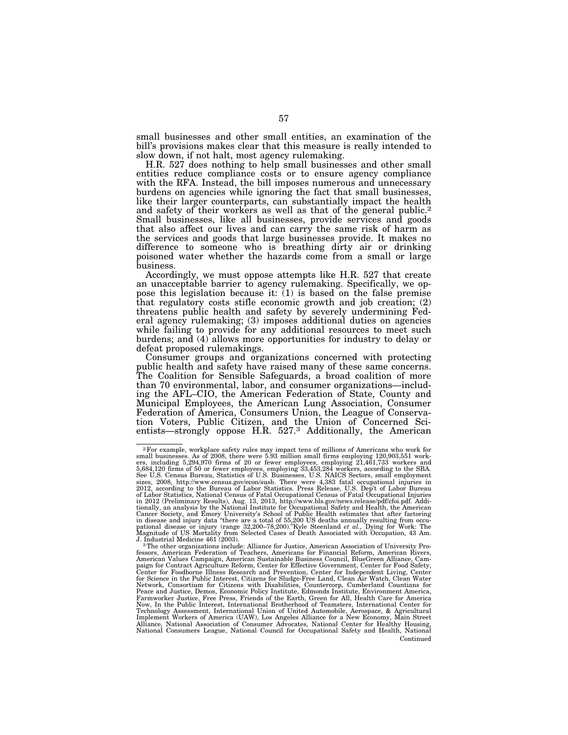small businesses and other small entities, an examination of the bill's provisions makes clear that this measure is really intended to slow down, if not halt, most agency rulemaking.

H.R. 527 does nothing to help small businesses and other small entities reduce compliance costs or to ensure agency compliance with the RFA. Instead, the bill imposes numerous and unnecessary burdens on agencies while ignoring the fact that small businesses, like their larger counterparts, can substantially impact the health and safety of their workers as well as that of the general public.2 Small businesses, like all businesses, provide services and goods that also affect our lives and can carry the same risk of harm as the services and goods that large businesses provide. It makes no difference to someone who is breathing dirty air or drinking poisoned water whether the hazards come from a small or large business.

Accordingly, we must oppose attempts like H.R. 527 that create an unacceptable barrier to agency rulemaking. Specifically, we oppose this legislation because it: (1) is based on the false premise that regulatory costs stifle economic growth and job creation; (2) threatens public health and safety by severely undermining Federal agency rulemaking; (3) imposes additional duties on agencies while failing to provide for any additional resources to meet such burdens; and (4) allows more opportunities for industry to delay or defeat proposed rulemakings.

Consumer groups and organizations concerned with protecting public health and safety have raised many of these same concerns. The Coalition for Sensible Safeguards, a broad coalition of more than 70 environmental, labor, and consumer organizations—including the AFL–CIO, the American Federation of State, County and Municipal Employees, the American Lung Association, Consumer Federation of America, Consumers Union, the League of Conservation Voters, Public Citizen, and the Union of Concerned Scientists—strongly oppose H.R. 527.3 Additionally, the American

 $^2$  For example, workplace safety rules may impact tens of millions of Americans who work for small businesses. As of 2008, there were 5.93 million small firms employing 120,903,551 work-<br>ers, including 5,294,970 firms o sizes, 2008, http://www.census.gov/econ/susb. There were 4,383 fatal occupational injuries in<br>2012, according to the Bureau of Labor Statistics. Press Release, U.S. Dep't of Labor Bureau<br>of Labor Statistics, National Censu in 2012 (Preliminary Results), Aug. 13, 2013, http://www.bls.gov/news.release/pdf/cfoi.pdf. Addi-tionally, an analysis by the National Institute for Occupational Safety and Health, the American Cancer Society, and Emory University's School of Public Health estimates that after factoring<br>in disease and injury data "there are a total of 55,200 US deaths annually resulting from occu-<br>pational disease or injury (rang J. Industrial Medicine 461 (2003). 3The other organizations include: Alliance for Justice, American Association of University Pro-

fessors, American Federation of Teachers, Americans for Financial Reform, American Rivers, American Values Campaign, American Sustainable Business Council, BlueGreen Alliance, Cam-<br>paign for Contract Agriculture Reform, Center for Effective Government, Center for Food Safety,<br>Center for Foodborne Illness Researc for Science in the Public Interest, Citizens for Sludge-Free Land, Clean Air Watch, Clean Water<br>Network, Consortium for Citizens with Disabilities, Countercorp, Cumberland Countians for<br>Peace and Justice, Demos, Economic P Implement Workers of America (UAW), Los Angeles Alliance for a New Economy, Main Street<br>Alliance, National Association of Consumer Advocates, National Center for Healthy Housing,<br>National Consumers League, National Council Continued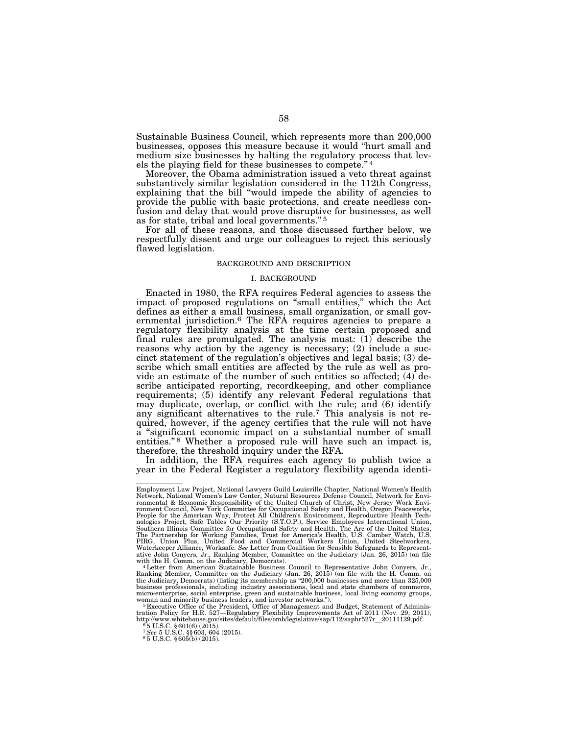Sustainable Business Council, which represents more than 200,000 businesses, opposes this measure because it would ''hurt small and medium size businesses by halting the regulatory process that levels the playing field for these businesses to compete.'' 4

Moreover, the Obama administration issued a veto threat against substantively similar legislation considered in the 112th Congress, explaining that the bill ''would impede the ability of agencies to provide the public with basic protections, and create needless confusion and delay that would prove disruptive for businesses, as well as for state, tribal and local governments."<sup>5</sup>

For all of these reasons, and those discussed further below, we respectfully dissent and urge our colleagues to reject this seriously flawed legislation.

#### BACKGROUND AND DESCRIPTION

#### I. BACKGROUND

Enacted in 1980, the RFA requires Federal agencies to assess the impact of proposed regulations on ''small entities,'' which the Act defines as either a small business, small organization, or small governmental jurisdiction.6 The RFA requires agencies to prepare a regulatory flexibility analysis at the time certain proposed and final rules are promulgated. The analysis must: (1) describe the reasons why action by the agency is necessary; (2) include a succinct statement of the regulation's objectives and legal basis; (3) describe which small entities are affected by the rule as well as provide an estimate of the number of such entities so affected;  $(4)$  describe anticipated reporting, recordkeeping, and other compliance requirements; (5) identify any relevant Federal regulations that may duplicate, overlap, or conflict with the rule; and (6) identify any significant alternatives to the rule.7 This analysis is not required, however, if the agency certifies that the rule will not have a ''significant economic impact on a substantial number of small entities."<sup>8</sup> Whether a proposed rule will have such an impact is, therefore, the threshold inquiry under the RFA.

In addition, the RFA requires each agency to publish twice a year in the Federal Register a regulatory flexibility agenda identi-

Employment Law Project, National Lawyers Guild Louisville Chapter, National Women's Health Network, National Women's Law Center, Natural Resources Defense Council, Network for Envi-ronmental & Economic Responsibility of the United Church of Christ, New Jersey Work Environment Council, New York Committee for Occupational Safety and Health, Oregon Peaceworks,<br>People for the American Way, Protect All Children's Environment, Reproductive Health Tech-<br>nologies Project, Safe Tables Our Priori Southern Illinois Committee for Occupational Safety and Health, The Arc of the United States,<br>The Partnership for Working Families, Trust for America's Health, U.S. Camber Watch, U.S.<br>PIRG, Union Plus, United Food and Waterkeeper Alliance, Worksafe. *See* Letter from Coalition for Sensible Safeguards to Represent-ative John Conyers, Jr., Ranking Member, Committee on the Judiciary (Jan. 26, 2015) (on file

with the H. Comm. on the Judiciary, Democrats).<br>"Letter from American Sustainable Business Council to Representative John Convers, Jr.,<br>Ranking Member, Committee on the Judiciary (Jan. 26, 2015) (on file with the H. Comm. business professionals, including industry associations, local and state chambers of commerce, micro-enterprise, social enterprise, green and sustainable business, local living economy groups,

woman and minority business leaders, and investor networks.").<br>
<sup>5</sup> Executive Office of the President, Office of Management and Budget, Statement of Administration Policy for H.R. 527—Regulatory Flexibility Improvements Ac

<sup>7</sup>*See* 5 U.S.C. §§ 603, 604 (2015). 8 5 U.S.C. § 605(b) (2015).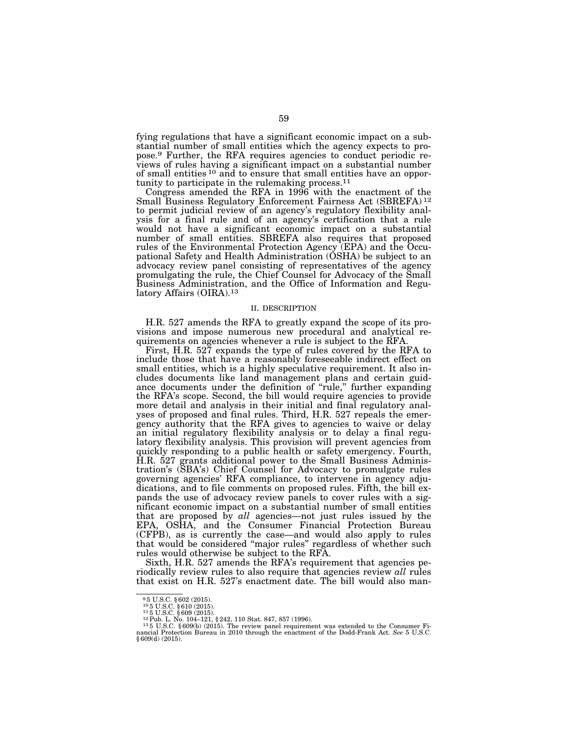fying regulations that have a significant economic impact on a substantial number of small entities which the agency expects to propose.9 Further, the RFA requires agencies to conduct periodic reviews of rules having a significant impact on a substantial number of small entities <sup>10</sup> and to ensure that small entities have an opportunity to participate in the rulemaking process.11

Congress amended the RFA in 1996 with the enactment of the Small Business Regulatory Enforcement Fairness Act (SBREFA) 12 to permit judicial review of an agency's regulatory flexibility analysis for a final rule and of an agency's certification that a rule would not have a significant economic impact on a substantial number of small entities. SBREFA also requires that proposed rules of the Environmental Protection Agency (EPA) and the Occupational Safety and Health Administration (OSHA) be subject to an advocacy review panel consisting of representatives of the agency promulgating the rule, the Chief Counsel for Advocacy of the Small Business Administration, and the Office of Information and Regulatory Affairs (OIRA).13

#### II. DESCRIPTION

H.R. 527 amends the RFA to greatly expand the scope of its provisions and impose numerous new procedural and analytical requirements on agencies whenever a rule is subject to the RFA.

First, H.R. 527 expands the type of rules covered by the RFA to include those that have a reasonably foreseeable indirect effect on small entities, which is a highly speculative requirement. It also includes documents like land management plans and certain guidance documents under the definition of ''rule,'' further expanding the RFA's scope. Second, the bill would require agencies to provide more detail and analysis in their initial and final regulatory analyses of proposed and final rules. Third, H.R. 527 repeals the emergency authority that the RFA gives to agencies to waive or delay an initial regulatory flexibility analysis or to delay a final regulatory flexibility analysis. This provision will prevent agencies from quickly responding to a public health or safety emergency. Fourth, H.R. 527 grants additional power to the Small Business Administration's (SBA's) Chief Counsel for Advocacy to promulgate rules governing agencies' RFA compliance, to intervene in agency adjudications, and to file comments on proposed rules. Fifth, the bill expands the use of advocacy review panels to cover rules with a significant economic impact on a substantial number of small entities that are proposed by *all* agencies—not just rules issued by the EPA, OSHA, and the Consumer Financial Protection Bureau (CFPB), as is currently the case—and would also apply to rules that would be considered ''major rules'' regardless of whether such rules would otherwise be subject to the RFA.

Sixth, H.R. 527 amends the RFA's requirement that agencies periodically review rules to also require that agencies review *all* rules that exist on H.R. 527's enactment date. The bill would also man-

<sup>&</sup>lt;sup>9</sup>5 U.S.C. §602 (2015).<br><sup>10</sup>5 U.S.C. §609 (2015).<br><sup>11</sup>5 U.S.C. §609 (2015).<br><sup>12</sup> Pub. L. No. 104–121, §242, 110 Stat. 847, 857 (1996).<br><sup>12</sup> Fub. L. No. 104–121, §242, 110 Stat. 847, 857 (1996).<br><sup>13</sup>5 U.S.C. §609(b) (2015) nancial Protection Bureau in 2010 through the enactment was extended to the Consumer Financial Protection Bureau in 2010 through the enactment of the Dodd-Frank Act. *See* 5 U.S.C. § 609(d) (2015).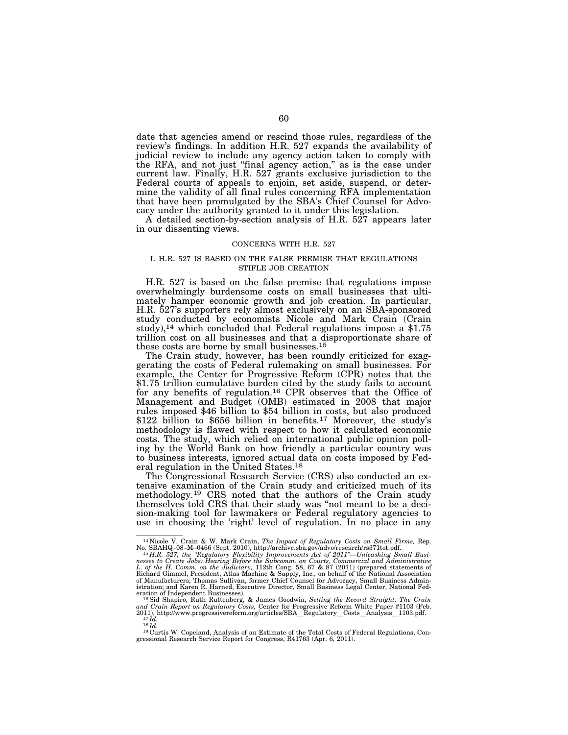date that agencies amend or rescind those rules, regardless of the review's findings. In addition H.R. 527 expands the availability of judicial review to include any agency action taken to comply with the RFA, and not just ''final agency action,'' as is the case under current law. Finally, H.R. 527 grants exclusive jurisdiction to the Federal courts of appeals to enjoin, set aside, suspend, or determine the validity of all final rules concerning RFA implementation that have been promulgated by the SBA's Chief Counsel for Advocacy under the authority granted to it under this legislation.

A detailed section-by-section analysis of H.R. 527 appears later in our dissenting views.

#### CONCERNS WITH H.R. 527

#### I. H.R. 527 IS BASED ON THE FALSE PREMISE THAT REGULATIONS STIFLE JOB CREATION

H.R. 527 is based on the false premise that regulations impose overwhelmingly burdensome costs on small businesses that ultimately hamper economic growth and job creation. In particular, H.R. 527's supporters rely almost exclusively on an SBA-sponsored study conducted by economists Nicole and Mark Crain (Crain study),<sup>14</sup> which concluded that Federal regulations impose a \$1.75 trillion cost on all businesses and that a disproportionate share of these costs are borne by small businesses.15

The Crain study, however, has been roundly criticized for exaggerating the costs of Federal rulemaking on small businesses. For example, the Center for Progressive Reform (CPR) notes that the \$1.75 trillion cumulative burden cited by the study fails to account for any benefits of regulation.<sup>16</sup> CPR observes that the Office of Management and Budget (OMB) estimated in 2008 that major rules imposed \$46 billion to \$54 billion in costs, but also produced \$122 billion to \$656 billion in benefits.<sup>17</sup> Moreover, the study's methodology is flawed with respect to how it calculated economic costs. The study, which relied on international public opinion polling by the World Bank on how friendly a particular country was to business interests, ignored actual data on costs imposed by Federal regulation in the United States.<sup>18</sup>

The Congressional Research Service (CRS) also conducted an extensive examination of the Crain study and criticized much of its methodology.19 CRS noted that the authors of the Crain study themselves told CRS that their study was ''not meant to be a decision-making tool for lawmakers or Federal regulatory agencies to use in choosing the 'right' level of regulation. In no place in any

<sup>14</sup> Nicole V. Crain & W. Mark Crain, *The Impact of Regulatory Costs on Small Firms,* Rep.

No. SBAHQ–08–M–0466 (Sept. 2010), http://archive.sba.gov/advo/research/rs371tot.pdf.<br><sup>15</sup>H.R. 527, the "Regulatory Flexibility Improvements Act of 2011"—Unleashing Small Busi-<br><sup>nesses</sup> to Create Jobs: Hearing Before the Su *L. of the H. Comm. on the Judiciary,* 112th Cong. 58, 67 & 87 (2011) (prepared statements of<br>Richard Gimmel, President, Atlas Machine & Supply, Inc., on behalf of the National Association<br>of Manufacturers; Thomas Sullivan istration; and Karen R. Harned, Executive Director, Small Business Legal Center, National Fed-

eration of Independent Businesses). 16Sid Shapiro, Ruth Ruttenberg, & James Goodwin, *Setting the Record Straight: The Crain*  and Crain Report on Regulatory Costs, Center for Progressive Reform White Paper #1103 (Feb. 2011), http://www.progressivereform.org/articles/SBA\_Regulatory\_Costs\_Analysis\_1103.pdf.<br><sup>17</sup>Id.<br><sup>18</sup>Id. 2011 Solution Copeland,

gressional Research Service Report for Congress, R41763 (Apr. 6, 2011).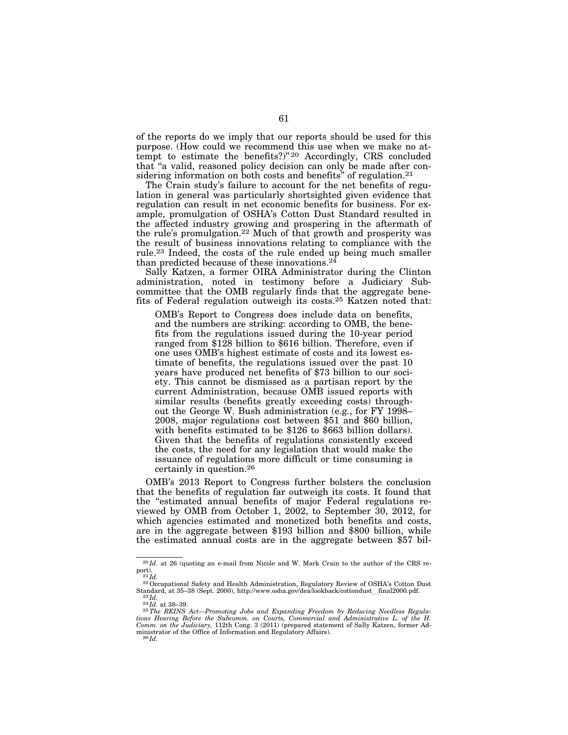of the reports do we imply that our reports should be used for this purpose. (How could we recommend this use when we make no attempt to estimate the benefits?)" 20 Accordingly, CRS concluded that ''a valid, reasoned policy decision can only be made after considering information on both costs and benefits" of regulation.<sup>21</sup>

The Crain study's failure to account for the net benefits of regulation in general was particularly shortsighted given evidence that regulation can result in net economic benefits for business. For example, promulgation of OSHA's Cotton Dust Standard resulted in the affected industry growing and prospering in the aftermath of the rule's promulgation.22 Much of that growth and prosperity was the result of business innovations relating to compliance with the rule.23 Indeed, the costs of the rule ended up being much smaller than predicted because of these innovations.24

Sally Katzen, a former OIRA Administrator during the Clinton administration, noted in testimony before a Judiciary Subcommittee that the OMB regularly finds that the aggregate benefits of Federal regulation outweigh its costs.25 Katzen noted that:

OMB's Report to Congress does include data on benefits, and the numbers are striking: according to OMB, the benefits from the regulations issued during the 10-year period ranged from \$128 billion to \$616 billion. Therefore, even if one uses OMB's highest estimate of costs and its lowest estimate of benefits, the regulations issued over the past 10 years have produced net benefits of \$73 billion to our society. This cannot be dismissed as a partisan report by the current Administration, because OMB issued reports with similar results (benefits greatly exceeding costs) throughout the George W. Bush administration (e.g., for FY 1998– 2008, major regulations cost between \$51 and \$60 billion, with benefits estimated to be \$126 to \$663 billion dollars). Given that the benefits of regulations consistently exceed the costs, the need for any legislation that would make the issuance of regulations more difficult or time consuming is certainly in question.26

OMB's 2013 Report to Congress further bolsters the conclusion that the benefits of regulation far outweigh its costs. It found that the ''estimated annual benefits of major Federal regulations reviewed by OMB from October 1, 2002, to September 30, 2012, for which agencies estimated and monetized both benefits and costs, are in the aggregate between \$193 billion and \$800 billion, while the estimated annual costs are in the aggregate between \$57 bil-

<sup>&</sup>lt;sup>20</sup>*Id.* at 26 (quoting an e-mail from Nicole and W. Mark Crain to the author of the CRS re-<br><sup>21</sup>*Id*</sub>

<sup>&</sup>lt;sup>22</sup> Occupational Safety and Health Administration, Regulatory Review of OSHA's Cotton Dust<br>Standard, at 35–38 (Sept. 2000), http://www.osha.gov/dea/lookback/cottondust final2000.pdf.

<sup>&</sup>lt;sup>23</sup> Id.<br><sup>24</sup> Id. at 38–39.<br><sup>25</sup> The REINS Act—Promoting Jobs and Expanding Freedom by Reducing Needless Regula*tions Hearing Before the Subcomm. on Courts, Commercial and Administrative L. of the H. Comm. on the Judiciary,* 112th Cong. 3 (2011) (prepared statement of Sally Katzen, former Administrator of the Office of Information and Regulatory Affairs). 26 *Id.*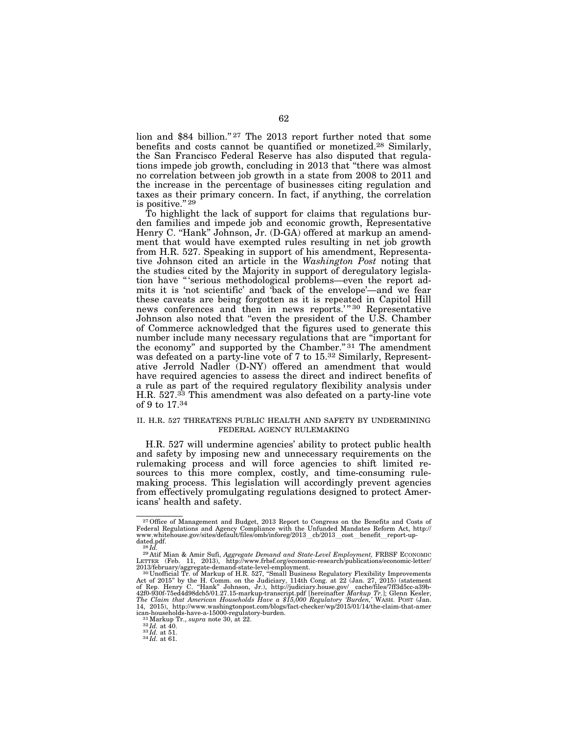lion and \$84 billion."<sup>27</sup> The 2013 report further noted that some benefits and costs cannot be quantified or monetized.28 Similarly, the San Francisco Federal Reserve has also disputed that regulations impede job growth, concluding in 2013 that ''there was almost no correlation between job growth in a state from 2008 to 2011 and the increase in the percentage of businesses citing regulation and taxes as their primary concern. In fact, if anything, the correlation is positive."<sup>29</sup>

To highlight the lack of support for claims that regulations burden families and impede job and economic growth, Representative Henry C. ''Hank'' Johnson, Jr. (D-GA) offered at markup an amendment that would have exempted rules resulting in net job growth from H.R. 527. Speaking in support of his amendment, Representative Johnson cited an article in the *Washington Post* noting that the studies cited by the Majority in support of deregulatory legislation have '' 'serious methodological problems—even the report admits it is 'not scientific' and 'back of the envelope'—and we fear these caveats are being forgotten as it is repeated in Capitol Hill news conferences and then in news reports.'"<sup>30</sup> Representative Johnson also noted that ''even the president of the U.S. Chamber of Commerce acknowledged that the figures used to generate this number include many necessary regulations that are ''important for the economy" and supported by the Chamber."<sup>31</sup> The amendment was defeated on a party-line vote of 7 to 15.32 Similarly, Representative Jerrold Nadler (D-NY) offered an amendment that would have required agencies to assess the direct and indirect benefits of a rule as part of the required regulatory flexibility analysis under H.R. 527.33 This amendment was also defeated on a party-line vote of 9 to 17.34

### II. H.R. 527 THREATENS PUBLIC HEALTH AND SAFETY BY UNDERMINING FEDERAL AGENCY RULEMAKING

H.R. 527 will undermine agencies' ability to protect public health and safety by imposing new and unnecessary requirements on the rulemaking process and will force agencies to shift limited resources to this more complex, costly, and time-consuming rulemaking process. This legislation will accordingly prevent agencies from effectively promulgating regulations designed to protect Americans' health and safety.

<sup>27</sup>Office of Management and Budget, 2013 Report to Congress on the Benefits and Costs of Federal Regulations and Agency Compliance with the Unfunded Mandates Reform Act, http://<br>www.whitehouse.gov/sites/default/files/omb/inforeg/2013\_cb/2013\_cost\_benefit\_report-up-<br>dated.pdf.

dated.pdf.<br><sup>28</sup>Id.<br><sup>29</sup> Atif Mian & Amir Sufi, *Aggregate Demand and State-Level Employment,* FRBSF ECONOMIC<br>LETTER (Feb. 11, 2013), http://www.frbsf.org/economic-research/publications/economic-letter/

<sup>2013/</sup>february/aggregate-demand-state-level-employment.<br><sup>30</sup>Unofficial Tr. of Markup of H.R. 527, "Small Business Regulatory Flexibility Improvements<br>Act of 2015" by the H. Comm. on the Judiciary, 114th Cong. at 22 (Jan. 2 14, 2015), http://www.washingtonpost.com/blogs/fact-checker/wp/2015/01/14/the-claim-that-amer ican-households-have-a-15000-regulatory-burden.<br>  $^{31}$ Markup Tr., *supra* note 30, at 22.<br>  $^{32}$ Id. at 40.<br>  $^{32}$ Id. at 40.<br>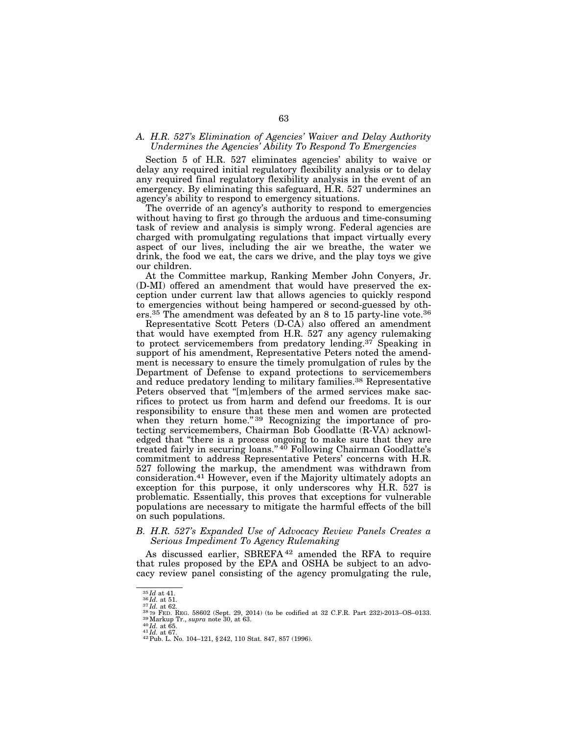## *A. H.R. 527's Elimination of Agencies' Waiver and Delay Authority Undermines the Agencies' Ability To Respond To Emergencies*

Section 5 of H.R. 527 eliminates agencies' ability to waive or delay any required initial regulatory flexibility analysis or to delay any required final regulatory flexibility analysis in the event of an emergency. By eliminating this safeguard, H.R. 527 undermines an agency's ability to respond to emergency situations.

The override of an agency's authority to respond to emergencies without having to first go through the arduous and time-consuming task of review and analysis is simply wrong. Federal agencies are charged with promulgating regulations that impact virtually every aspect of our lives, including the air we breathe, the water we drink, the food we eat, the cars we drive, and the play toys we give our children.

At the Committee markup, Ranking Member John Conyers, Jr. (D-MI) offered an amendment that would have preserved the exception under current law that allows agencies to quickly respond to emergencies without being hampered or second-guessed by others.<sup>35</sup> The amendment was defeated by an 8 to 15 party-line vote.<sup>36</sup>

Representative Scott Peters (D-CA) also offered an amendment that would have exempted from H.R. 527 any agency rulemaking to protect servicemembers from predatory lending.<sup>37</sup> Speaking in support of his amendment, Representative Peters noted the amendment is necessary to ensure the timely promulgation of rules by the Department of Defense to expand protections to servicemembers and reduce predatory lending to military families.<sup>38</sup> Representative Peters observed that ''[m]embers of the armed services make sacrifices to protect us from harm and defend our freedoms. It is our responsibility to ensure that these men and women are protected when they return home."<sup>39</sup> Recognizing the importance of protecting servicemembers, Chairman Bob Goodlatte (R-VA) acknowledged that ''there is a process ongoing to make sure that they are treated fairly in securing loans." <sup>40</sup> Following Chairman Goodlatte's commitment to address Representative Peters' concerns with H.R. 527 following the markup, the amendment was withdrawn from consideration.41 However, even if the Majority ultimately adopts an exception for this purpose, it only underscores why H.R. 527 is problematic. Essentially, this proves that exceptions for vulnerable populations are necessary to mitigate the harmful effects of the bill on such populations.

# *B. H.R. 527's Expanded Use of Advocacy Review Panels Creates a Serious Impediment To Agency Rulemaking*

As discussed earlier, SBREFA 42 amended the RFA to require that rules proposed by the EPA and OSHA be subject to an advocacy review panel consisting of the agency promulgating the rule,

 $^{35}$  Id. at 51. <br>  $^{36}$  Id. at 51. <br>  $^{37}$  Id. at 62. <br>  $^{37}$  Id. at 62. <br>  $^{38}$  76  $\rm FER.$  <br> FED. REG. 58602 (Sept. 29, 2014) (to be codified at 32 C.F.R. Part 232)-2013–OS–0133. <br>  $^{39}$  Markup Tr.,  $supra$  note 30,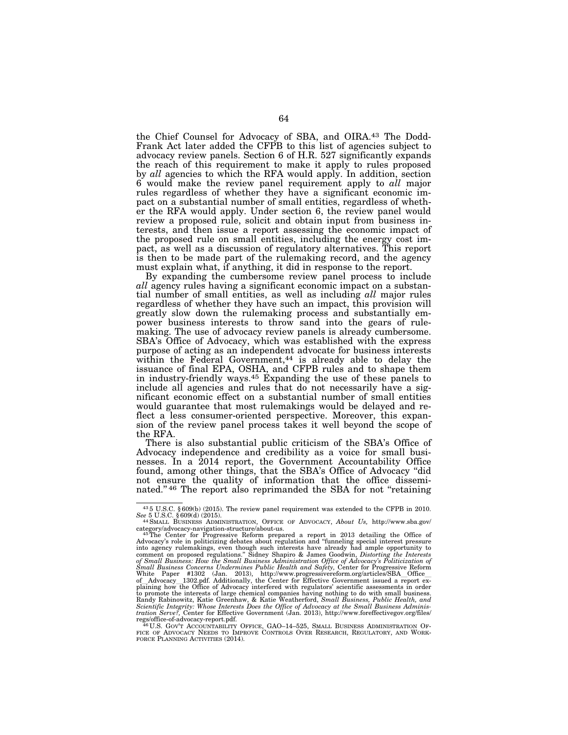the Chief Counsel for Advocacy of SBA, and OIRA.<sup>43</sup> The Dodd-Frank Act later added the CFPB to this list of agencies subject to advocacy review panels. Section 6 of H.R. 527 significantly expands the reach of this requirement to make it apply to rules proposed by *all* agencies to which the RFA would apply. In addition, section 6 would make the review panel requirement apply to *all* major rules regardless of whether they have a significant economic impact on a substantial number of small entities, regardless of whether the RFA would apply. Under section 6, the review panel would review a proposed rule, solicit and obtain input from business interests, and then issue a report assessing the economic impact of the proposed rule on small entities, including the energy cost impact, as well as a discussion of regulatory alternatives. This report is then to be made part of the rulemaking record, and the agency must explain what, if anything, it did in response to the report.

By expanding the cumbersome review panel process to include *all* agency rules having a significant economic impact on a substantial number of small entities, as well as including *all* major rules regardless of whether they have such an impact, this provision will greatly slow down the rulemaking process and substantially empower business interests to throw sand into the gears of rulemaking. The use of advocacy review panels is already cumbersome. SBA's Office of Advocacy, which was established with the express purpose of acting as an independent advocate for business interests within the Federal Government,<sup>44</sup> is already able to delay the issuance of final EPA, OSHA, and CFPB rules and to shape them in industry-friendly ways.45 Expanding the use of these panels to include all agencies and rules that do not necessarily have a significant economic effect on a substantial number of small entities would guarantee that most rulemakings would be delayed and reflect a less consumer-oriented perspective. Moreover, this expansion of the review panel process takes it well beyond the scope of the RFA.

There is also substantial public criticism of the SBA's Office of Advocacy independence and credibility as a voice for small businesses. In a 2014 report, the Government Accountability Office found, among other things, that the SBA's Office of Advocacy ''did not ensure the quality of information that the office disseminated."<sup>46</sup> The report also reprimanded the SBA for not "retaining"

<sup>43</sup> 5 U.S.C. § 609(b) (2015). The review panel requirement was extended to the CFPB in 2010. *See* 5 U.S.C. § 609(d) (2015). 44SMALL BUSINESS ADMINISTRATION, OFFICE OF ADVOCACY, *About Us,* http://www.sba.gov/

category/advocacy-navigation-structure/about-us.<br><sup>45</sup>The Center for Progressive Reform prepared a report in 2013 detailing the Office of<br>Advocacy's role in politicizing debates about regulation and "funneling special inter into agency rulemakings, even though such interests have already had ample opportunity to<br>comment on proposed regulations." Sidney Shapiro & James Goodwin, *Distorting the Interests*<br>of S*mall Business: How the Small Busin* Small Business Concerns Undermines Public Health and Safety, Center for Progressive Reform<br>White Paper #1302 (Jan. 2013), http://www.progressivereform.org/articles/SBA\_Office\_<br>of Advocacy\_1302.pdf. Additionally, the Center plaining how the Office of Advocacy interfered with regulators' scientific assessments in order<br>to promote the interests of large chemical companies having nothing to do with small business.<br>Randy Rabinowitz, Katie Greenha

*Scientific Integrity: Whose Interests Does the Office of Advocacy at the Small Business Adminis-tration Serve?,* Center for Effective Government (Jan. 2013), http://www.foreffectivegov.org/files/

regs/office-of-advocacy-report.pdf.<br><sup>46</sup>U.S. Gov't Accountability Office, GAO–14–525, SMALL BUSINESS ADMINISTRATION OF-<br>FICE OF ADVOCACY NEEDS TO IMPROVE CONTROLS OVER RESEARCH, REGULATORY, AND WORK-FORCE PLANNING ACTIVITIES (2014).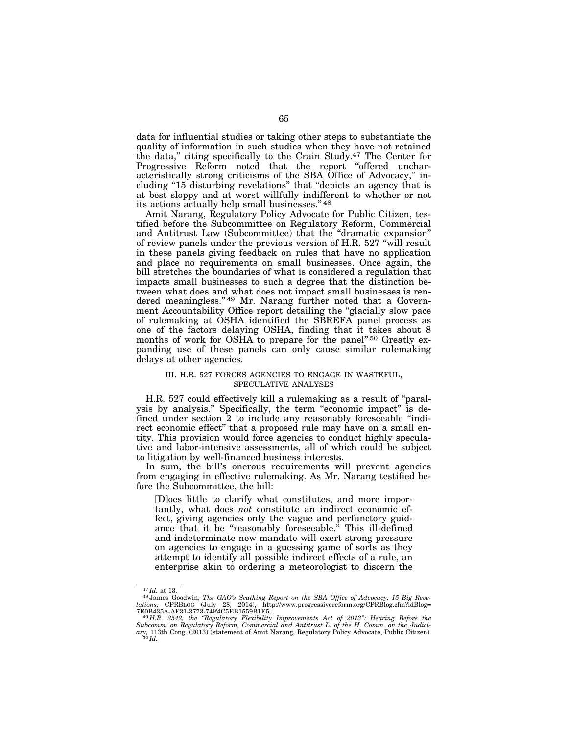data for influential studies or taking other steps to substantiate the quality of information in such studies when they have not retained the data," citing specifically to the Crain Study.<sup>47</sup> The Center for Progressive Reform noted that the report ''offered uncharacteristically strong criticisms of the SBA Office of Advocacy,'' including ''15 disturbing revelations'' that ''depicts an agency that is at best sloppy and at worst willfully indifferent to whether or not its actions actually help small businesses.'' 48

Amit Narang, Regulatory Policy Advocate for Public Citizen, testified before the Subcommittee on Regulatory Reform, Commercial and Antitrust Law (Subcommittee) that the ''dramatic expansion'' of review panels under the previous version of H.R. 527 "will result in these panels giving feedback on rules that have no application and place no requirements on small businesses. Once again, the bill stretches the boundaries of what is considered a regulation that impacts small businesses to such a degree that the distinction between what does and what does not impact small businesses is rendered meaningless."<sup>49</sup> Mr. Narang further noted that a Government Accountability Office report detailing the ''glacially slow pace of rulemaking at OSHA identified the SBREFA panel process as one of the factors delaying OSHA, finding that it takes about 8 months of work for OSHA to prepare for the panel"<sup>50</sup> Greatly expanding use of these panels can only cause similar rulemaking delays at other agencies.

### III. H.R. 527 FORCES AGENCIES TO ENGAGE IN WASTEFUL, SPECULATIVE ANALYSES

H.R. 527 could effectively kill a rulemaking as a result of ''paralysis by analysis." Specifically, the term "economic impact" is defined under section 2 to include any reasonably foreseeable ''indirect economic effect'' that a proposed rule may have on a small entity. This provision would force agencies to conduct highly speculative and labor-intensive assessments, all of which could be subject to litigation by well-financed business interests.

In sum, the bill's onerous requirements will prevent agencies from engaging in effective rulemaking. As Mr. Narang testified before the Subcommittee, the bill:

[D]oes little to clarify what constitutes, and more importantly, what does *not* constitute an indirect economic effect, giving agencies only the vague and perfunctory guidance that it be ''reasonably foreseeable.'' This ill-defined and indeterminate new mandate will exert strong pressure on agencies to engage in a guessing game of sorts as they attempt to identify all possible indirect effects of a rule, an enterprise akin to ordering a meteorologist to discern the

<sup>&</sup>lt;sup>47</sup>*Id.* at 13. 48 James Goodwin, *The GAO's Scathing Report on the SBA Office of Advocacy: 15 Big Reve*lations, CPRBLOG (July 28, 2014), http://www.progressivereform.org/CPRBlog.cfm?idBlog=7E0B435A-AF31-3773-74F4C5EB1559B1E5.<br>7E0B435A-AF31-3773-74F4C5EB1559B1E5.<br>"9 H.R. 2542, the "Regulatory Repromagnesial and Antitrust L.

*ary, 113th Cong.* (2013) (statement of Amit Narang, Regulatory Policy Advocate, Public Citizen). 413th Cong. (2013) (statement of Amit Narang, Regulatory Policy Advocate, Public Citizen).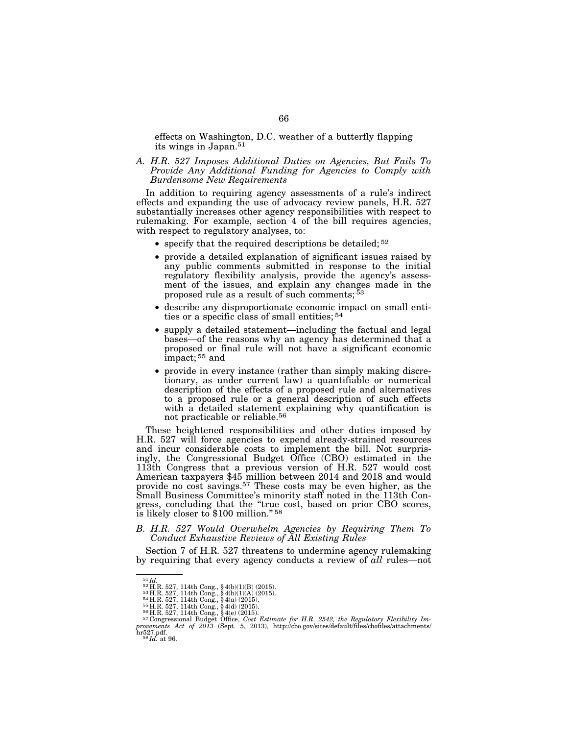effects on Washington, D.C. weather of a butterfly flapping its wings in Japan.51

66

*A. H.R. 527 Imposes Additional Duties on Agencies, But Fails To Provide Any Additional Funding for Agencies to Comply with Burdensome New Requirements* 

In addition to requiring agency assessments of a rule's indirect effects and expanding the use of advocacy review panels, H.R. 527 substantially increases other agency responsibilities with respect to rulemaking. For example, section 4 of the bill requires agencies, with respect to regulatory analyses, to:

- specify that the required descriptions be detailed; <sup>52</sup>
- provide a detailed explanation of significant issues raised by any public comments submitted in response to the initial regulatory flexibility analysis, provide the agency's assessment of the issues, and explain any changes made in the proposed rule as a result of such comments;  $\bar{5}3$
- describe any disproportionate economic impact on small entities or a specific class of small entities; 54
- supply a detailed statement—including the factual and legal bases—of the reasons why an agency has determined that a proposed or final rule will not have a significant economic impact; 55 and
- provide in every instance (rather than simply making discretionary, as under current law) a quantifiable or numerical description of the effects of a proposed rule and alternatives to a proposed rule or a general description of such effects with a detailed statement explaining why quantification is not practicable or reliable.56

These heightened responsibilities and other duties imposed by H.R. 527 will force agencies to expend already-strained resources and incur considerable costs to implement the bill. Not surprisingly, the Congressional Budget Office (CBO) estimated in the 113th Congress that a previous version of H.R. 527 would cost American taxpayers \$45 million between 2014 and 2018 and would provide no cost savings.57 These costs may be even higher, as the Small Business Committee's minority staff noted in the 113th Congress, concluding that the ''true cost, based on prior CBO scores, is likely closer to \$100 million.'' 58

# *B. H.R. 527 Would Overwhelm Agencies by Requiring Them To Conduct Exhaustive Reviews of All Existing Rules*

Section 7 of H.R. 527 threatens to undermine agency rulemaking by requiring that every agency conducts a review of *all* rules—not

<sup>&</sup>lt;sup>51</sup> Id.<br>
<sup>52</sup> H.R. 527, 114th Cong., § 4(b)(1)(B) (2015).<br>
<sup>53</sup> H.R. 527, 114th Cong., § 4(a)(2015).<br>
<sup>54</sup> H.R. 527, 114th Cong., § 4(a) (2015).<br>
<sup>55</sup> H.R. 527, 114th Cong., § 4(a) (2015).<br>
<sup>55</sup> T.Cngressional Budget Off *provements Act of 2013* (Sept. 5, 2013), http://cbo.gov/sites/default/files/cbofiles/attachments/ hr527.pdf. 58 *Id.* at 96.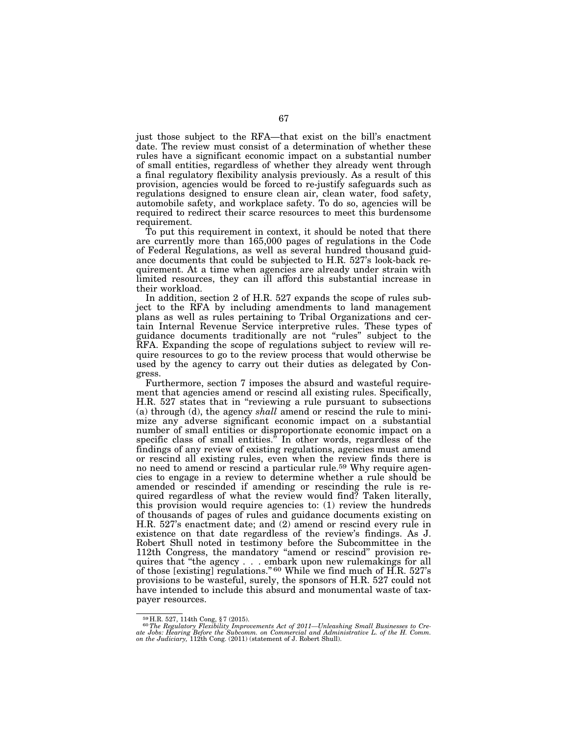just those subject to the RFA—that exist on the bill's enactment date. The review must consist of a determination of whether these rules have a significant economic impact on a substantial number of small entities, regardless of whether they already went through a final regulatory flexibility analysis previously. As a result of this provision, agencies would be forced to re-justify safeguards such as regulations designed to ensure clean air, clean water, food safety, automobile safety, and workplace safety. To do so, agencies will be required to redirect their scarce resources to meet this burdensome requirement.

To put this requirement in context, it should be noted that there are currently more than 165,000 pages of regulations in the Code of Federal Regulations, as well as several hundred thousand guidance documents that could be subjected to H.R. 527's look-back requirement. At a time when agencies are already under strain with limited resources, they can ill afford this substantial increase in their workload.

In addition, section 2 of H.R. 527 expands the scope of rules subject to the RFA by including amendments to land management plans as well as rules pertaining to Tribal Organizations and certain Internal Revenue Service interpretive rules. These types of guidance documents traditionally are not "rules" subject to the RFA. Expanding the scope of regulations subject to review will require resources to go to the review process that would otherwise be used by the agency to carry out their duties as delegated by Congress.

Furthermore, section 7 imposes the absurd and wasteful requirement that agencies amend or rescind all existing rules. Specifically, H.R. 527 states that in "reviewing a rule pursuant to subsections (a) through (d), the agency *shall* amend or rescind the rule to minimize any adverse significant economic impact on a substantial number of small entities or disproportionate economic impact on a specific class of small entities.'' In other words, regardless of the findings of any review of existing regulations, agencies must amend or rescind all existing rules, even when the review finds there is no need to amend or rescind a particular rule.59 Why require agencies to engage in a review to determine whether a rule should be amended or rescinded if amending or rescinding the rule is required regardless of what the review would find? Taken literally, this provision would require agencies to: (1) review the hundreds of thousands of pages of rules and guidance documents existing on H.R. 527's enactment date; and (2) amend or rescind every rule in existence on that date regardless of the review's findings. As J. Robert Shull noted in testimony before the Subcommittee in the 112th Congress, the mandatory ''amend or rescind'' provision requires that ''the agency . . . embark upon new rulemakings for all of those [existing] regulations." <sup>60</sup> While we find much of  $\overline{H}$ . 527's provisions to be wasteful, surely, the sponsors of H.R. 527 could not have intended to include this absurd and monumental waste of taxpayer resources.

<sup>&</sup>lt;sup>59</sup> H.R. 527, 114th Cong, §7 (2015).<br><sup>60</sup> The Regulatory Flexibility Improvements Act of 2011—Unleashing Small Businesses to Cre-<br>ate Jobs: Hearing Before the Subcomm. on Commercial and Administrative L. of the H. Comm.<br>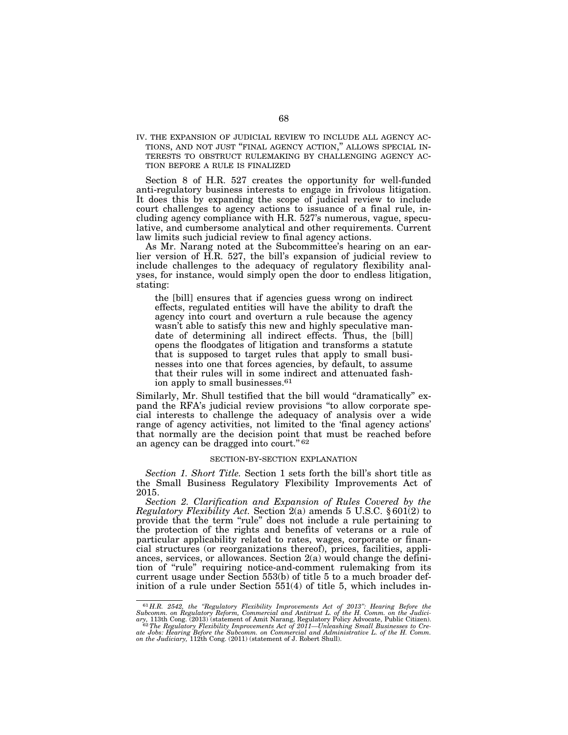IV. THE EXPANSION OF JUDICIAL REVIEW TO INCLUDE ALL AGENCY AC-TIONS, AND NOT JUST ''FINAL AGENCY ACTION,'' ALLOWS SPECIAL IN-TERESTS TO OBSTRUCT RULEMAKING BY CHALLENGING AGENCY AC-TION BEFORE A RULE IS FINALIZED

Section 8 of H.R. 527 creates the opportunity for well-funded anti-regulatory business interests to engage in frivolous litigation. It does this by expanding the scope of judicial review to include court challenges to agency actions to issuance of a final rule, including agency compliance with H.R. 527's numerous, vague, speculative, and cumbersome analytical and other requirements. Current law limits such judicial review to final agency actions.

As Mr. Narang noted at the Subcommittee's hearing on an earlier version of H.R. 527, the bill's expansion of judicial review to include challenges to the adequacy of regulatory flexibility analyses, for instance, would simply open the door to endless litigation, stating:

the [bill] ensures that if agencies guess wrong on indirect effects, regulated entities will have the ability to draft the agency into court and overturn a rule because the agency wasn't able to satisfy this new and highly speculative mandate of determining all indirect effects. Thus, the [bill] opens the floodgates of litigation and transforms a statute that is supposed to target rules that apply to small businesses into one that forces agencies, by default, to assume that their rules will in some indirect and attenuated fashion apply to small businesses.61

Similarly, Mr. Shull testified that the bill would ''dramatically'' expand the RFA's judicial review provisions "to allow corporate special interests to challenge the adequacy of analysis over a wide range of agency activities, not limited to the 'final agency actions' that normally are the decision point that must be reached before an agency can be dragged into court." 62

### SECTION-BY-SECTION EXPLANATION

*Section 1. Short Title.* Section 1 sets forth the bill's short title as the Small Business Regulatory Flexibility Improvements Act of 2015.

*Section 2. Clarification and Expansion of Rules Covered by the Regulatory Flexibility Act.* Section 2(a) amends 5 U.S.C. § 601(2) to provide that the term "rule" does not include a rule pertaining to the protection of the rights and benefits of veterans or a rule of particular applicability related to rates, wages, corporate or financial structures (or reorganizations thereof), prices, facilities, appliances, services, or allowances. Section 2(a) would change the definition of ''rule'' requiring notice-and-comment rulemaking from its current usage under Section 553(b) of title 5 to a much broader definition of a rule under Section 551(4) of title 5, which includes in-

<sup>&</sup>lt;sup>61</sup>H.R. 2542, the "Regulatory Flexibility Improvements Act of 2013": Hearing Before the Subcomm. on Regulatory Reform, Commercial and Antitrust L. of the H. Comm. on the Judiciary, 113th Cong. (2013) (statement of Amit N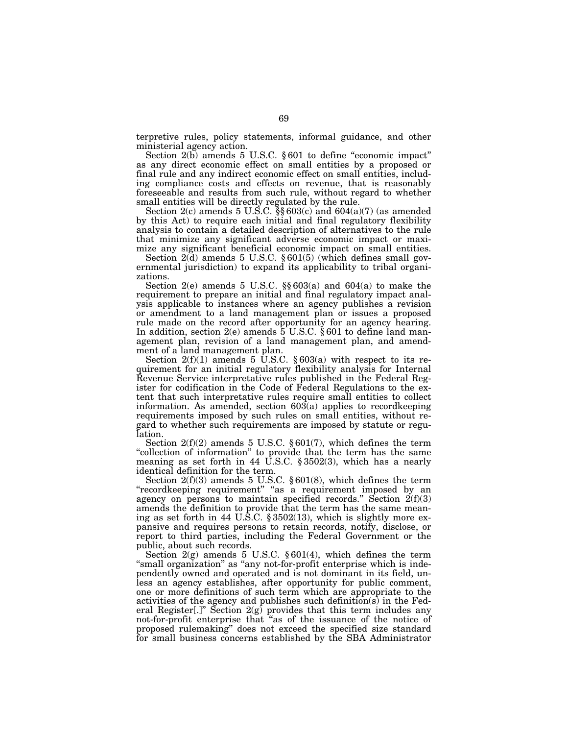terpretive rules, policy statements, informal guidance, and other ministerial agency action.

Section 2(b) amends 5 U.S.C. § 601 to define "economic impact" as any direct economic effect on small entities by a proposed or final rule and any indirect economic effect on small entities, including compliance costs and effects on revenue, that is reasonably foreseeable and results from such rule, without regard to whether small entities will be directly regulated by the rule.

Section 2(c) amends 5 U.S.C. §§ 603(c) and 604(a)(7) (as amended by this Act) to require each initial and final regulatory flexibility analysis to contain a detailed description of alternatives to the rule that minimize any significant adverse economic impact or maximize any significant beneficial economic impact on small entities.

Section 2(d) amends 5 U.S.C. § 601(5) (which defines small governmental jurisdiction) to expand its applicability to tribal organizations.

Section 2(e) amends 5 U.S.C. §§ 603(a) and 604(a) to make the requirement to prepare an initial and final regulatory impact analysis applicable to instances where an agency publishes a revision or amendment to a land management plan or issues a proposed rule made on the record after opportunity for an agency hearing. In addition, section  $2(e)$  amends  $5$  U.S.C. § 601 to define land management plan, revision of a land management plan, and amendment of a land management plan.

Section  $2(f)(1)$  amends 5 U.S.C. § 603(a) with respect to its requirement for an initial regulatory flexibility analysis for Internal Revenue Service interpretative rules published in the Federal Register for codification in the Code of Federal Regulations to the extent that such interpretative rules require small entities to collect information. As amended, section  $60\overline{3}$ (a) applies to recordkeeping requirements imposed by such rules on small entities, without regard to whether such requirements are imposed by statute or regulation.

Section  $2(f)(2)$  amends 5 U.S.C. § 601(7), which defines the term ''collection of information'' to provide that the term has the same meaning as set forth in 44 U.S.C. § 3502(3), which has a nearly identical definition for the term.

Section 2(f)(3) amends 5 U.S.C. § 601(8), which defines the term "recordkeeping requirement" "as a requirement imposed by an agency on persons to maintain specified records." Section  $2(f)(3)$ amends the definition to provide that the term has the same meaning as set forth in 44 U.S.C. § 3502(13), which is slightly more expansive and requires persons to retain records, notify, disclose, or report to third parties, including the Federal Government or the public, about such records.

Section  $2(g)$  amends 5 U.S.C.  $\S 601(4)$ , which defines the term "small organization" as "any not-for-profit enterprise which is independently owned and operated and is not dominant in its field, unless an agency establishes, after opportunity for public comment, one or more definitions of such term which are appropriate to the activities of the agency and publishes such definition(s) in the Federal Register[.]" Section  $2(g)$  provides that this term includes any not-for-profit enterprise that ''as of the issuance of the notice of proposed rulemaking'' does not exceed the specified size standard for small business concerns established by the SBA Administrator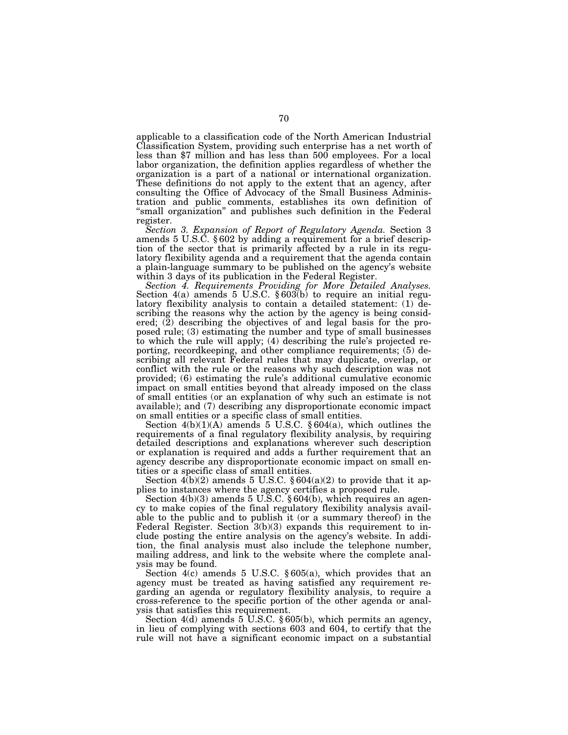applicable to a classification code of the North American Industrial Classification System, providing such enterprise has a net worth of less than \$7 million and has less than 500 employees. For a local labor organization, the definition applies regardless of whether the organization is a part of a national or international organization. These definitions do not apply to the extent that an agency, after consulting the Office of Advocacy of the Small Business Administration and public comments, establishes its own definition of "small organization" and publishes such definition in the Federal register.

*Section 3. Expansion of Report of Regulatory Agenda.* Section 3 amends 5 U.S.C. § 602 by adding a requirement for a brief description of the sector that is primarily affected by a rule in its regulatory flexibility agenda and a requirement that the agenda contain a plain-language summary to be published on the agency's website within 3 days of its publication in the Federal Register.

*Section 4. Requirements Providing for More Detailed Analyses.*  Section 4(a) amends 5 U.S.C. § 603(b) to require an initial regulatory flexibility analysis to contain a detailed statement: (1) describing the reasons why the action by the agency is being considered; (2) describing the objectives of and legal basis for the proposed rule; (3) estimating the number and type of small businesses to which the rule will apply; (4) describing the rule's projected reporting, recordkeeping, and other compliance requirements; (5) describing all relevant Federal rules that may duplicate, overlap, or conflict with the rule or the reasons why such description was not provided; (6) estimating the rule's additional cumulative economic impact on small entities beyond that already imposed on the class of small entities (or an explanation of why such an estimate is not available); and (7) describing any disproportionate economic impact on small entities or a specific class of small entities.

Section  $4(b)(1)(A)$  amends 5 U.S.C. § 604(a), which outlines the requirements of a final regulatory flexibility analysis, by requiring detailed descriptions and explanations wherever such description or explanation is required and adds a further requirement that an agency describe any disproportionate economic impact on small entities or a specific class of small entities.

Section  $4(b)(2)$  amends 5 U.S.C. § 604(a)(2) to provide that it applies to instances where the agency certifies a proposed rule.

Section 4(b)(3) amends 5 U.S.C. § 604(b), which requires an agency to make copies of the final regulatory flexibility analysis available to the public and to publish it (or a summary thereof) in the Federal Register. Section 3(b)(3) expands this requirement to include posting the entire analysis on the agency's website. In addition, the final analysis must also include the telephone number, mailing address, and link to the website where the complete analysis may be found.

Section  $4(c)$  amends 5 U.S.C.  $605(a)$ , which provides that an agency must be treated as having satisfied any requirement regarding an agenda or regulatory flexibility analysis, to require a cross-reference to the specific portion of the other agenda or analysis that satisfies this requirement.

Section 4(d) amends 5 U.S.C. § 605(b), which permits an agency, in lieu of complying with sections 603 and 604, to certify that the rule will not have a significant economic impact on a substantial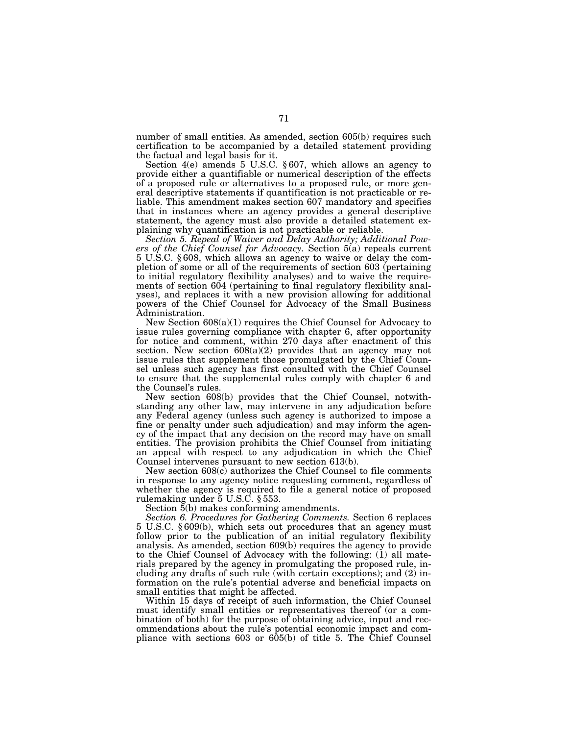number of small entities. As amended, section 605(b) requires such certification to be accompanied by a detailed statement providing the factual and legal basis for it.

Section 4(e) amends 5 U.S.C. § 607, which allows an agency to provide either a quantifiable or numerical description of the effects of a proposed rule or alternatives to a proposed rule, or more general descriptive statements if quantification is not practicable or reliable. This amendment makes section 607 mandatory and specifies that in instances where an agency provides a general descriptive statement, the agency must also provide a detailed statement explaining why quantification is not practicable or reliable.

*Section 5. Repeal of Waiver and Delay Authority; Additional Powers of the Chief Counsel for Advocacy.* Section 5(a) repeals current 5 U.S.C. § 608, which allows an agency to waive or delay the completion of some or all of the requirements of section 603 (pertaining to initial regulatory flexibility analyses) and to waive the requirements of section 604 (pertaining to final regulatory flexibility analyses), and replaces it with a new provision allowing for additional powers of the Chief Counsel for Advocacy of the Small Business Administration.

New Section 608(a)(1) requires the Chief Counsel for Advocacy to issue rules governing compliance with chapter 6, after opportunity for notice and comment, within 270 days after enactment of this section. New section 608(a)(2) provides that an agency may not issue rules that supplement those promulgated by the Chief Counsel unless such agency has first consulted with the Chief Counsel to ensure that the supplemental rules comply with chapter 6 and the Counsel's rules.

New section 608(b) provides that the Chief Counsel, notwithstanding any other law, may intervene in any adjudication before any Federal agency (unless such agency is authorized to impose a fine or penalty under such adjudication) and may inform the agency of the impact that any decision on the record may have on small entities. The provision prohibits the Chief Counsel from initiating an appeal with respect to any adjudication in which the Chief Counsel intervenes pursuant to new section 613(b).

New section  $608(c)$  authorizes the Chief Counsel to file comments in response to any agency notice requesting comment, regardless of whether the agency is required to file a general notice of proposed rulemaking under 5 U.S.C. § 553.

Section 5(b) makes conforming amendments.

*Section 6. Procedures for Gathering Comments.* Section 6 replaces 5 U.S.C. § 609(b), which sets out procedures that an agency must follow prior to the publication of an initial regulatory flexibility analysis. As amended, section 609(b) requires the agency to provide to the Chief Counsel of Advocacy with the following: (1) all materials prepared by the agency in promulgating the proposed rule, including any drafts of such rule (with certain exceptions); and (2) information on the rule's potential adverse and beneficial impacts on small entities that might be affected.

Within 15 days of receipt of such information, the Chief Counsel must identify small entities or representatives thereof (or a combination of both) for the purpose of obtaining advice, input and recommendations about the rule's potential economic impact and compliance with sections  $603$  or  $605(b)$  of title 5. The Chief Counsel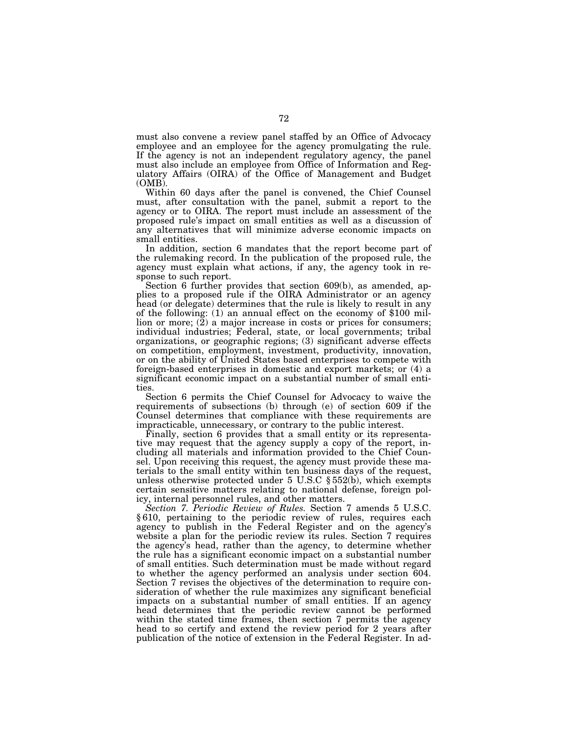must also convene a review panel staffed by an Office of Advocacy employee and an employee for the agency promulgating the rule. If the agency is not an independent regulatory agency, the panel must also include an employee from Office of Information and Regulatory Affairs (OIRA) of the Office of Management and Budget (OMB).

Within 60 days after the panel is convened, the Chief Counsel must, after consultation with the panel, submit a report to the agency or to OIRA. The report must include an assessment of the proposed rule's impact on small entities as well as a discussion of any alternatives that will minimize adverse economic impacts on small entities.

In addition, section 6 mandates that the report become part of the rulemaking record. In the publication of the proposed rule, the agency must explain what actions, if any, the agency took in response to such report.

Section 6 further provides that section 609(b), as amended, applies to a proposed rule if the OIRA Administrator or an agency head (or delegate) determines that the rule is likely to result in any of the following: (1) an annual effect on the economy of \$100 million or more;  $(2)$  a major increase in costs or prices for consumers; individual industries; Federal, state, or local governments; tribal organizations, or geographic regions; (3) significant adverse effects on competition, employment, investment, productivity, innovation, or on the ability of United States based enterprises to compete with foreign-based enterprises in domestic and export markets; or (4) a significant economic impact on a substantial number of small entities.

Section 6 permits the Chief Counsel for Advocacy to waive the requirements of subsections (b) through (e) of section 609 if the Counsel determines that compliance with these requirements are impracticable, unnecessary, or contrary to the public interest.

Finally, section 6 provides that a small entity or its representative may request that the agency supply a copy of the report, including all materials and information provided to the Chief Counsel. Upon receiving this request, the agency must provide these materials to the small entity within ten business days of the request, unless otherwise protected under 5 U.S.C § 552(b), which exempts certain sensitive matters relating to national defense, foreign policy, internal personnel rules, and other matters.

*Section 7. Periodic Review of Rules.* Section 7 amends 5 U.S.C. § 610, pertaining to the periodic review of rules, requires each agency to publish in the Federal Register and on the agency's website a plan for the periodic review its rules. Section 7 requires the agency's head, rather than the agency, to determine whether the rule has a significant economic impact on a substantial number of small entities. Such determination must be made without regard to whether the agency performed an analysis under section 604. Section 7 revises the objectives of the determination to require consideration of whether the rule maximizes any significant beneficial impacts on a substantial number of small entities. If an agency head determines that the periodic review cannot be performed within the stated time frames, then section 7 permits the agency head to so certify and extend the review period for 2 years after publication of the notice of extension in the Federal Register. In ad-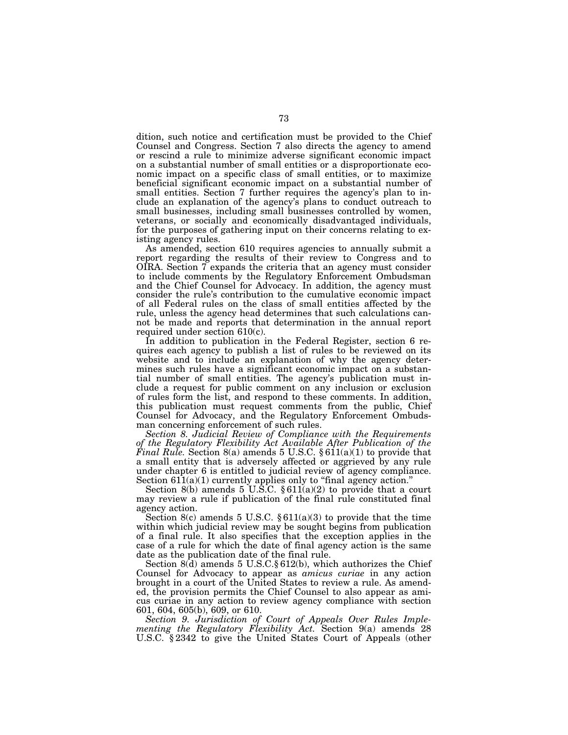dition, such notice and certification must be provided to the Chief Counsel and Congress. Section 7 also directs the agency to amend or rescind a rule to minimize adverse significant economic impact on a substantial number of small entities or a disproportionate economic impact on a specific class of small entities, or to maximize beneficial significant economic impact on a substantial number of small entities. Section 7 further requires the agency's plan to include an explanation of the agency's plans to conduct outreach to small businesses, including small businesses controlled by women, veterans, or socially and economically disadvantaged individuals, for the purposes of gathering input on their concerns relating to existing agency rules.

As amended, section 610 requires agencies to annually submit a report regarding the results of their review to Congress and to OIRA. Section 7 expands the criteria that an agency must consider to include comments by the Regulatory Enforcement Ombudsman and the Chief Counsel for Advocacy. In addition, the agency must consider the rule's contribution to the cumulative economic impact of all Federal rules on the class of small entities affected by the rule, unless the agency head determines that such calculations cannot be made and reports that determination in the annual report required under section 610(c).

In addition to publication in the Federal Register, section 6 requires each agency to publish a list of rules to be reviewed on its website and to include an explanation of why the agency determines such rules have a significant economic impact on a substantial number of small entities. The agency's publication must include a request for public comment on any inclusion or exclusion of rules form the list, and respond to these comments. In addition, this publication must request comments from the public, Chief Counsel for Advocacy, and the Regulatory Enforcement Ombudsman concerning enforcement of such rules.

*Section 8. Judicial Review of Compliance with the Requirements of the Regulatory Flexibility Act Available After Publication of the Final Rule.* Section 8(a) amends 5 U.S.C. § 611(a)(1) to provide that a small entity that is adversely affected or aggrieved by any rule under chapter 6 is entitled to judicial review of agency compliance. Section  $611(a)(1)$  currently applies only to "final agency action."

Section 8(b) amends 5 U.S.C.  $\S 611(a)(2)$  to provide that a court may review a rule if publication of the final rule constituted final agency action.

Section 8(c) amends 5 U.S.C.  $$611(a)(3)$  to provide that the time within which judicial review may be sought begins from publication of a final rule. It also specifies that the exception applies in the case of a rule for which the date of final agency action is the same date as the publication date of the final rule.

Section 8(d) amends 5 U.S.C.§ 612(b), which authorizes the Chief Counsel for Advocacy to appear as *amicus curiae* in any action brought in a court of the United States to review a rule. As amended, the provision permits the Chief Counsel to also appear as amicus curiae in any action to review agency compliance with section 601, 604, 605(b), 609, or 610.

*Section 9. Jurisdiction of Court of Appeals Over Rules Implementing the Regulatory Flexibility Act.* Section 9(a) amends 28 U.S.C. § 2342 to give the United States Court of Appeals (other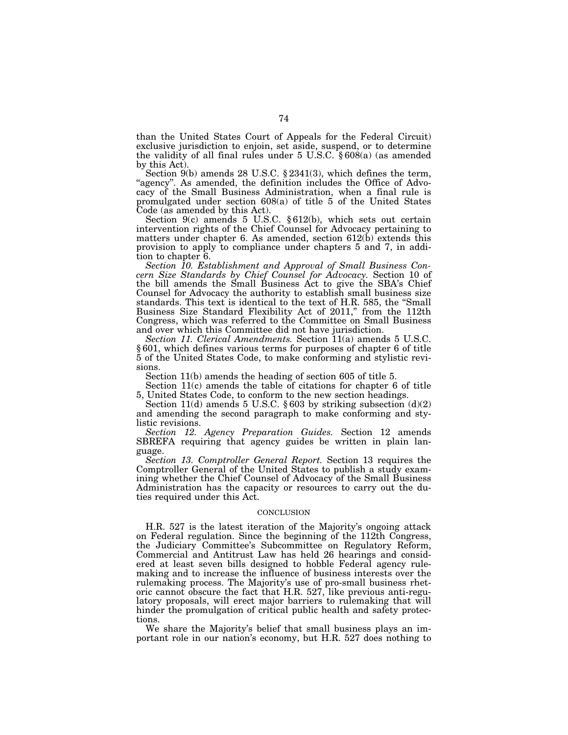than the United States Court of Appeals for the Federal Circuit) exclusive jurisdiction to enjoin, set aside, suspend, or to determine the validity of all final rules under  $5 \text{ U.S.C. }$   $\S 608(a)$  (as amended by this Act).

Section 9(b) amends 28 U.S.C. § 2341(3), which defines the term, "agency". As amended, the definition includes the Office of Advocacy of the Small Business Administration, when a final rule is promulgated under section 608(a) of title 5 of the United States Code (as amended by this Act).

Section 9(c) amends 5 U.S.C. § 612(b), which sets out certain intervention rights of the Chief Counsel for Advocacy pertaining to matters under chapter 6. As amended, section 612(b) extends this provision to apply to compliance under chapters 5 and 7, in addition to chapter 6.

*Section 10. Establishment and Approval of Small Business Concern Size Standards by Chief Counsel for Advocacy.* Section 10 of the bill amends the Small Business Act to give the SBA's Chief Counsel for Advocacy the authority to establish small business size standards. This text is identical to the text of H.R. 585, the ''Small Business Size Standard Flexibility Act of 2011," from the 112th Congress, which was referred to the Committee on Small Business and over which this Committee did not have jurisdiction.

*Section 11. Clerical Amendments.* Section 11(a) amends 5 U.S.C. § 601, which defines various terms for purposes of chapter 6 of title 5 of the United States Code, to make conforming and stylistic revisions.

Section 11(b) amends the heading of section 605 of title 5.

Section 11(c) amends the table of citations for chapter 6 of title 5, United States Code, to conform to the new section headings.

Section 11(d) amends 5 U.S.C.  $\S 603$  by striking subsection (d)(2) and amending the second paragraph to make conforming and stylistic revisions.

*Section 12. Agency Preparation Guides.* Section 12 amends SBREFA requiring that agency guides be written in plain language.

*Section 13. Comptroller General Report.* Section 13 requires the Comptroller General of the United States to publish a study examining whether the Chief Counsel of Advocacy of the Small Business Administration has the capacity or resources to carry out the duties required under this Act.

## **CONCLUSION**

H.R. 527 is the latest iteration of the Majority's ongoing attack on Federal regulation. Since the beginning of the 112th Congress, the Judiciary Committee's Subcommittee on Regulatory Reform, Commercial and Antitrust Law has held 26 hearings and considered at least seven bills designed to hobble Federal agency rulemaking and to increase the influence of business interests over the rulemaking process. The Majority's use of pro-small business rhetoric cannot obscure the fact that H.R. 527, like previous anti-regulatory proposals, will erect major barriers to rulemaking that will hinder the promulgation of critical public health and safety protections.

We share the Majority's belief that small business plays an important role in our nation's economy, but H.R. 527 does nothing to